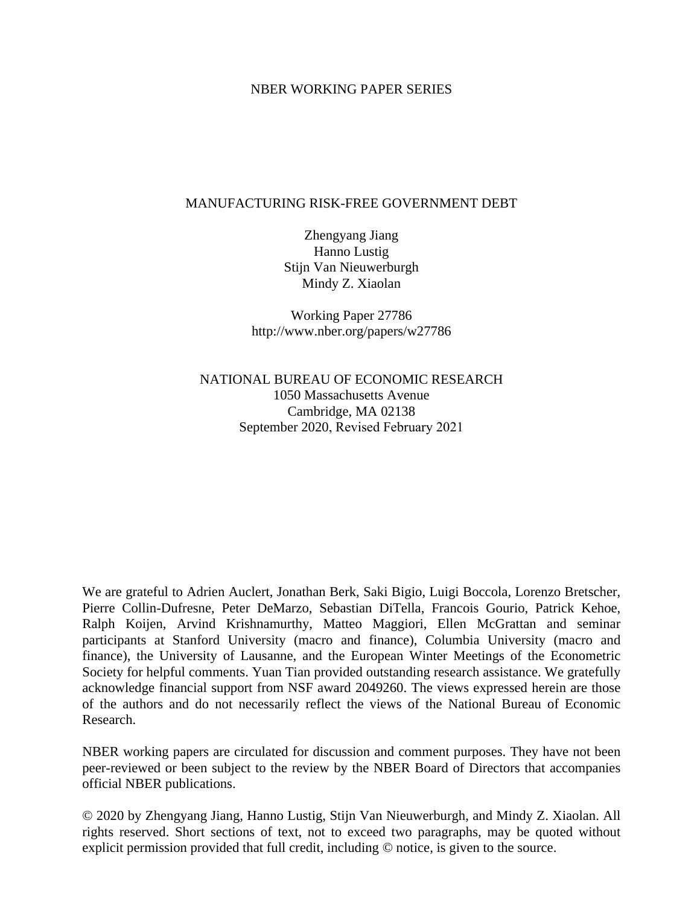### NBER WORKING PAPER SERIES

### MANUFACTURING RISK-FREE GOVERNMENT DEBT

Zhengyang Jiang Hanno Lustig Stijn Van Nieuwerburgh Mindy Z. Xiaolan

Working Paper 27786 http://www.nber.org/papers/w27786

NATIONAL BUREAU OF ECONOMIC RESEARCH 1050 Massachusetts Avenue Cambridge, MA 02138 September 2020, Revised February 2021

We are grateful to Adrien Auclert, Jonathan Berk, Saki Bigio, Luigi Boccola, Lorenzo Bretscher, Pierre Collin-Dufresne, Peter DeMarzo, Sebastian DiTella, Francois Gourio, Patrick Kehoe, Ralph Koijen, Arvind Krishnamurthy, Matteo Maggiori, Ellen McGrattan and seminar participants at Stanford University (macro and finance), Columbia University (macro and finance), the University of Lausanne, and the European Winter Meetings of the Econometric Society for helpful comments. Yuan Tian provided outstanding research assistance. We gratefully acknowledge financial support from NSF award 2049260. The views expressed herein are those of the authors and do not necessarily reflect the views of the National Bureau of Economic Research.

NBER working papers are circulated for discussion and comment purposes. They have not been peer-reviewed or been subject to the review by the NBER Board of Directors that accompanies official NBER publications.

© 2020 by Zhengyang Jiang, Hanno Lustig, Stijn Van Nieuwerburgh, and Mindy Z. Xiaolan. All rights reserved. Short sections of text, not to exceed two paragraphs, may be quoted without explicit permission provided that full credit, including © notice, is given to the source.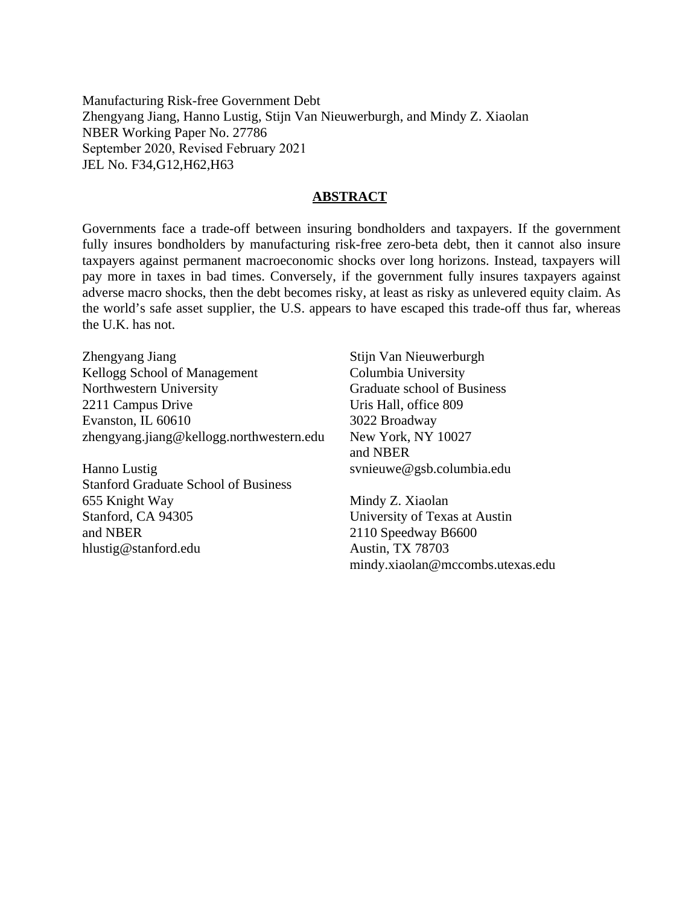Manufacturing Risk-free Government Debt Zhengyang Jiang, Hanno Lustig, Stijn Van Nieuwerburgh, and Mindy Z. Xiaolan NBER Working Paper No. 27786 September 2020, Revised February 2021 JEL No. F34,G12,H62,H63

### **ABSTRACT**

Governments face a trade-off between insuring bondholders and taxpayers. If the government fully insures bondholders by manufacturing risk-free zero-beta debt, then it cannot also insure taxpayers against permanent macroeconomic shocks over long horizons. Instead, taxpayers will pay more in taxes in bad times. Conversely, if the government fully insures taxpayers against adverse macro shocks, then the debt becomes risky, at least as risky as unlevered equity claim. As the world's safe asset supplier, the U.S. appears to have escaped this trade-off thus far, whereas the U.K. has not.

Zhengyang Jiang Kellogg School of Management Northwestern University 2211 Campus Drive Evanston, IL 60610 zhengyang.jiang@kellogg.northwestern.edu

Hanno Lustig Stanford Graduate School of Business 655 Knight Way Stanford, CA 94305 and NBER hlustig@stanford.edu

Stijn Van Nieuwerburgh Columbia University Graduate school of Business Uris Hall, office 809 3022 Broadway New York, NY 10027 and NBER svnieuwe@gsb.columbia.edu

Mindy Z. Xiaolan University of Texas at Austin 2110 Speedway B6600 Austin, TX 78703 mindy.xiaolan@mccombs.utexas.edu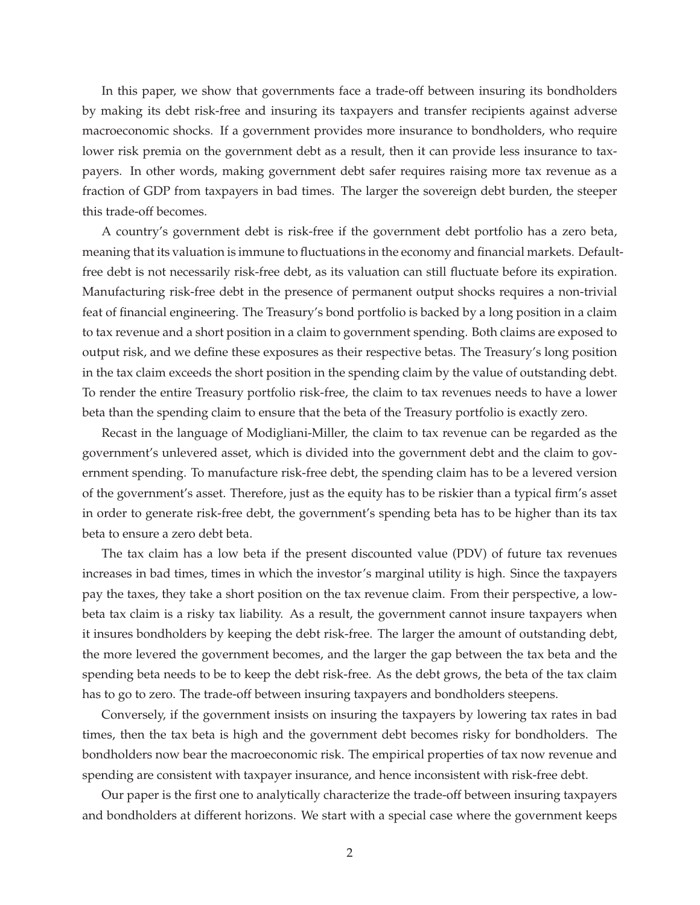In this paper, we show that governments face a trade-off between insuring its bondholders by making its debt risk-free and insuring its taxpayers and transfer recipients against adverse macroeconomic shocks. If a government provides more insurance to bondholders, who require lower risk premia on the government debt as a result, then it can provide less insurance to taxpayers. In other words, making government debt safer requires raising more tax revenue as a fraction of GDP from taxpayers in bad times. The larger the sovereign debt burden, the steeper this trade-off becomes.

A country's government debt is risk-free if the government debt portfolio has a zero beta, meaning that its valuation is immune to fluctuations in the economy and financial markets. Defaultfree debt is not necessarily risk-free debt, as its valuation can still fluctuate before its expiration. Manufacturing risk-free debt in the presence of permanent output shocks requires a non-trivial feat of financial engineering. The Treasury's bond portfolio is backed by a long position in a claim to tax revenue and a short position in a claim to government spending. Both claims are exposed to output risk, and we define these exposures as their respective betas. The Treasury's long position in the tax claim exceeds the short position in the spending claim by the value of outstanding debt. To render the entire Treasury portfolio risk-free, the claim to tax revenues needs to have a lower beta than the spending claim to ensure that the beta of the Treasury portfolio is exactly zero.

Recast in the language of Modigliani-Miller, the claim to tax revenue can be regarded as the government's unlevered asset, which is divided into the government debt and the claim to government spending. To manufacture risk-free debt, the spending claim has to be a levered version of the government's asset. Therefore, just as the equity has to be riskier than a typical firm's asset in order to generate risk-free debt, the government's spending beta has to be higher than its tax beta to ensure a zero debt beta.

The tax claim has a low beta if the present discounted value (PDV) of future tax revenues increases in bad times, times in which the investor's marginal utility is high. Since the taxpayers pay the taxes, they take a short position on the tax revenue claim. From their perspective, a lowbeta tax claim is a risky tax liability. As a result, the government cannot insure taxpayers when it insures bondholders by keeping the debt risk-free. The larger the amount of outstanding debt, the more levered the government becomes, and the larger the gap between the tax beta and the spending beta needs to be to keep the debt risk-free. As the debt grows, the beta of the tax claim has to go to zero. The trade-off between insuring taxpayers and bondholders steepens.

Conversely, if the government insists on insuring the taxpayers by lowering tax rates in bad times, then the tax beta is high and the government debt becomes risky for bondholders. The bondholders now bear the macroeconomic risk. The empirical properties of tax now revenue and spending are consistent with taxpayer insurance, and hence inconsistent with risk-free debt.

Our paper is the first one to analytically characterize the trade-off between insuring taxpayers and bondholders at different horizons. We start with a special case where the government keeps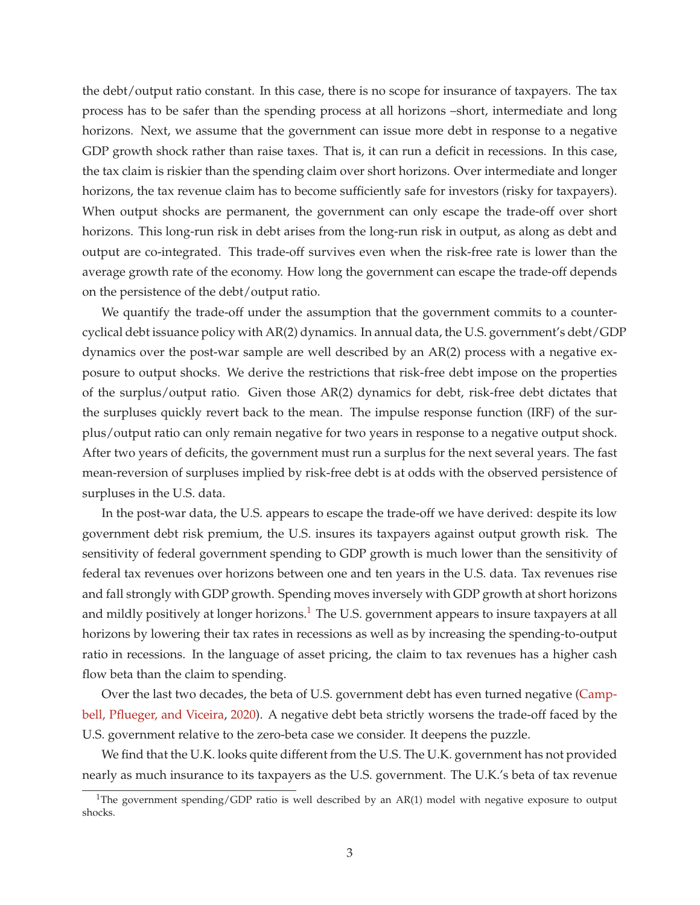the debt/output ratio constant. In this case, there is no scope for insurance of taxpayers. The tax process has to be safer than the spending process at all horizons –short, intermediate and long horizons. Next, we assume that the government can issue more debt in response to a negative GDP growth shock rather than raise taxes. That is, it can run a deficit in recessions. In this case, the tax claim is riskier than the spending claim over short horizons. Over intermediate and longer horizons, the tax revenue claim has to become sufficiently safe for investors (risky for taxpayers). When output shocks are permanent, the government can only escape the trade-off over short horizons. This long-run risk in debt arises from the long-run risk in output, as along as debt and output are co-integrated. This trade-off survives even when the risk-free rate is lower than the average growth rate of the economy. How long the government can escape the trade-off depends on the persistence of the debt/output ratio.

We quantify the trade-off under the assumption that the government commits to a countercyclical debt issuance policy with AR(2) dynamics. In annual data, the U.S. government's debt/GDP dynamics over the post-war sample are well described by an AR(2) process with a negative exposure to output shocks. We derive the restrictions that risk-free debt impose on the properties of the surplus/output ratio. Given those AR(2) dynamics for debt, risk-free debt dictates that the surpluses quickly revert back to the mean. The impulse response function (IRF) of the surplus/output ratio can only remain negative for two years in response to a negative output shock. After two years of deficits, the government must run a surplus for the next several years. The fast mean-reversion of surpluses implied by risk-free debt is at odds with the observed persistence of surpluses in the U.S. data.

In the post-war data, the U.S. appears to escape the trade-off we have derived: despite its low government debt risk premium, the U.S. insures its taxpayers against output growth risk. The sensitivity of federal government spending to GDP growth is much lower than the sensitivity of federal tax revenues over horizons between one and ten years in the U.S. data. Tax revenues rise and fall strongly with GDP growth. Spending moves inversely with GDP growth at short horizons and mildly positively at longer horizons.<sup>1</sup> The U.S. government appears to insure taxpayers at all horizons by lowering their tax rates in recessions as well as by increasing the spending-to-output ratio in recessions. In the language of asset pricing, the claim to tax revenues has a higher cash flow beta than the claim to spending.

Over the last two decades, the beta of U.S. government debt has even turned negative (Campbell, Pflueger, and Viceira, 2020). A negative debt beta strictly worsens the trade-off faced by the U.S. government relative to the zero-beta case we consider. It deepens the puzzle.

We find that the U.K. looks quite different from the U.S. The U.K. government has not provided nearly as much insurance to its taxpayers as the U.S. government. The U.K.'s beta of tax revenue

<sup>&</sup>lt;sup>1</sup>The government spending/GDP ratio is well described by an AR(1) model with negative exposure to output shocks.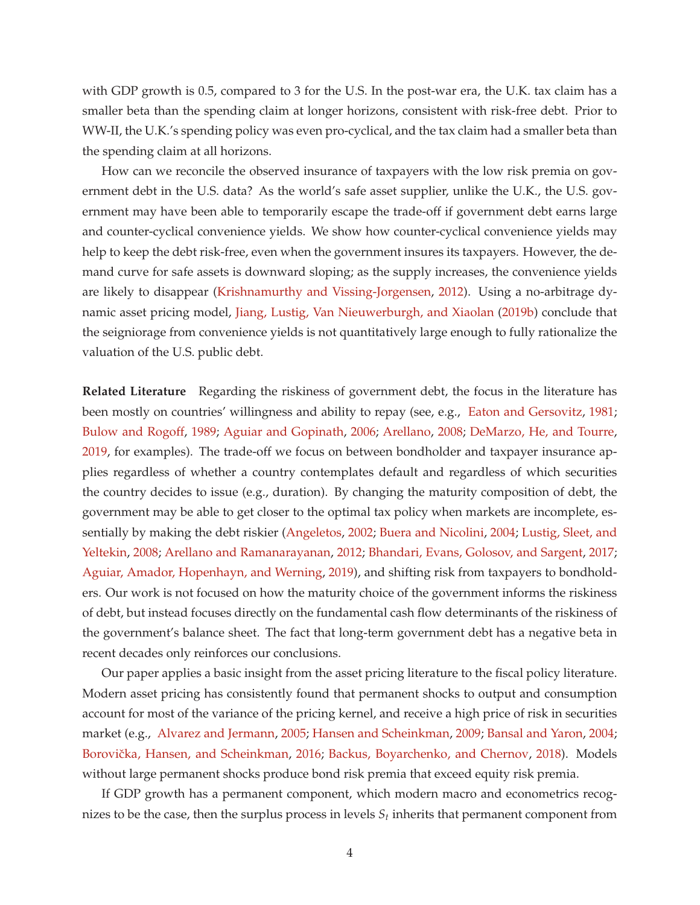with GDP growth is 0.5, compared to 3 for the U.S. In the post-war era, the U.K. tax claim has a smaller beta than the spending claim at longer horizons, consistent with risk-free debt. Prior to WW-II, the U.K.'s spending policy was even pro-cyclical, and the tax claim had a smaller beta than the spending claim at all horizons.

How can we reconcile the observed insurance of taxpayers with the low risk premia on government debt in the U.S. data? As the world's safe asset supplier, unlike the U.K., the U.S. government may have been able to temporarily escape the trade-off if government debt earns large and counter-cyclical convenience yields. We show how counter-cyclical convenience yields may help to keep the debt risk-free, even when the government insures its taxpayers. However, the demand curve for safe assets is downward sloping; as the supply increases, the convenience yields are likely to disappear (Krishnamurthy and Vissing-Jorgensen, 2012). Using a no-arbitrage dynamic asset pricing model, Jiang, Lustig, Van Nieuwerburgh, and Xiaolan (2019b) conclude that the seigniorage from convenience yields is not quantitatively large enough to fully rationalize the valuation of the U.S. public debt.

**Related Literature** Regarding the riskiness of government debt, the focus in the literature has been mostly on countries' willingness and ability to repay (see, e.g., Eaton and Gersovitz, 1981; Bulow and Rogoff, 1989; Aguiar and Gopinath, 2006; Arellano, 2008; DeMarzo, He, and Tourre, 2019, for examples). The trade-off we focus on between bondholder and taxpayer insurance applies regardless of whether a country contemplates default and regardless of which securities the country decides to issue (e.g., duration). By changing the maturity composition of debt, the government may be able to get closer to the optimal tax policy when markets are incomplete, essentially by making the debt riskier (Angeletos, 2002; Buera and Nicolini, 2004; Lustig, Sleet, and Yeltekin, 2008; Arellano and Ramanarayanan, 2012; Bhandari, Evans, Golosov, and Sargent, 2017; Aguiar, Amador, Hopenhayn, and Werning, 2019), and shifting risk from taxpayers to bondholders. Our work is not focused on how the maturity choice of the government informs the riskiness of debt, but instead focuses directly on the fundamental cash flow determinants of the riskiness of the government's balance sheet. The fact that long-term government debt has a negative beta in recent decades only reinforces our conclusions.

Our paper applies a basic insight from the asset pricing literature to the fiscal policy literature. Modern asset pricing has consistently found that permanent shocks to output and consumption account for most of the variance of the pricing kernel, and receive a high price of risk in securities market (e.g., Alvarez and Jermann, 2005; Hansen and Scheinkman, 2009; Bansal and Yaron, 2004; Borovička, Hansen, and Scheinkman, 2016; Backus, Boyarchenko, and Chernov, 2018). Models without large permanent shocks produce bond risk premia that exceed equity risk premia.

If GDP growth has a permanent component, which modern macro and econometrics recognizes to be the case, then the surplus process in levels  $S_t$  inherits that permanent component from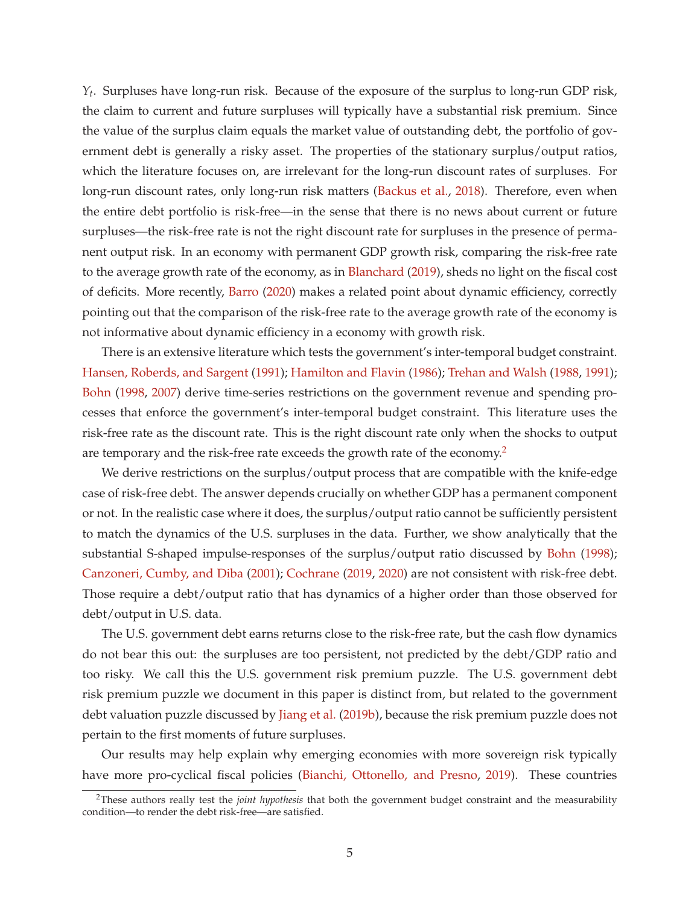*Yt* . Surpluses have long-run risk. Because of the exposure of the surplus to long-run GDP risk, the claim to current and future surpluses will typically have a substantial risk premium. Since the value of the surplus claim equals the market value of outstanding debt, the portfolio of government debt is generally a risky asset. The properties of the stationary surplus/output ratios, which the literature focuses on, are irrelevant for the long-run discount rates of surpluses. For long-run discount rates, only long-run risk matters (Backus et al., 2018). Therefore, even when the entire debt portfolio is risk-free—in the sense that there is no news about current or future surpluses—the risk-free rate is not the right discount rate for surpluses in the presence of permanent output risk. In an economy with permanent GDP growth risk, comparing the risk-free rate to the average growth rate of the economy, as in Blanchard (2019), sheds no light on the fiscal cost of deficits. More recently, Barro (2020) makes a related point about dynamic efficiency, correctly pointing out that the comparison of the risk-free rate to the average growth rate of the economy is not informative about dynamic efficiency in a economy with growth risk.

There is an extensive literature which tests the government's inter-temporal budget constraint. Hansen, Roberds, and Sargent (1991); Hamilton and Flavin (1986); Trehan and Walsh (1988, 1991); Bohn (1998, 2007) derive time-series restrictions on the government revenue and spending processes that enforce the government's inter-temporal budget constraint. This literature uses the risk-free rate as the discount rate. This is the right discount rate only when the shocks to output are temporary and the risk-free rate exceeds the growth rate of the economy.<sup>2</sup>

We derive restrictions on the surplus/output process that are compatible with the knife-edge case of risk-free debt. The answer depends crucially on whether GDP has a permanent component or not. In the realistic case where it does, the surplus/output ratio cannot be sufficiently persistent to match the dynamics of the U.S. surpluses in the data. Further, we show analytically that the substantial S-shaped impulse-responses of the surplus/output ratio discussed by Bohn (1998); Canzoneri, Cumby, and Diba (2001); Cochrane (2019, 2020) are not consistent with risk-free debt. Those require a debt/output ratio that has dynamics of a higher order than those observed for debt/output in U.S. data.

The U.S. government debt earns returns close to the risk-free rate, but the cash flow dynamics do not bear this out: the surpluses are too persistent, not predicted by the debt/GDP ratio and too risky. We call this the U.S. government risk premium puzzle. The U.S. government debt risk premium puzzle we document in this paper is distinct from, but related to the government debt valuation puzzle discussed by Jiang et al. (2019b), because the risk premium puzzle does not pertain to the first moments of future surpluses.

Our results may help explain why emerging economies with more sovereign risk typically have more pro-cyclical fiscal policies (Bianchi, Ottonello, and Presno, 2019). These countries

<sup>2</sup>These authors really test the *joint hypothesis* that both the government budget constraint and the measurability condition—to render the debt risk-free—are satisfied.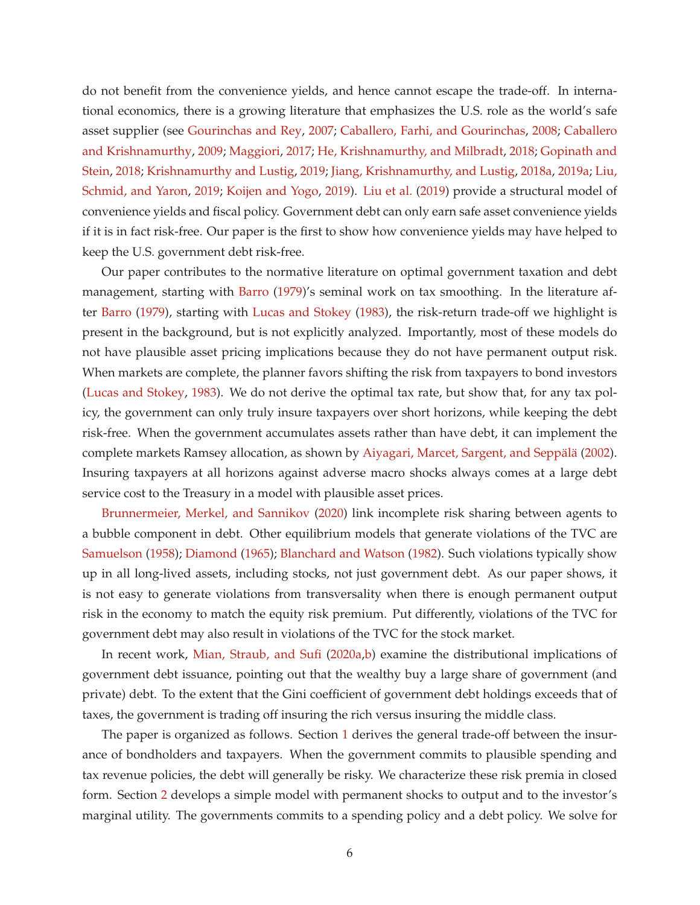do not benefit from the convenience yields, and hence cannot escape the trade-off. In international economics, there is a growing literature that emphasizes the U.S. role as the world's safe asset supplier (see Gourinchas and Rey, 2007; Caballero, Farhi, and Gourinchas, 2008; Caballero and Krishnamurthy, 2009; Maggiori, 2017; He, Krishnamurthy, and Milbradt, 2018; Gopinath and Stein, 2018; Krishnamurthy and Lustig, 2019; Jiang, Krishnamurthy, and Lustig, 2018a, 2019a; Liu, Schmid, and Yaron, 2019; Koijen and Yogo, 2019). Liu et al. (2019) provide a structural model of convenience yields and fiscal policy. Government debt can only earn safe asset convenience yields if it is in fact risk-free. Our paper is the first to show how convenience yields may have helped to keep the U.S. government debt risk-free.

Our paper contributes to the normative literature on optimal government taxation and debt management, starting with Barro (1979)'s seminal work on tax smoothing. In the literature after Barro (1979), starting with Lucas and Stokey (1983), the risk-return trade-off we highlight is present in the background, but is not explicitly analyzed. Importantly, most of these models do not have plausible asset pricing implications because they do not have permanent output risk. When markets are complete, the planner favors shifting the risk from taxpayers to bond investors (Lucas and Stokey, 1983). We do not derive the optimal tax rate, but show that, for any tax policy, the government can only truly insure taxpayers over short horizons, while keeping the debt risk-free. When the government accumulates assets rather than have debt, it can implement the complete markets Ramsey allocation, as shown by Aiyagari, Marcet, Sargent, and Seppalä (2002). Insuring taxpayers at all horizons against adverse macro shocks always comes at a large debt service cost to the Treasury in a model with plausible asset prices.

Brunnermeier, Merkel, and Sannikov (2020) link incomplete risk sharing between agents to a bubble component in debt. Other equilibrium models that generate violations of the TVC are Samuelson (1958); Diamond (1965); Blanchard and Watson (1982). Such violations typically show up in all long-lived assets, including stocks, not just government debt. As our paper shows, it is not easy to generate violations from transversality when there is enough permanent output risk in the economy to match the equity risk premium. Put differently, violations of the TVC for government debt may also result in violations of the TVC for the stock market.

In recent work, Mian, Straub, and Sufi (2020a,b) examine the distributional implications of government debt issuance, pointing out that the wealthy buy a large share of government (and private) debt. To the extent that the Gini coefficient of government debt holdings exceeds that of taxes, the government is trading off insuring the rich versus insuring the middle class.

The paper is organized as follows. Section 1 derives the general trade-off between the insurance of bondholders and taxpayers. When the government commits to plausible spending and tax revenue policies, the debt will generally be risky. We characterize these risk premia in closed form. Section 2 develops a simple model with permanent shocks to output and to the investor's marginal utility. The governments commits to a spending policy and a debt policy. We solve for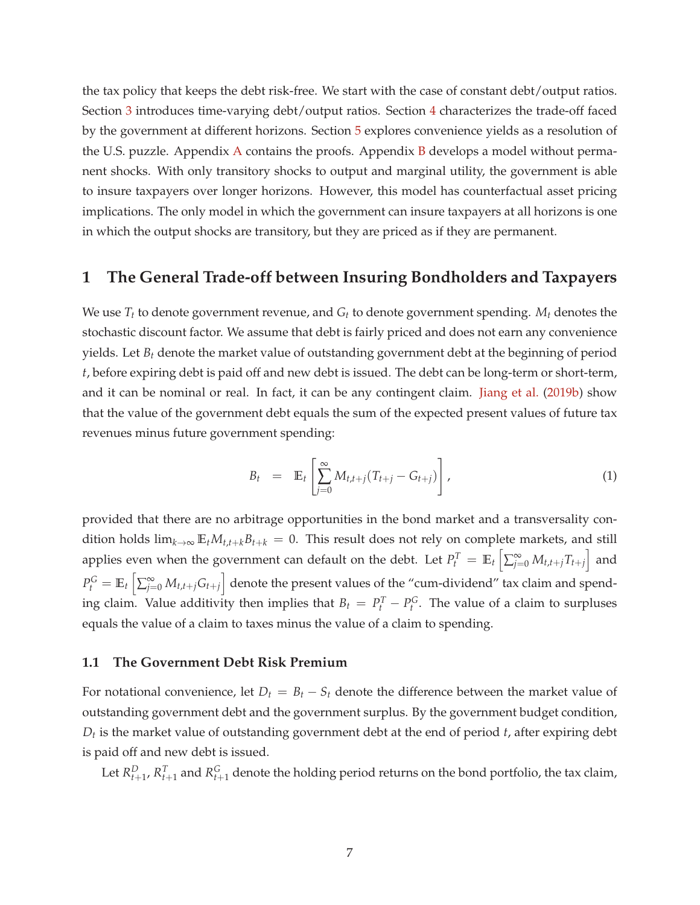the tax policy that keeps the debt risk-free. We start with the case of constant debt/output ratios. Section 3 introduces time-varying debt/output ratios. Section 4 characterizes the trade-off faced by the government at different horizons. Section 5 explores convenience yields as a resolution of the U.S. puzzle. Appendix A contains the proofs. Appendix B develops a model without permanent shocks. With only transitory shocks to output and marginal utility, the government is able to insure taxpayers over longer horizons. However, this model has counterfactual asset pricing implications. The only model in which the government can insure taxpayers at all horizons is one in which the output shocks are transitory, but they are priced as if they are permanent.

# **1 The General Trade-off between Insuring Bondholders and Taxpayers**

We use *T<sup>t</sup>* to denote government revenue, and *G<sup>t</sup>* to denote government spending. *M<sup>t</sup>* denotes the stochastic discount factor. We assume that debt is fairly priced and does not earn any convenience yields. Let *B<sup>t</sup>* denote the market value of outstanding government debt at the beginning of period *t*, before expiring debt is paid off and new debt is issued. The debt can be long-term or short-term, and it can be nominal or real. In fact, it can be any contingent claim. Jiang et al. (2019b) show that the value of the government debt equals the sum of the expected present values of future tax revenues minus future government spending:

$$
B_t = \mathbb{E}_t \left[ \sum_{j=0}^{\infty} M_{t,t+j} (T_{t+j} - G_{t+j}) \right], \qquad (1)
$$

provided that there are no arbitrage opportunities in the bond market and a transversality condition holds  $\lim_{k\to\infty}$   $\mathbb{E}_t M_{t,t+k}$   $B_{t+k}$  = 0. This result does not rely on complete markets, and still applies even when the government can default on the debt. Let  $P_t^T = \mathbb{E}_t \left[ \sum_{j=0}^{\infty} M_{t,t+j} T_{t+j} \right]$  and  $P_t^G = \mathbb{E}_t \left[ \sum_{j=0}^{\infty} M_{t,t+j} G_{t+j} \right]$  denote the present values of the "cum-dividend" tax claim and spending claim. Value additivity then implies that  $B_t = P_t^T - P_t^G$ . The value of a claim to surpluses equals the value of a claim to taxes minus the value of a claim to spending.

### **1.1 The Government Debt Risk Premium**

For notational convenience, let  $D_t = B_t - S_t$  denote the difference between the market value of outstanding government debt and the government surplus. By the government budget condition, *Dt* is the market value of outstanding government debt at the end of period *t*, after expiring debt is paid off and new debt is issued.

Let  $R_{t+1}^D$ ,  $R_{t+1}^T$  and  $R_{t+1}^G$  denote the holding period returns on the bond portfolio, the tax claim,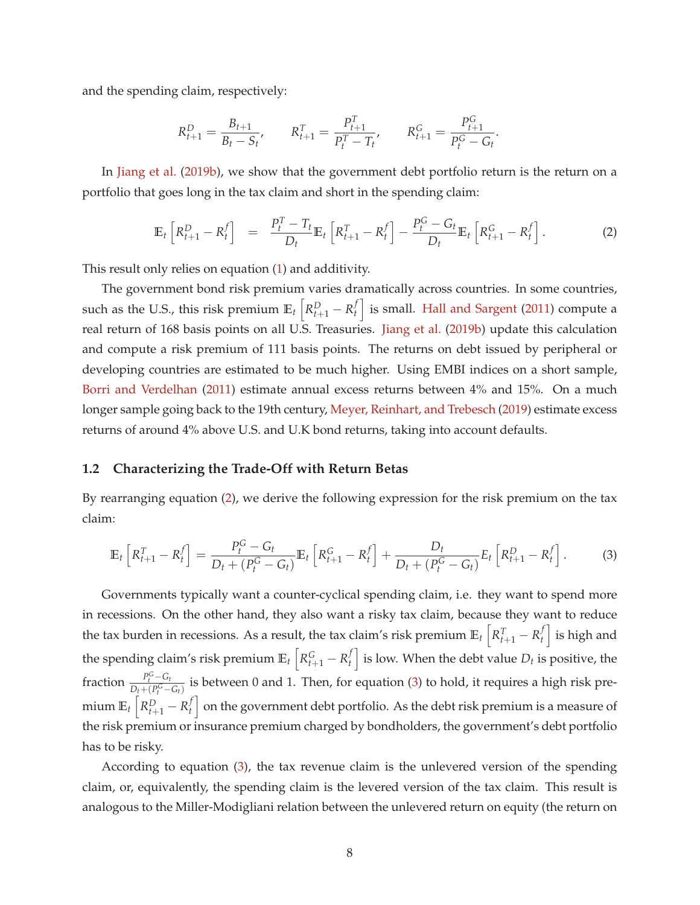and the spending claim, respectively:

$$
R_{t+1}^D = \frac{B_{t+1}}{B_t - S_t}, \qquad R_{t+1}^T = \frac{P_{t+1}^T}{P_t^T - T_t}, \qquad R_{t+1}^G = \frac{P_{t+1}^G}{P_t^G - G_t}.
$$

In Jiang et al. (2019b), we show that the government debt portfolio return is the return on a portfolio that goes long in the tax claim and short in the spending claim:

$$
\mathbb{E}_t\left[R_{t+1}^D - R_t^f\right] = \frac{P_t^T - T_t}{D_t} \mathbb{E}_t\left[R_{t+1}^T - R_t^f\right] - \frac{P_t^G - G_t}{D_t} \mathbb{E}_t\left[R_{t+1}^G - R_t^f\right].
$$
 (2)

This result only relies on equation (1) and additivity.

The government bond risk premium varies dramatically across countries. In some countries, such as the U.S., this risk premium  $\mathbb{E}_t\left[R_{t+1}^D - R_t^f\right]$  $\left\{ \begin{array}{l} t \ t \end{array} \right\}$  is small. Hall and Sargent (2011) compute a real return of 168 basis points on all U.S. Treasuries. Jiang et al. (2019b) update this calculation and compute a risk premium of 111 basis points. The returns on debt issued by peripheral or developing countries are estimated to be much higher. Using EMBI indices on a short sample, Borri and Verdelhan (2011) estimate annual excess returns between 4% and 15%. On a much longer sample going back to the 19th century, Meyer, Reinhart, and Trebesch (2019) estimate excess returns of around 4% above U.S. and U.K bond returns, taking into account defaults.

#### **1.2 Characterizing the Trade-Off with Return Betas**

By rearranging equation (2), we derive the following expression for the risk premium on the tax claim:

$$
\mathbb{E}_{t}\left[R_{t+1}^{T} - R_{t}^{f}\right] = \frac{P_{t}^{G} - G_{t}}{D_{t} + (P_{t}^{G} - G_{t})}\mathbb{E}_{t}\left[R_{t+1}^{G} - R_{t}^{f}\right] + \frac{D_{t}}{D_{t} + (P_{t}^{G} - G_{t})}E_{t}\left[R_{t+1}^{D} - R_{t}^{f}\right].
$$
 (3)

Governments typically want a counter-cyclical spending claim, i.e. they want to spend more in recessions. On the other hand, they also want a risky tax claim, because they want to reduce the tax burden in recessions. As a result, the tax claim's risk premium  $\mathbb{E}_t\left[R_{t+1}^T - R_t^f\right]$  $\left\{ \begin{array}{c} f \\ t \end{array} \right\}$  is high and the spending claim's risk premium  $\mathbb{E}_t \left[ R_{t+1}^G - R_t^f \right]$  $\left\{ \begin{matrix} f \ f \end{matrix} \right\}$  is low. When the debt value  $D_t$  is positive, the fraction  $\frac{P_t^G - G_t}{D_t + (P_G^G - G_t)}$  $\frac{P_t - Q_t}{D_t + (P_t^G - G_t)}$  is between 0 and 1. Then, for equation (3) to hold, it requires a high risk premium  $\mathbb{E}_t\left[R_{t+1}^D - R_t^f\right]$  $\left\{ \begin{matrix} f \end{matrix} \right\}$  on the government debt portfolio. As the debt risk premium is a measure of the risk premium or insurance premium charged by bondholders, the government's debt portfolio has to be risky.

According to equation (3), the tax revenue claim is the unlevered version of the spending claim, or, equivalently, the spending claim is the levered version of the tax claim. This result is analogous to the Miller-Modigliani relation between the unlevered return on equity (the return on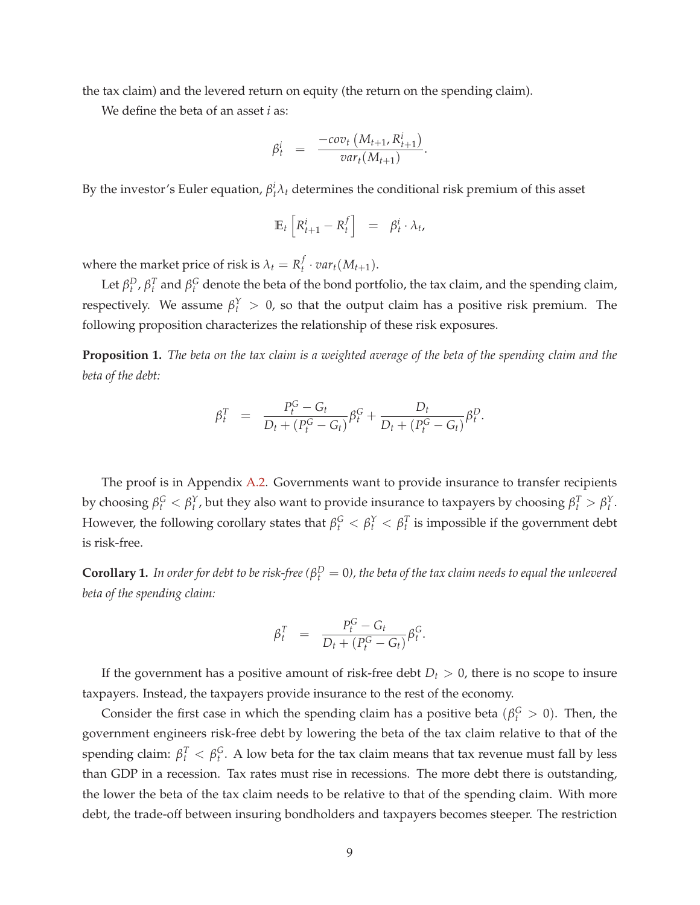the tax claim) and the levered return on equity (the return on the spending claim).

We define the beta of an asset *i* as:

$$
\beta_t^i = \frac{-cov_t(M_{t+1}, R_{t+1}^i)}{var_t(M_{t+1})}.
$$

By the investor's Euler equation,  $\beta_i^i \lambda_i$  determines the conditional risk premium of this asset

$$
\mathbb{E}_t \left[ R^i_{t+1} - R^f_t \right] = \beta^i_t \cdot \lambda_t,
$$

where the market price of risk is  $\lambda_t = R_t^f$  $\int_t^f \cdot var_t(M_{t+1}).$ 

Let  $\beta_t^D$ ,  $\beta_t^T$  and  $\beta_t^G$  denote the beta of the bond portfolio, the tax claim, and the spending claim, respectively. We assume  $\beta_t^Y > 0$ , so that the output claim has a positive risk premium. The following proposition characterizes the relationship of these risk exposures.

**Proposition 1.** *The beta on the tax claim is a weighted average of the beta of the spending claim and the beta of the debt:*

$$
\beta_t^T = \frac{P_t^G - G_t}{D_t + (P_t^G - G_t)} \beta_t^G + \frac{D_t}{D_t + (P_t^G - G_t)} \beta_t^D.
$$

The proof is in Appendix A.2. Governments want to provide insurance to transfer recipients by choosing  $\beta_t^G < \beta_t^Y$ , but they also want to provide insurance to taxpayers by choosing  $\beta_t^T > \beta_t^Y$ . However, the following corollary states that  $\beta_t^G < \beta_t^Y < \beta_t^T$  is impossible if the government debt is risk-free.

**Corollary 1.** In order for debt to be risk-free ( $\beta_t^D = 0$ ), the beta of the tax claim needs to equal the unlevered *beta of the spending claim:*

$$
\beta_t^T = \frac{P_t^G - G_t}{D_t + (P_t^G - G_t)} \beta_t^G.
$$

If the government has a positive amount of risk-free debt  $D_t > 0$ , there is no scope to insure taxpayers. Instead, the taxpayers provide insurance to the rest of the economy.

Consider the first case in which the spending claim has a positive beta ( $\beta_t^G > 0$ ). Then, the government engineers risk-free debt by lowering the beta of the tax claim relative to that of the spending claim:  $\beta_t^T < \beta_t^G$ . A low beta for the tax claim means that tax revenue must fall by less than GDP in a recession. Tax rates must rise in recessions. The more debt there is outstanding, the lower the beta of the tax claim needs to be relative to that of the spending claim. With more debt, the trade-off between insuring bondholders and taxpayers becomes steeper. The restriction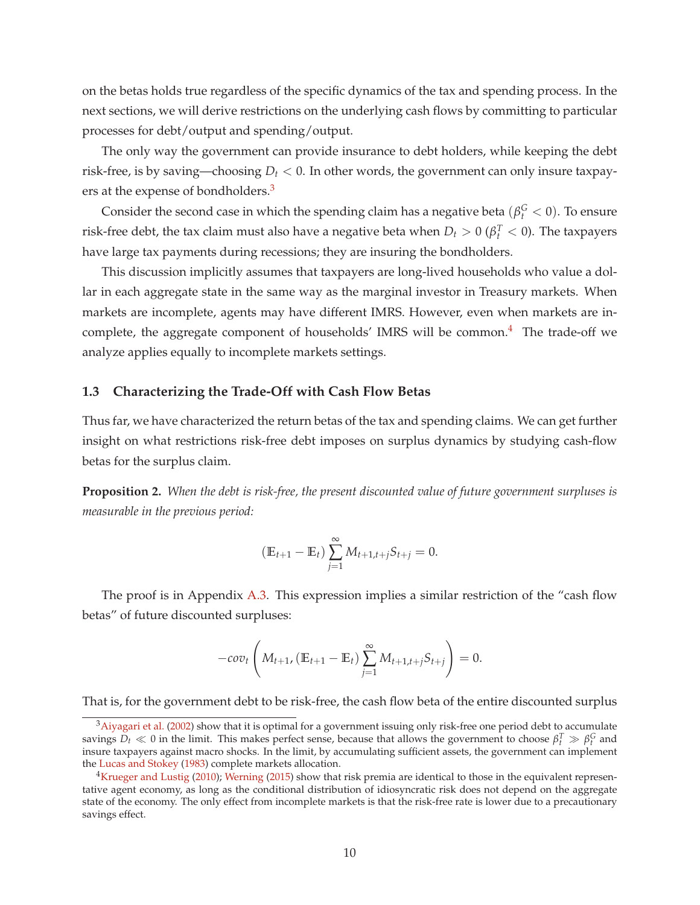on the betas holds true regardless of the specific dynamics of the tax and spending process. In the next sections, we will derive restrictions on the underlying cash flows by committing to particular processes for debt/output and spending/output.

The only way the government can provide insurance to debt holders, while keeping the debt risk-free, is by saving—choosing  $D_t < 0$ . In other words, the government can only insure taxpayers at the expense of bondholders.<sup>3</sup>

Consider the second case in which the spending claim has a negative beta  $(\beta_t^G < 0)$ . To ensure risk-free debt, the tax claim must also have a negative beta when  $D_t > 0$  ( $\beta_t^T < 0$ ). The taxpayers have large tax payments during recessions; they are insuring the bondholders.

This discussion implicitly assumes that taxpayers are long-lived households who value a dollar in each aggregate state in the same way as the marginal investor in Treasury markets. When markets are incomplete, agents may have different IMRS. However, even when markets are incomplete, the aggregate component of households' IMRS will be common.<sup>4</sup> The trade-off we analyze applies equally to incomplete markets settings.

#### **1.3 Characterizing the Trade-Off with Cash Flow Betas**

Thus far, we have characterized the return betas of the tax and spending claims. We can get further insight on what restrictions risk-free debt imposes on surplus dynamics by studying cash-flow betas for the surplus claim.

**Proposition 2.** *When the debt is risk-free, the present discounted value of future government surpluses is measurable in the previous period:*

$$
(\mathbb{E}_{t+1} - \mathbb{E}_t) \sum_{j=1}^{\infty} M_{t+1,t+j} S_{t+j} = 0.
$$

The proof is in Appendix A.3. This expression implies a similar restriction of the "cash flow betas" of future discounted surpluses:

$$
-cov_t\left(M_{t+1}, (\mathbb{E}_{t+1} - \mathbb{E}_t) \sum_{j=1}^{\infty} M_{t+1,t+j} S_{t+j}\right) = 0.
$$

That is, for the government debt to be risk-free, the cash flow beta of the entire discounted surplus

<sup>&</sup>lt;sup>3</sup>Aiyagari et al. (2002) show that it is optimal for a government issuing only risk-free one period debt to accumulate savings  $D_t \ll 0$  in the limit. This makes perfect sense, because that allows the government to choose  $\beta_t^T \gg \beta_t^G$  and insure taxpayers against macro shocks. In the limit, by accumulating sufficient assets, the government can implement the Lucas and Stokey (1983) complete markets allocation.

<sup>&</sup>lt;sup>4</sup>Krueger and Lustig (2010); Werning (2015) show that risk premia are identical to those in the equivalent representative agent economy, as long as the conditional distribution of idiosyncratic risk does not depend on the aggregate state of the economy. The only effect from incomplete markets is that the risk-free rate is lower due to a precautionary savings effect.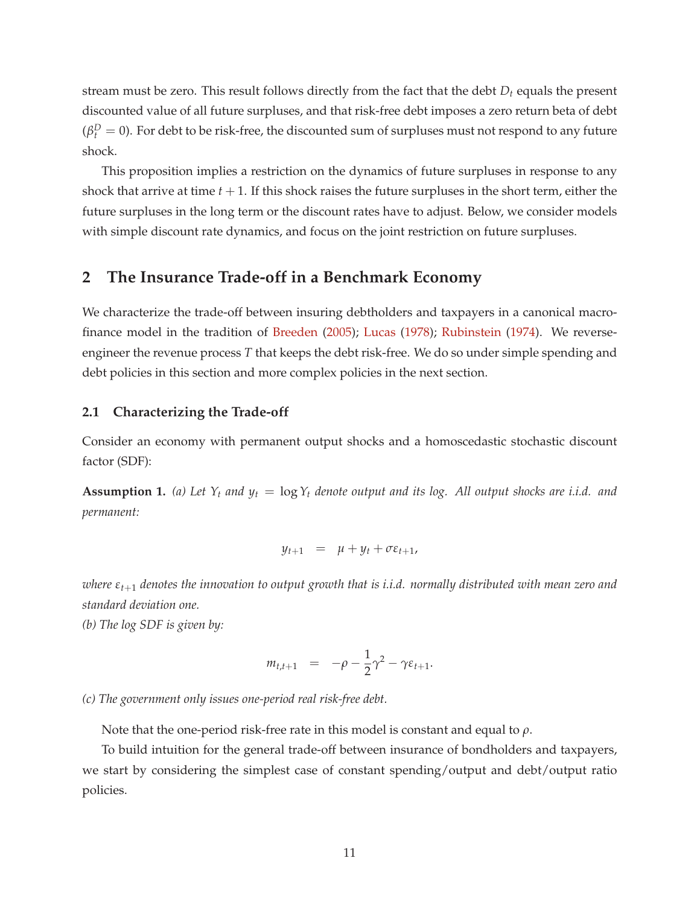stream must be zero. This result follows directly from the fact that the debt *D<sup>t</sup>* equals the present discounted value of all future surpluses, and that risk-free debt imposes a zero return beta of debt  $(\beta_t^D=0)$ . For debt to be risk-free, the discounted sum of surpluses must not respond to any future shock.

This proposition implies a restriction on the dynamics of future surpluses in response to any shock that arrive at time  $t + 1$ . If this shock raises the future surpluses in the short term, either the future surpluses in the long term or the discount rates have to adjust. Below, we consider models with simple discount rate dynamics, and focus on the joint restriction on future surpluses.

# **2 The Insurance Trade-off in a Benchmark Economy**

We characterize the trade-off between insuring debtholders and taxpayers in a canonical macrofinance model in the tradition of Breeden (2005); Lucas (1978); Rubinstein (1974). We reverseengineer the revenue process *T* that keeps the debt risk-free. We do so under simple spending and debt policies in this section and more complex policies in the next section.

### **2.1 Characterizing the Trade-off**

Consider an economy with permanent output shocks and a homoscedastic stochastic discount factor (SDF):

**Assumption 1.** (a) Let  $Y_t$  and  $y_t = \log Y_t$  denote output and its log. All output shocks are i.i.d. and *permanent:*

$$
y_{t+1} = \mu + y_t + \sigma \varepsilon_{t+1},
$$

*where εt*+<sup>1</sup> *denotes the innovation to output growth that is i.i.d. normally distributed with mean zero and standard deviation one.*

*(b) The log SDF is given by:*

$$
m_{t,t+1} = -\rho - \frac{1}{2}\gamma^2 - \gamma \varepsilon_{t+1}.
$$

*(c) The government only issues one-period real risk-free debt.*

Note that the one-period risk-free rate in this model is constant and equal to *ρ*.

To build intuition for the general trade-off between insurance of bondholders and taxpayers, we start by considering the simplest case of constant spending/output and debt/output ratio policies.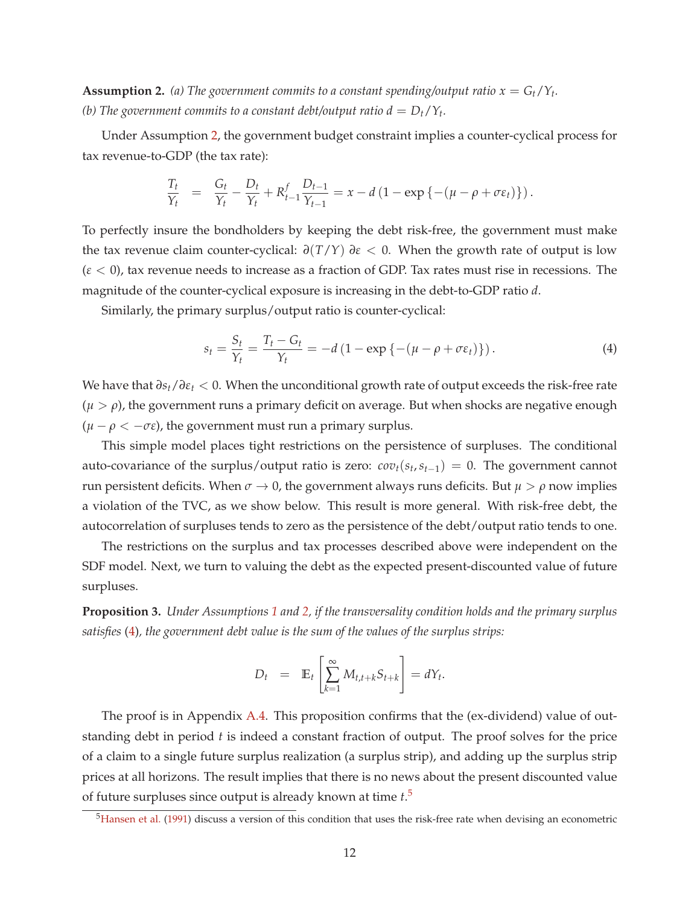**Assumption 2.** (a) The government commits to a constant spending/output ratio  $x = G_t/Y_t$ . *(b)* The government commits to a constant debt/output ratio  $d = D_t/Y_t$ .

Under Assumption 2, the government budget constraint implies a counter-cyclical process for tax revenue-to-GDP (the tax rate):

$$
\frac{T_t}{Y_t} = \frac{G_t}{Y_t} - \frac{D_t}{Y_t} + R_{t-1}^f \frac{D_{t-1}}{Y_{t-1}} = x - d \left( 1 - \exp \left\{ - (\mu - \rho + \sigma \varepsilon_t) \right\} \right).
$$

To perfectly insure the bondholders by keeping the debt risk-free, the government must make the tax revenue claim counter-cyclical:  $∂(T/Y) ∂ε < 0$ . When the growth rate of output is low (*ε* < 0), tax revenue needs to increase as a fraction of GDP. Tax rates must rise in recessions. The magnitude of the counter-cyclical exposure is increasing in the debt-to-GDP ratio *d*.

Similarly, the primary surplus/output ratio is counter-cyclical:

$$
s_t = \frac{S_t}{Y_t} = \frac{T_t - G_t}{Y_t} = -d\left(1 - \exp\left\{-\left(\mu - \rho + \sigma \varepsilon_t\right)\right\}\right). \tag{4}
$$

We have that *∂st*/*∂ε<sup>t</sup>* < 0. When the unconditional growth rate of output exceeds the risk-free rate  $(\mu > \rho)$ , the government runs a primary deficit on average. But when shocks are negative enough  $(\mu - \rho < -\sigma \epsilon)$ , the government must run a primary surplus.

This simple model places tight restrictions on the persistence of surpluses. The conditional auto-covariance of the surplus/output ratio is zero:  $cov_t(s_t, s_{t-1}) = 0$ . The government cannot run persistent deficits. When  $\sigma \to 0$ , the government always runs deficits. But  $\mu > \rho$  now implies a violation of the TVC, as we show below. This result is more general. With risk-free debt, the autocorrelation of surpluses tends to zero as the persistence of the debt/output ratio tends to one.

The restrictions on the surplus and tax processes described above were independent on the SDF model. Next, we turn to valuing the debt as the expected present-discounted value of future surpluses.

**Proposition 3.** *Under Assumptions 1 and 2, if the transversality condition holds and the primary surplus satisfies* (4)*, the government debt value is the sum of the values of the surplus strips:*

$$
D_t = \mathbb{E}_t \left[ \sum_{k=1}^{\infty} M_{t,t+k} S_{t+k} \right] = dY_t.
$$

The proof is in Appendix A.4. This proposition confirms that the (ex-dividend) value of outstanding debt in period *t* is indeed a constant fraction of output. The proof solves for the price of a claim to a single future surplus realization (a surplus strip), and adding up the surplus strip prices at all horizons. The result implies that there is no news about the present discounted value of future surpluses since output is already known at time *t*. 5

 $<sup>5</sup>$ Hansen et al. (1991) discuss a version of this condition that uses the risk-free rate when devising an econometric</sup>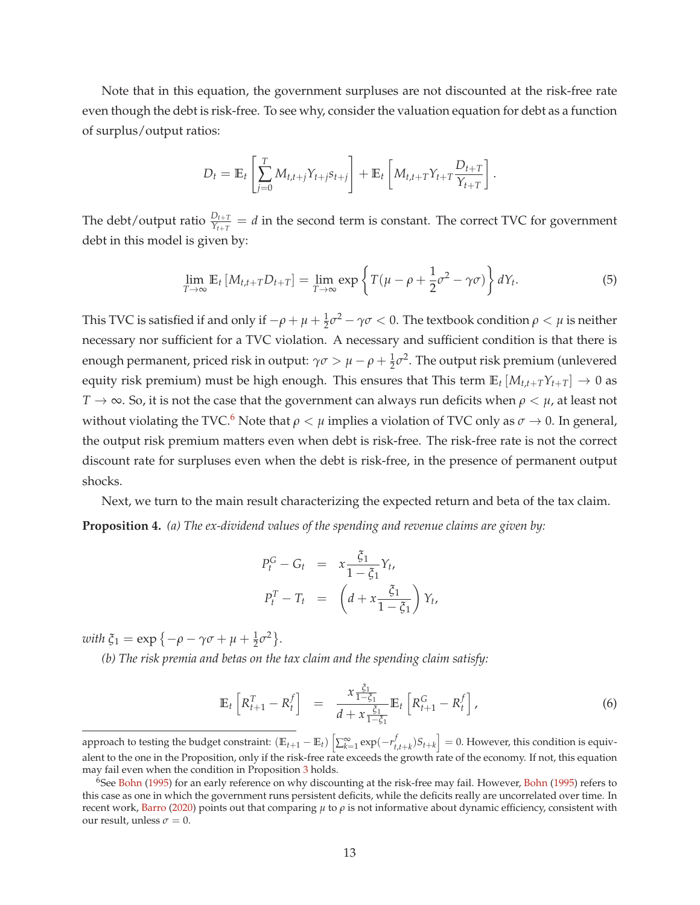Note that in this equation, the government surpluses are not discounted at the risk-free rate even though the debt is risk-free. To see why, consider the valuation equation for debt as a function of surplus/output ratios:

$$
D_t = \mathbb{E}_t \left[ \sum_{j=0}^T M_{t,t+j} Y_{t+j} s_{t+j} \right] + \mathbb{E}_t \left[ M_{t,t+T} Y_{t+T} \frac{D_{t+T}}{Y_{t+T}} \right].
$$

The debt/output ratio  $\frac{D_{t+T}}{Y_{t+T}} = d$  in the second term is constant. The correct TVC for government debt in this model is given by:

$$
\lim_{T \to \infty} \mathbb{E}_t \left[ M_{t,t+T} D_{t+T} \right] = \lim_{T \to \infty} \exp \left\{ T(\mu - \rho + \frac{1}{2} \sigma^2 - \gamma \sigma) \right\} dY_t.
$$
 (5)

This TVC is satisfied if and only if  $-\rho+\mu+\frac{1}{2}\sigma^2-\gamma\sigma< 0$ . The textbook condition  $\rho<\mu$  is neither necessary nor sufficient for a TVC violation. A necessary and sufficient condition is that there is enough permanent, priced risk in output:  $\gamma \sigma > \mu - \rho + \frac{1}{2} \sigma^2$ . The output risk premium (unlevered equity risk premium) must be high enough. This ensures that This term  $\mathbb{E}_t [M_{t,t+T}Y_{t+T}] \to 0$  as  $T \rightarrow \infty$ . So, it is not the case that the government can always run deficits when  $\rho < \mu$ , at least not without violating the TVC.<sup>6</sup> Note that  $\rho < \mu$  implies a violation of TVC only as  $\sigma \to 0$ . In general, the output risk premium matters even when debt is risk-free. The risk-free rate is not the correct discount rate for surpluses even when the debt is risk-free, in the presence of permanent output shocks.

Next, we turn to the main result characterizing the expected return and beta of the tax claim. **Proposition 4.** *(a) The ex-dividend values of the spending and revenue claims are given by:*

$$
P_t^G - G_t = x \frac{\xi_1}{1 - \xi_1} Y_t,
$$
  

$$
P_t^T - T_t = \left( d + x \frac{\xi_1}{1 - \xi_1} \right) Y_t,
$$

 $\omega$ *ith*  $\xi_1 = \exp\{-\rho - \gamma\sigma + \mu + \frac{1}{2}\sigma^2\}.$ 

*(b) The risk premia and betas on the tax claim and the spending claim satisfy:*

$$
\mathbb{E}_{t}\left[R_{t+1}^{T}-R_{t}^{f}\right] = \frac{x \frac{\xi_{1}}{1-\xi_{1}}}{d+x \frac{\xi_{1}}{1-\xi_{1}}} \mathbb{E}_{t}\left[R_{t+1}^{G}-R_{t}^{f}\right],
$$
\n(6)

approach to testing the budget constraint:  $(\mathbb{E}_{t+1} - \mathbb{E}_t) \left[ \sum_{k=1}^{\infty} \exp(-r_t^f \right]$  $\begin{bmatrix} f \ t,t+k \end{bmatrix}$  = 0. However, this condition is equivalent to the one in the Proposition, only if the risk-free rate exceeds the growth rate of the economy. If not, this equation may fail even when the condition in Proposition 3 holds.

<sup>&</sup>lt;sup>6</sup>See Bohn (1995) for an early reference on why discounting at the risk-free may fail. However, Bohn (1995) refers to this case as one in which the government runs persistent deficits, while the deficits really are uncorrelated over time. In recent work, Barro (2020) points out that comparing *µ* to *ρ* is not informative about dynamic efficiency, consistent with our result, unless  $\sigma = 0$ .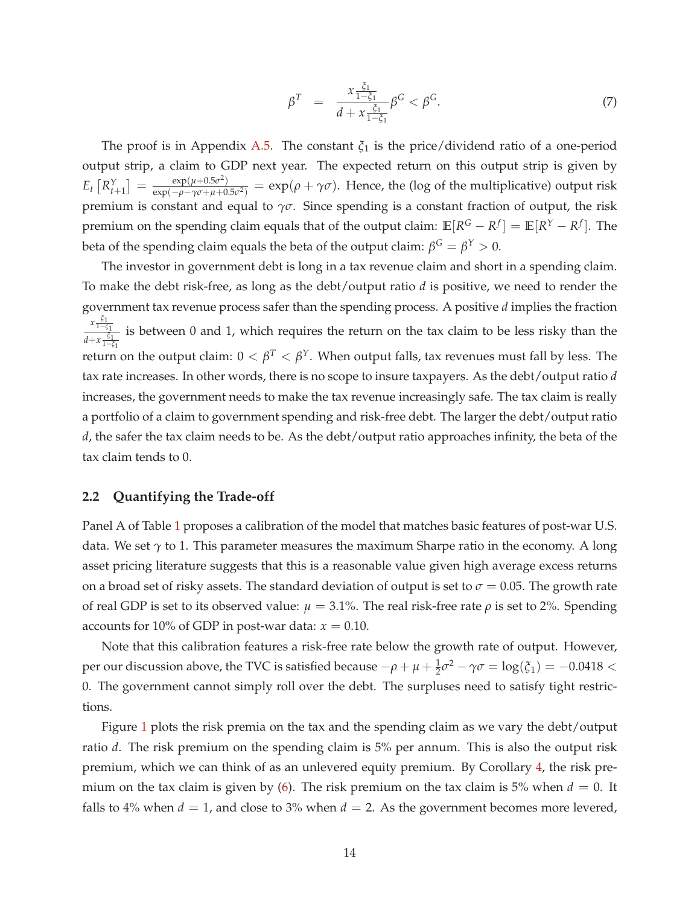$$
\beta^T = \frac{x \frac{\xi_1}{1 - \xi_1}}{d + x \frac{\xi_1}{1 - \xi_1}} \beta^G < \beta^G. \tag{7}
$$

The proof is in Appendix A.5. The constant  $\xi_1$  is the price/dividend ratio of a one-period output strip, a claim to GDP next year. The expected return on this output strip is given by  $E_t\left[R_{t+1}^Y\right] = \frac{\exp(\mu + 0.5\sigma^2)}{\exp(-\rho - \gamma \sigma + \mu + 0)}$  $\frac{\exp(\mu+0.5\nu)}{\exp(-\rho-\gamma\sigma+\mu+0.5\nu^2)}$  = exp( $\rho+\gamma\sigma$ ). Hence, the (log of the multiplicative) output risk premium is constant and equal to *γσ*. Since spending is a constant fraction of output, the risk premium on the spending claim equals that of the output claim:  $\mathbb{E}[R^G - R^f] = \mathbb{E}[R^Y - R^f]$ . The beta of the spending claim equals the beta of the output claim:  $β^G = β^Y > 0$ .

The investor in government debt is long in a tax revenue claim and short in a spending claim. To make the debt risk-free, as long as the debt/output ratio *d* is positive, we need to render the government tax revenue process safer than the spending process. A positive *d* implies the fraction *x ξ*1 1−*ξ*1 *d*+ $x \frac{\xi_1}{1-\xi_1}$ is between 0 and 1, which requires the return on the tax claim to be less risky than the return on the output claim:  $0 < \beta^T < \beta^\gamma$ . When output falls, tax revenues must fall by less. The tax rate increases. In other words, there is no scope to insure taxpayers. As the debt/output ratio *d* increases, the government needs to make the tax revenue increasingly safe. The tax claim is really a portfolio of a claim to government spending and risk-free debt. The larger the debt/output ratio *d*, the safer the tax claim needs to be. As the debt/output ratio approaches infinity, the beta of the tax claim tends to 0.

### **2.2 Quantifying the Trade-off**

Panel A of Table 1 proposes a calibration of the model that matches basic features of post-war U.S. data. We set *γ* to 1. This parameter measures the maximum Sharpe ratio in the economy. A long asset pricing literature suggests that this is a reasonable value given high average excess returns on a broad set of risky assets. The standard deviation of output is set to  $\sigma = 0.05$ . The growth rate of real GDP is set to its observed value:  $\mu = 3.1\%$ . The real risk-free rate  $\rho$  is set to 2%. Spending accounts for 10% of GDP in post-war data:  $x = 0.10$ .

Note that this calibration features a risk-free rate below the growth rate of output. However, per our discussion above, the TVC is satisfied because  $-\rho + \mu + \frac{1}{2}\sigma^2 - \gamma\sigma = \log(\xi_1) = -0.0418 <$ 0. The government cannot simply roll over the debt. The surpluses need to satisfy tight restrictions.

Figure 1 plots the risk premia on the tax and the spending claim as we vary the debt/output ratio *d*. The risk premium on the spending claim is 5% per annum. This is also the output risk premium, which we can think of as an unlevered equity premium. By Corollary 4, the risk premium on the tax claim is given by (6). The risk premium on the tax claim is 5% when  $d = 0$ . It falls to 4% when  $d = 1$ , and close to 3% when  $d = 2$ . As the government becomes more levered,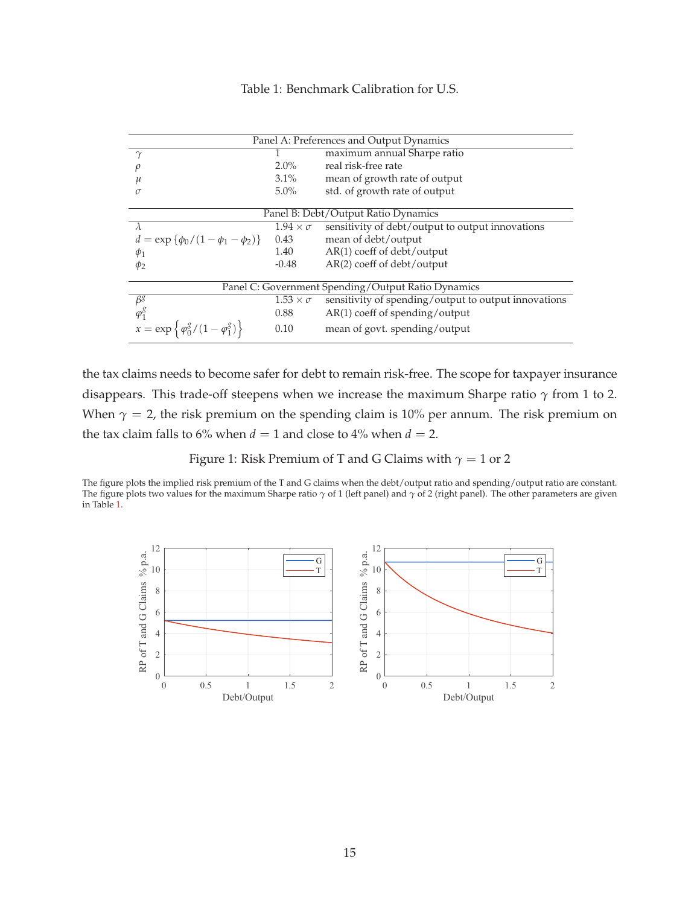### Table 1: Benchmark Calibration for U.S.

|                                                           |                      | Panel A: Preferences and Output Dynamics             |
|-----------------------------------------------------------|----------------------|------------------------------------------------------|
| $\gamma$                                                  |                      | maximum annual Sharpe ratio                          |
|                                                           | $2.0\%$              | real risk-free rate                                  |
|                                                           | $3.1\%$              | mean of growth rate of output                        |
|                                                           | $5.0\%$              | std. of growth rate of output                        |
|                                                           |                      |                                                      |
|                                                           |                      | Panel B: Debt/Output Ratio Dynamics                  |
| $\lambda$                                                 | $1.94 \times \sigma$ | sensitivity of debt/output to output innovations     |
| $d = \exp \{\phi_0/(1-\phi_1-\phi_2)\}\$                  | 0.43                 | mean of debt/output                                  |
| $\phi_1$                                                  | 1.40                 | $AR(1)$ coeff of debt/output                         |
| $\phi_2$                                                  | $-0.48$              | $AR(2)$ coeff of debt/output                         |
|                                                           |                      |                                                      |
|                                                           |                      | Panel C: Government Spending/Output Ratio Dynamics   |
| $\beta^g$                                                 | $1.53 \times \sigma$ | sensitivity of spending/output to output innovations |
| $\varphi_1^g$                                             | 0.88                 | $AR(1)$ coeff of spending/output                     |
| $x = \exp \left\{ \frac{\phi_0^g}{1 - \phi_1^g} \right\}$ | 0.10                 | mean of govt. spending/output                        |

the tax claims needs to become safer for debt to remain risk-free. The scope for taxpayer insurance disappears. This trade-off steepens when we increase the maximum Sharpe ratio *γ* from 1 to 2. When  $\gamma = 2$ , the risk premium on the spending claim is 10% per annum. The risk premium on the tax claim falls to 6% when  $d = 1$  and close to 4% when  $d = 2$ .

Figure 1: Risk Premium of T and G Claims with *γ* = 1 or 2

The figure plots the implied risk premium of the T and G claims when the debt/output ratio and spending/output ratio are constant. The figure plots two values for the maximum Sharpe ratio *γ* of 1 (left panel) and *γ* of 2 (right panel). The other parameters are given in Table 1.

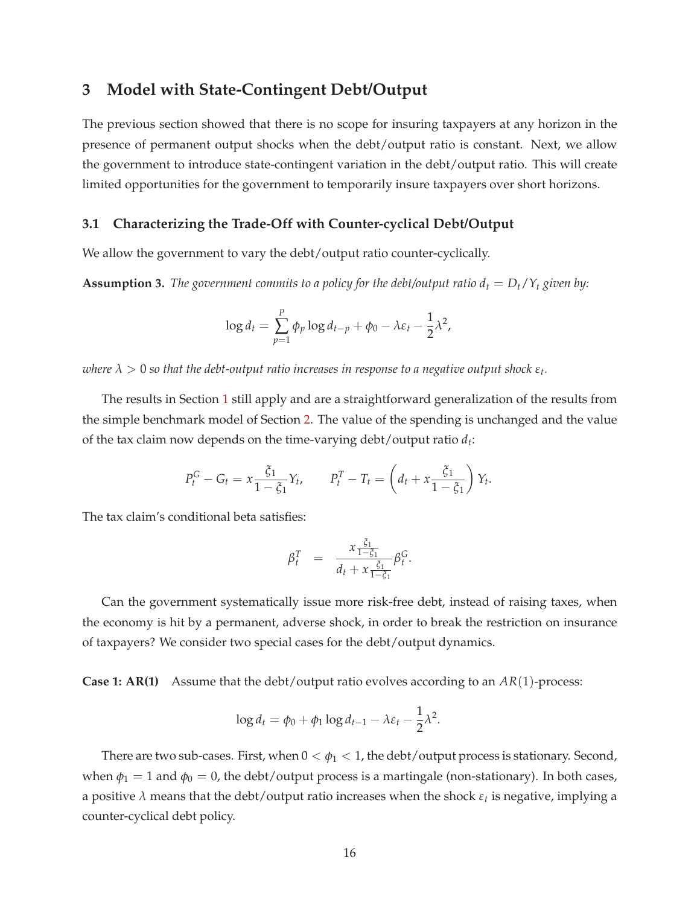# **3 Model with State-Contingent Debt/Output**

The previous section showed that there is no scope for insuring taxpayers at any horizon in the presence of permanent output shocks when the debt/output ratio is constant. Next, we allow the government to introduce state-contingent variation in the debt/output ratio. This will create limited opportunities for the government to temporarily insure taxpayers over short horizons.

### **3.1 Characterizing the Trade-Off with Counter-cyclical Debt/Output**

We allow the government to vary the debt/output ratio counter-cyclically.

**Assumption 3.** The government commits to a policy for the debt/output ratio  $d_t = D_t/Y_t$  given by:

$$
\log d_t = \sum_{p=1}^P \phi_p \log d_{t-p} + \phi_0 - \lambda \varepsilon_t - \frac{1}{2} \lambda^2,
$$

 $\alpha$  *λ*  $>$  0 so that the debt-output ratio increases in response to a negative output shock  $\varepsilon_t$ .

The results in Section 1 still apply and are a straightforward generalization of the results from the simple benchmark model of Section 2. The value of the spending is unchanged and the value of the tax claim now depends on the time-varying debt/output ratio *d<sup>t</sup>* :

$$
P_t^G - G_t = x \frac{\xi_1}{1 - \xi_1} Y_t, \qquad P_t^T - T_t = \left(d_t + x \frac{\xi_1}{1 - \xi_1}\right) Y_t.
$$

The tax claim's conditional beta satisfies:

$$
\beta_t^T = \frac{x \frac{\xi_1}{1-\xi_1}}{d_t + x \frac{\xi_1}{1-\xi_1}} \beta_t^G.
$$

Can the government systematically issue more risk-free debt, instead of raising taxes, when the economy is hit by a permanent, adverse shock, in order to break the restriction on insurance of taxpayers? We consider two special cases for the debt/output dynamics.

**Case 1: AR(1)** Assume that the debt/output ratio evolves according to an  $AR(1)$ -process:

$$
\log d_t = \phi_0 + \phi_1 \log d_{t-1} - \lambda \varepsilon_t - \frac{1}{2} \lambda^2.
$$

There are two sub-cases. First, when  $0 < \phi_1 < 1$ , the debt/output process is stationary. Second, when  $\phi_1 = 1$  and  $\phi_0 = 0$ , the debt/output process is a martingale (non-stationary). In both cases, a positive *λ* means that the debt/output ratio increases when the shock *ε<sup>t</sup>* is negative, implying a counter-cyclical debt policy.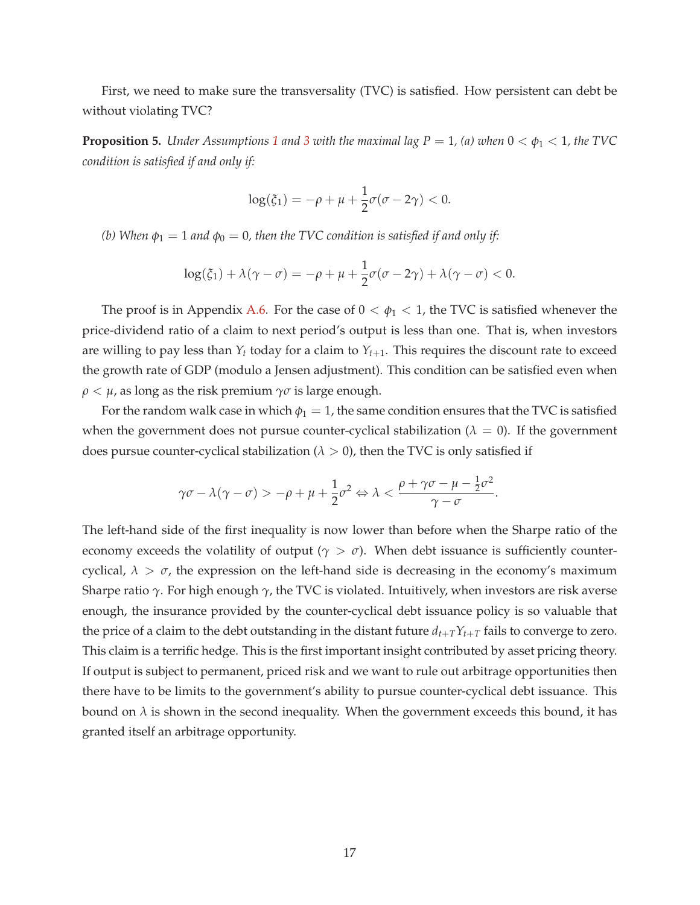First, we need to make sure the transversality (TVC) is satisfied. How persistent can debt be without violating TVC?

**Proposition 5.** *Under Assumptions* 1 *and* 3 *with the maximal lag*  $P = 1$ *, (a) when*  $0 < \phi_1 < 1$ *, the* TVC *condition is satisfied if and only if:*

$$
\log(\xi_1) = -\rho + \mu + \frac{1}{2}\sigma(\sigma - 2\gamma) < 0.
$$

*(b)* When  $\phi_1 = 1$  *and*  $\phi_0 = 0$ *, then the TVC condition is satisfied if and only if:* 

$$
\log(\xi_1) + \lambda(\gamma - \sigma) = -\rho + \mu + \frac{1}{2}\sigma(\sigma - 2\gamma) + \lambda(\gamma - \sigma) < 0.
$$

The proof is in Appendix A.6. For the case of  $0 < \phi_1 < 1$ , the TVC is satisfied whenever the price-dividend ratio of a claim to next period's output is less than one. That is, when investors are willing to pay less than  $Y_t$  today for a claim to  $Y_{t+1}$ . This requires the discount rate to exceed the growth rate of GDP (modulo a Jensen adjustment). This condition can be satisfied even when  $\rho < \mu$ , as long as the risk premium  $\gamma \sigma$  is large enough.

For the random walk case in which  $\phi_1 = 1$ , the same condition ensures that the TVC is satisfied when the government does not pursue counter-cyclical stabilization ( $\lambda = 0$ ). If the government does pursue counter-cyclical stabilization ( $\lambda > 0$ ), then the TVC is only satisfied if

$$
\gamma \sigma - \lambda (\gamma - \sigma) > -\rho + \mu + \frac{1}{2} \sigma^2 \Leftrightarrow \lambda < \frac{\rho + \gamma \sigma - \mu - \frac{1}{2} \sigma^2}{\gamma - \sigma}.
$$

The left-hand side of the first inequality is now lower than before when the Sharpe ratio of the economy exceeds the volatility of output ( $\gamma > \sigma$ ). When debt issuance is sufficiently countercyclical,  $\lambda > \sigma$ , the expression on the left-hand side is decreasing in the economy's maximum Sharpe ratio *γ*. For high enough *γ*, the TVC is violated. Intuitively, when investors are risk averse enough, the insurance provided by the counter-cyclical debt issuance policy is so valuable that the price of a claim to the debt outstanding in the distant future  $d_{t+T}Y_{t+T}$  fails to converge to zero. This claim is a terrific hedge. This is the first important insight contributed by asset pricing theory. If output is subject to permanent, priced risk and we want to rule out arbitrage opportunities then there have to be limits to the government's ability to pursue counter-cyclical debt issuance. This bound on  $\lambda$  is shown in the second inequality. When the government exceeds this bound, it has granted itself an arbitrage opportunity.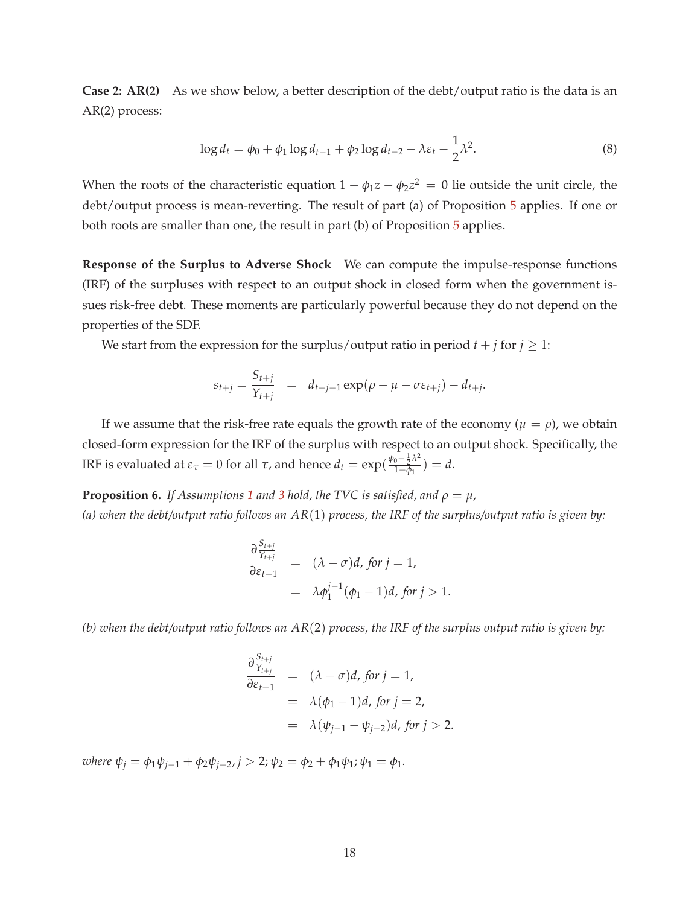**Case 2: AR(2)** As we show below, a better description of the debt/output ratio is the data is an AR(2) process:

$$
\log d_t = \phi_0 + \phi_1 \log d_{t-1} + \phi_2 \log d_{t-2} - \lambda \varepsilon_t - \frac{1}{2} \lambda^2.
$$
 (8)

When the roots of the characteristic equation  $1 - \phi_1 z - \phi_2 z^2 = 0$  lie outside the unit circle, the debt/output process is mean-reverting. The result of part (a) of Proposition 5 applies. If one or both roots are smaller than one, the result in part (b) of Proposition 5 applies.

**Response of the Surplus to Adverse Shock** We can compute the impulse-response functions (IRF) of the surpluses with respect to an output shock in closed form when the government issues risk-free debt. These moments are particularly powerful because they do not depend on the properties of the SDF.

We start from the expression for the surplus/output ratio in period  $t + j$  for  $j \ge 1$ :

$$
s_{t+j} = \frac{S_{t+j}}{Y_{t+j}} = d_{t+j-1} \exp(\rho - \mu - \sigma \varepsilon_{t+j}) - d_{t+j}.
$$

If we assume that the risk-free rate equals the growth rate of the economy  $(\mu = \rho)$ , we obtain closed-form expression for the IRF of the surplus with respect to an output shock. Specifically, the IRF is evaluated at  $ε_τ = 0$  for all *τ*, and hence  $d_t = \exp(\frac{\phi_0 - \frac{1}{2} \lambda^2}{1 - \phi_0})$  $\frac{0-\bar{z}^{n}}{1-\phi_1}$ ) = *d*.

**Proposition 6.** *If Assumptions* 1 *and* 3 *hold, the TVC is satisfied, and*  $\rho = \mu$ *, (a) when the debt/output ratio follows an AR*(1) *process, the IRF of the surplus/output ratio is given by:*

$$
\frac{\partial \frac{S_{t+j}}{S_{t+1}}}{\partial \varepsilon_{t+1}} = (\lambda - \sigma)d, \text{ for } j = 1,
$$
  
=  $\lambda \phi_1^{j-1}(\phi_1 - 1)d, \text{ for } j > 1.$ 

*(b) when the debt/output ratio follows an AR*(2) *process, the IRF of the surplus output ratio is given by:*

$$
\frac{\partial \frac{S_{t+j}}{Y_{t+j}}}{\partial \varepsilon_{t+1}} = (\lambda - \sigma)d, \text{ for } j = 1,
$$
  
=  $\lambda(\phi_1 - 1)d, \text{ for } j = 2,$   
=  $\lambda(\psi_{j-1} - \psi_{j-2})d, \text{ for } j > 2.$ 

 $where \psi_j = \phi_1 \psi_{j-1} + \phi_2 \psi_{j-2}, j > 2; \psi_2 = \phi_2 + \phi_1 \psi_1; \psi_1 = \phi_1.$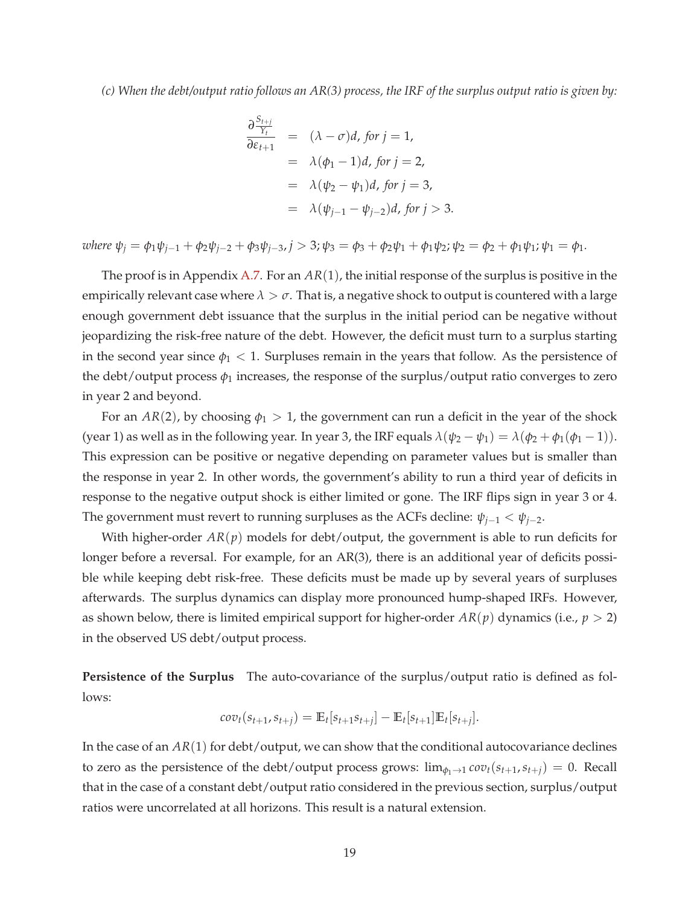*(c) When the debt/output ratio follows an AR(3) process, the IRF of the surplus output ratio is given by:*

$$
\frac{\partial \frac{S_{t+j}}{Y_t}}{\partial \varepsilon_{t+1}} = (\lambda - \sigma)d, \text{ for } j = 1,
$$
  
\n
$$
= \lambda(\phi_1 - 1)d, \text{ for } j = 2,
$$
  
\n
$$
= \lambda(\psi_2 - \psi_1)d, \text{ for } j = 3,
$$
  
\n
$$
= \lambda(\psi_{j-1} - \psi_{j-2})d, \text{ for } j > 3.
$$

where  $\psi_i = \phi_1 \psi_{i-1} + \phi_2 \psi_{i-2} + \phi_3 \psi_{i-3}$ ,  $j > 3$ ;  $\psi_3 = \phi_3 + \phi_2 \psi_1 + \phi_1 \psi_2$ ;  $\psi_2 = \phi_2 + \phi_1 \psi_1$ ;  $\psi_1 = \phi_1$ .

The proof is in Appendix A.7. For an *AR*(1), the initial response of the surplus is positive in the empirically relevant case where  $\lambda > \sigma$ . That is, a negative shock to output is countered with a large enough government debt issuance that the surplus in the initial period can be negative without jeopardizing the risk-free nature of the debt. However, the deficit must turn to a surplus starting in the second year since  $\phi_1$  < 1. Surpluses remain in the years that follow. As the persistence of the debt/output process  $\phi_1$  increases, the response of the surplus/output ratio converges to zero in year 2 and beyond.

For an  $AR(2)$ , by choosing  $\phi_1 > 1$ , the government can run a deficit in the year of the shock (year 1) as well as in the following year. In year 3, the IRF equals  $\lambda(\psi_2 - \psi_1) = \lambda(\phi_2 + \phi_1(\phi_1 - 1))$ . This expression can be positive or negative depending on parameter values but is smaller than the response in year 2. In other words, the government's ability to run a third year of deficits in response to the negative output shock is either limited or gone. The IRF flips sign in year 3 or 4. The government must revert to running surpluses as the ACFs decline:  $\psi_{i-1} < \psi_{i-2}$ .

With higher-order *AR*(*p*) models for debt/output, the government is able to run deficits for longer before a reversal. For example, for an AR(3), there is an additional year of deficits possible while keeping debt risk-free. These deficits must be made up by several years of surpluses afterwards. The surplus dynamics can display more pronounced hump-shaped IRFs. However, as shown below, there is limited empirical support for higher-order  $AR(p)$  dynamics (i.e.,  $p > 2$ ) in the observed US debt/output process.

**Persistence of the Surplus** The auto-covariance of the surplus/output ratio is defined as follows:

$$
cov_t(s_{t+1}, s_{t+j}) = \mathbb{E}_t[s_{t+1} s_{t+j}] - \mathbb{E}_t[s_{t+1}] \mathbb{E}_t[s_{t+j}].
$$

In the case of an *AR*(1) for debt/output, we can show that the conditional autocovariance declines to zero as the persistence of the debt/output process grows:  $\lim_{\phi_1 \to 1} cov_t(s_{t+1}, s_{t+1}) = 0$ . Recall that in the case of a constant debt/output ratio considered in the previous section, surplus/output ratios were uncorrelated at all horizons. This result is a natural extension.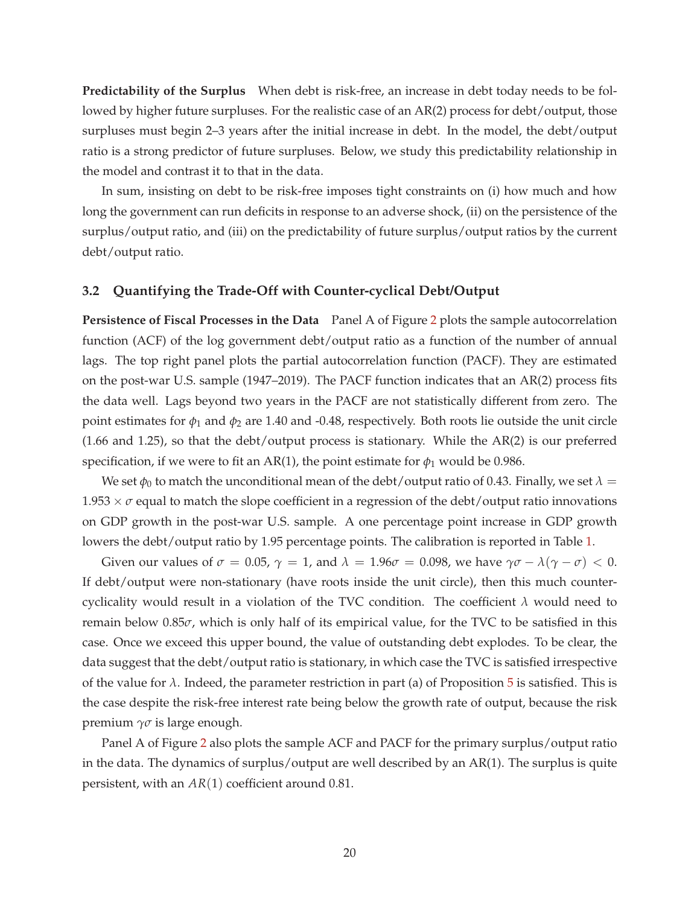**Predictability of the Surplus** When debt is risk-free, an increase in debt today needs to be followed by higher future surpluses. For the realistic case of an AR(2) process for debt/output, those surpluses must begin 2–3 years after the initial increase in debt. In the model, the debt/output ratio is a strong predictor of future surpluses. Below, we study this predictability relationship in the model and contrast it to that in the data.

In sum, insisting on debt to be risk-free imposes tight constraints on (i) how much and how long the government can run deficits in response to an adverse shock, (ii) on the persistence of the surplus/output ratio, and (iii) on the predictability of future surplus/output ratios by the current debt/output ratio.

### **3.2 Quantifying the Trade-Off with Counter-cyclical Debt/Output**

**Persistence of Fiscal Processes in the Data** Panel A of Figure 2 plots the sample autocorrelation function (ACF) of the log government debt/output ratio as a function of the number of annual lags. The top right panel plots the partial autocorrelation function (PACF). They are estimated on the post-war U.S. sample (1947–2019). The PACF function indicates that an AR(2) process fits the data well. Lags beyond two years in the PACF are not statistically different from zero. The point estimates for  $\phi_1$  and  $\phi_2$  are 1.40 and -0.48, respectively. Both roots lie outside the unit circle (1.66 and 1.25), so that the debt/output process is stationary. While the AR(2) is our preferred specification, if we were to fit an AR(1), the point estimate for  $\phi_1$  would be 0.986.

We set  $\phi_0$  to match the unconditional mean of the debt/output ratio of 0.43. Finally, we set  $\lambda =$  $1.953 \times \sigma$  equal to match the slope coefficient in a regression of the debt/output ratio innovations on GDP growth in the post-war U.S. sample. A one percentage point increase in GDP growth lowers the debt/output ratio by 1.95 percentage points. The calibration is reported in Table 1.

Given our values of  $\sigma = 0.05$ ,  $\gamma = 1$ , and  $\lambda = 1.96\sigma = 0.098$ , we have  $\gamma\sigma - \lambda(\gamma - \sigma) < 0$ . If debt/output were non-stationary (have roots inside the unit circle), then this much countercyclicality would result in a violation of the TVC condition. The coefficient *λ* would need to remain below 0.85*σ*, which is only half of its empirical value, for the TVC to be satisfied in this case. Once we exceed this upper bound, the value of outstanding debt explodes. To be clear, the data suggest that the debt/output ratio is stationary, in which case the TVC is satisfied irrespective of the value for  $\lambda$ . Indeed, the parameter restriction in part (a) of Proposition 5 is satisfied. This is the case despite the risk-free interest rate being below the growth rate of output, because the risk premium *γσ* is large enough.

Panel A of Figure 2 also plots the sample ACF and PACF for the primary surplus/output ratio in the data. The dynamics of surplus/output are well described by an AR(1). The surplus is quite persistent, with an *AR*(1) coefficient around 0.81.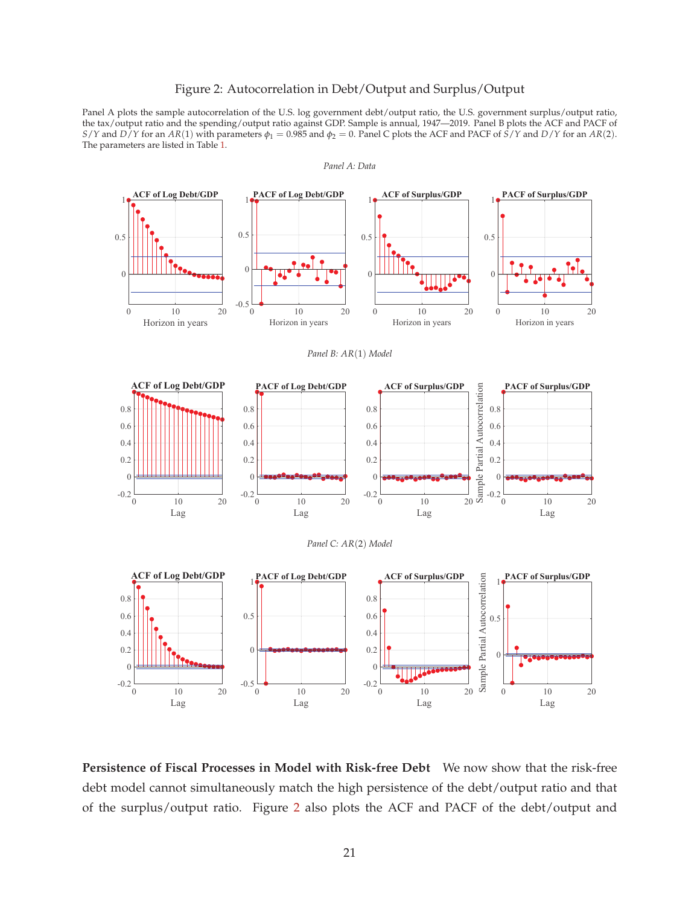### Figure 2: Autocorrelation in Debt/Output and Surplus/Output

Panel A plots the sample autocorrelation of the U.S. log government debt/output ratio, the U.S. government surplus/output ratio, the tax/output ratio and the spending/output ratio against GDP. Sample is annual, 1947—2019. Panel B plots the ACF and PACF of *S*/*Y* and *D*/*Y* for an *AR*(1) with parameters  $\phi_1 = 0.985$  and  $\phi_2 = 0$ . Panel C plots the ACF and PACF of *S*/*Y* and *D*/*Y* for an *AR*(2). The parameters are listed in Table 1.



**Persistence of Fiscal Processes in Model with Risk-free Debt** We now show that the risk-free debt model cannot simultaneously match the high persistence of the debt/output ratio and that of the surplus/output ratio. Figure 2 also plots the ACF and PACF of the debt/output and

*Panel A: Data*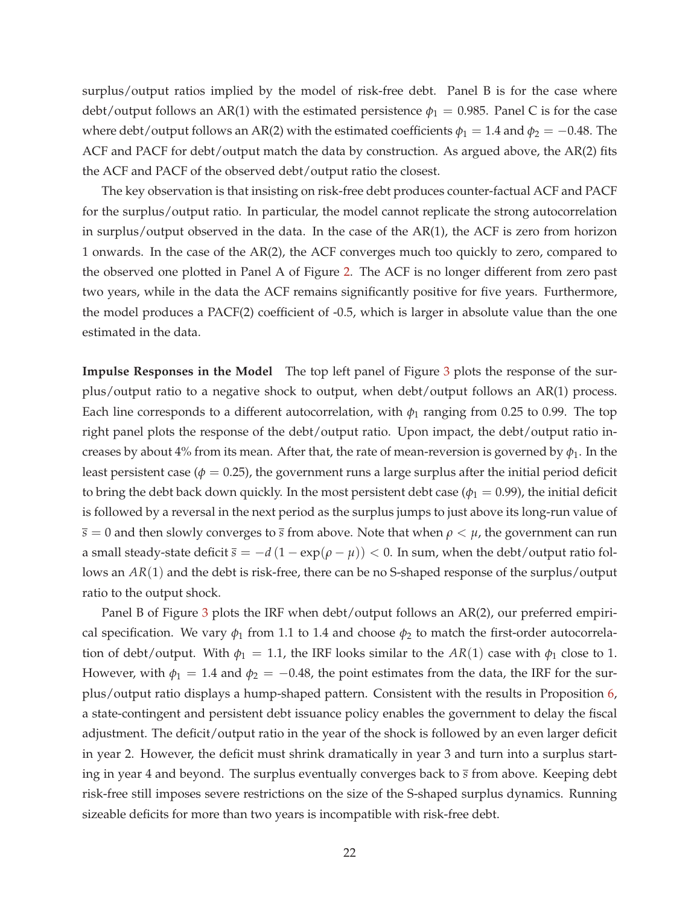surplus/output ratios implied by the model of risk-free debt. Panel B is for the case where debt/output follows an AR(1) with the estimated persistence  $\phi_1 = 0.985$ . Panel C is for the case where debt/output follows an AR(2) with the estimated coefficients  $\phi_1 = 1.4$  and  $\phi_2 = -0.48$ . The ACF and PACF for debt/output match the data by construction. As argued above, the AR(2) fits the ACF and PACF of the observed debt/output ratio the closest.

The key observation is that insisting on risk-free debt produces counter-factual ACF and PACF for the surplus/output ratio. In particular, the model cannot replicate the strong autocorrelation in surplus/output observed in the data. In the case of the AR(1), the ACF is zero from horizon 1 onwards. In the case of the AR(2), the ACF converges much too quickly to zero, compared to the observed one plotted in Panel A of Figure 2. The ACF is no longer different from zero past two years, while in the data the ACF remains significantly positive for five years. Furthermore, the model produces a PACF(2) coefficient of -0.5, which is larger in absolute value than the one estimated in the data.

**Impulse Responses in the Model** The top left panel of Figure 3 plots the response of the surplus/output ratio to a negative shock to output, when debt/output follows an AR(1) process. Each line corresponds to a different autocorrelation, with  $\phi_1$  ranging from 0.25 to 0.99. The top right panel plots the response of the debt/output ratio. Upon impact, the debt/output ratio increases by about 4% from its mean. After that, the rate of mean-reversion is governed by  $\phi_1$ . In the least persistent case ( $\phi = 0.25$ ), the government runs a large surplus after the initial period deficit to bring the debt back down quickly. In the most persistent debt case ( $\phi_1 = 0.99$ ), the initial deficit is followed by a reversal in the next period as the surplus jumps to just above its long-run value of  $\bar{s} = 0$  and then slowly converges to  $\bar{s}$  from above. Note that when  $\rho < \mu$ , the government can run a small steady-state deficit  $\bar{s} = -d(1 - \exp(\rho - \mu)) < 0$ . In sum, when the debt/output ratio follows an *AR*(1) and the debt is risk-free, there can be no S-shaped response of the surplus/output ratio to the output shock.

Panel B of Figure 3 plots the IRF when debt/output follows an AR(2), our preferred empirical specification. We vary  $\phi_1$  from 1.1 to 1.4 and choose  $\phi_2$  to match the first-order autocorrelation of debt/output. With  $\phi_1 = 1.1$ , the IRF looks similar to the  $AR(1)$  case with  $\phi_1$  close to 1. However, with  $\phi_1 = 1.4$  and  $\phi_2 = -0.48$ , the point estimates from the data, the IRF for the surplus/output ratio displays a hump-shaped pattern. Consistent with the results in Proposition 6, a state-contingent and persistent debt issuance policy enables the government to delay the fiscal adjustment. The deficit/output ratio in the year of the shock is followed by an even larger deficit in year 2. However, the deficit must shrink dramatically in year 3 and turn into a surplus starting in year 4 and beyond. The surplus eventually converges back to *s* from above. Keeping debt risk-free still imposes severe restrictions on the size of the S-shaped surplus dynamics. Running sizeable deficits for more than two years is incompatible with risk-free debt.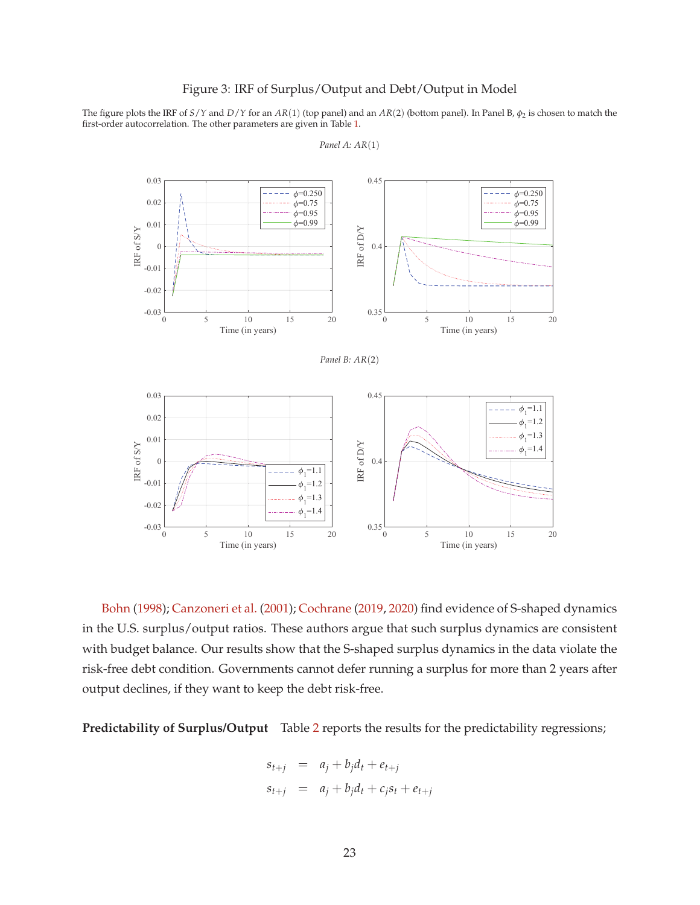### Figure 3: IRF of Surplus/Output and Debt/Output in Model

The figure plots the IRF of *S*/*Y* and *D*/*Y* for an *AR*(1) (top panel) and an *AR*(2) (bottom panel). In Panel B, *φ*<sup>2</sup> is chosen to match the first-order autocorrelation. The other parameters are given in Table 1.



*Panel A: AR*(1)

Bohn (1998); Canzoneri et al. (2001); Cochrane (2019, 2020) find evidence of S-shaped dynamics in the U.S. surplus/output ratios. These authors argue that such surplus dynamics are consistent with budget balance. Our results show that the S-shaped surplus dynamics in the data violate the risk-free debt condition. Governments cannot defer running a surplus for more than 2 years after output declines, if they want to keep the debt risk-free.

**Predictability of Surplus/Output** Table 2 reports the results for the predictability regressions;

$$
s_{t+j} = a_j + b_j d_t + e_{t+j}
$$
  

$$
s_{t+j} = a_j + b_j d_t + c_j s_t + e_{t+j}
$$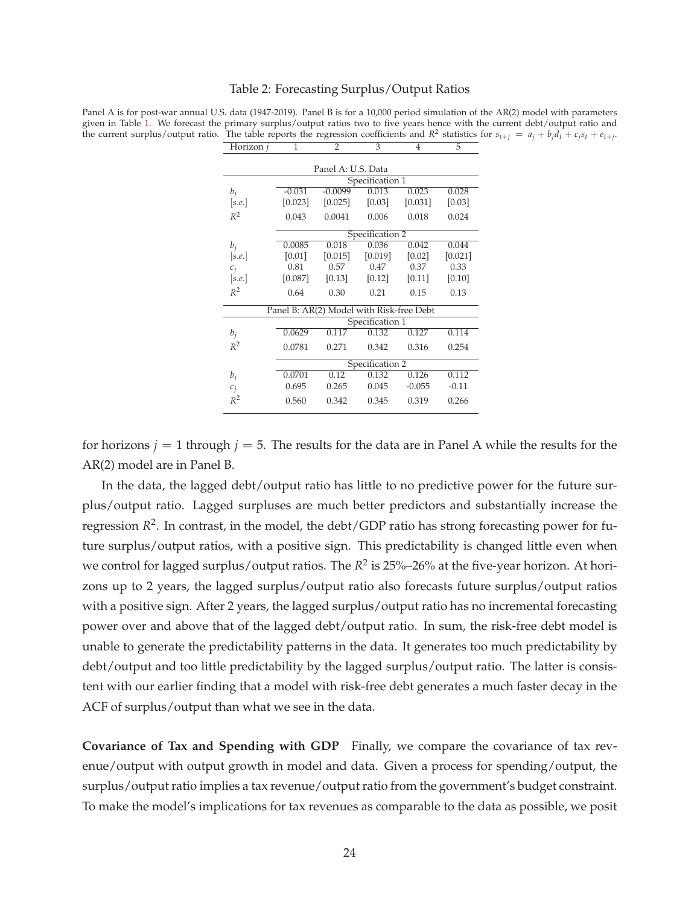#### Table 2: Forecasting Surplus/Output Ratios

Panel A is for post-war annual U.S. data (1947-2019). Panel B is for a 10,000 period simulation of the AR(2) model with parameters given in Table 1. We forecast the primary surplus/output ratios two to five years hence with the current debt/output ratio and the current surplus/output ratio. The table reports the regression coefficients and  $R^2$  statistics for  $s_{t+j} = a_j + b_j d_t + c_j s_t + e_{t+j}$ . Horizon *j* 1 2 3 4 5

|        |          | Panel A: U.S. Data                       |                 |          |         |
|--------|----------|------------------------------------------|-----------------|----------|---------|
|        |          |                                          | Specification 1 |          |         |
| $b_j$  | $-0.031$ | $-0.0099$                                | 0.013           | 0.023    | 0.028   |
| [s.e.] | [0.023]  | [0.025]                                  | [0.03]          | [0.031]  | [0.03]  |
| $R^2$  | 0.043    | 0.0041                                   | 0.006           | 0.018    | 0.024   |
|        |          |                                          | Specification 2 |          |         |
| $b_i$  | 0.0085   | 0.018                                    | 0.036           | 0.042    | 0.044   |
| [s.e.] | [0.01]   | [0.015]                                  | [0.019]         | [0.02]   | [0.021] |
| $c_i$  | 0.81     | 0.57                                     | 0.47            | 0.37     | 0.33    |
| [s.e.] | [0.087]  | [0.13]                                   | [0.12]          | [0.11]   | [0.10]  |
| $R^2$  | 0.64     | 0.30                                     | 0.21            | 0.15     | 0.13    |
|        |          | Panel B: AR(2) Model with Risk-free Debt |                 |          |         |
|        |          |                                          | Specification 1 |          |         |
| $b_i$  | 0.0629   | 0.117                                    | 0.132           | 0.127    | 0.114   |
| $R^2$  | 0.0781   | 0.271                                    | 0.342           | 0.316    | 0.254   |
|        |          |                                          | Specification 2 |          |         |
| $b_i$  | 0.0701   | 0.12                                     | 0.132           | 0.126    | 0.112   |
| $c_i$  | 0.695    | 0.265                                    | 0.045           | $-0.055$ | $-0.11$ |
| $R^2$  | 0.560    | 0.342                                    | 0.345           | 0.319    | 0.266   |

for horizons  $j = 1$  through  $j = 5$ . The results for the data are in Panel A while the results for the AR(2) model are in Panel B.

In the data, the lagged debt/output ratio has little to no predictive power for the future surplus/output ratio. Lagged surpluses are much better predictors and substantially increase the regression  $R^2$ . In contrast, in the model, the debt/GDP ratio has strong forecasting power for future surplus/output ratios, with a positive sign. This predictability is changed little even when we control for lagged surplus/output ratios. The *R*<sup>2</sup> is 25%–26% at the five-year horizon. At horizons up to 2 years, the lagged surplus/output ratio also forecasts future surplus/output ratios with a positive sign. After 2 years, the lagged surplus/output ratio has no incremental forecasting power over and above that of the lagged debt/output ratio. In sum, the risk-free debt model is unable to generate the predictability patterns in the data. It generates too much predictability by debt/output and too little predictability by the lagged surplus/output ratio. The latter is consistent with our earlier finding that a model with risk-free debt generates a much faster decay in the ACF of surplus/output than what we see in the data.

**Covariance of Tax and Spending with GDP** Finally, we compare the covariance of tax revenue/output with output growth in model and data. Given a process for spending/output, the surplus/output ratio implies a tax revenue/output ratio from the government's budget constraint. To make the model's implications for tax revenues as comparable to the data as possible, we posit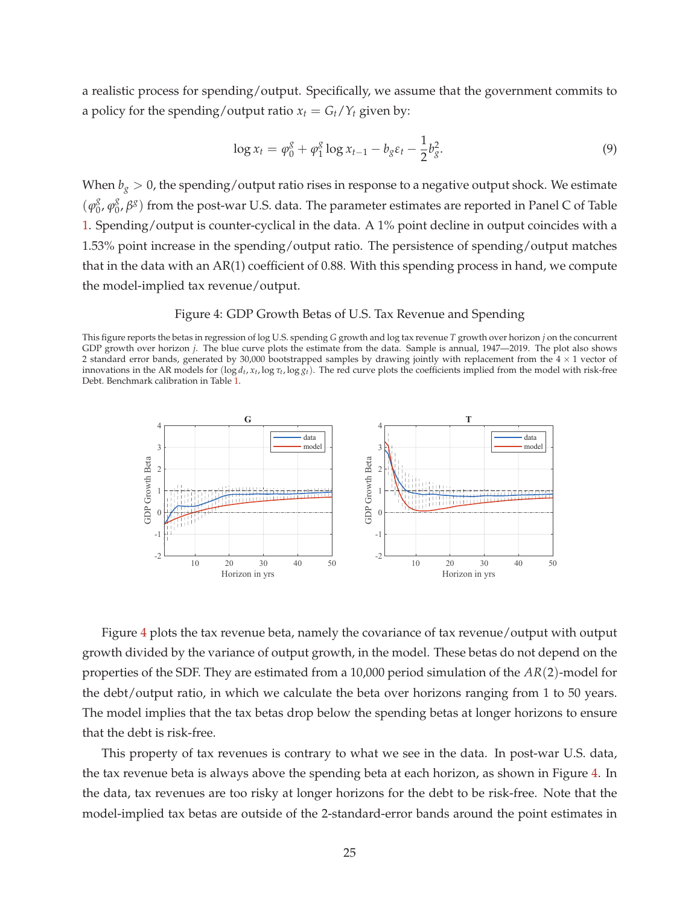a realistic process for spending/output. Specifically, we assume that the government commits to a policy for the spending/output ratio  $x_t = G_t/Y_t$  given by:

$$
\log x_t = \varphi_0^g + \varphi_1^g \log x_{t-1} - b_g \varepsilon_t - \frac{1}{2} b_g^2. \tag{9}
$$

When  $b_g > 0$ , the spending/output ratio rises in response to a negative output shock. We estimate  $(\varphi_0^g)$  $\frac{g}{0}$ ,  $\varphi_0^g$ 0 , *β g* ) from the post-war U.S. data. The parameter estimates are reported in Panel C of Table 1. Spending/output is counter-cyclical in the data. A 1% point decline in output coincides with a 1.53% point increase in the spending/output ratio. The persistence of spending/output matches that in the data with an AR(1) coefficient of 0.88. With this spending process in hand, we compute the model-implied tax revenue/output.

### Figure 4: GDP Growth Betas of U.S. Tax Revenue and Spending

This figure reports the betas in regression of log U.S. spending *G* growth and log tax revenue *T* growth over horizon *j* on the concurrent GDP growth over horizon *j*. The blue curve plots the estimate from the data. Sample is annual, 1947—2019. The plot also shows 2 standard error bands, generated by 30,000 bootstrapped samples by drawing jointly with replacement from the  $4 \times 1$  vector of innovations in the AR models for (log *d<sup>t</sup>* , *x<sup>t</sup>* , log *τ<sup>t</sup>* , log *gt*). The red curve plots the coefficients implied from the model with risk-free Debt. Benchmark calibration in Table 1.



Figure 4 plots the tax revenue beta, namely the covariance of tax revenue/output with output growth divided by the variance of output growth, in the model. These betas do not depend on the properties of the SDF. They are estimated from a 10,000 period simulation of the *AR*(2)-model for the debt/output ratio, in which we calculate the beta over horizons ranging from 1 to 50 years. The model implies that the tax betas drop below the spending betas at longer horizons to ensure that the debt is risk-free.

This property of tax revenues is contrary to what we see in the data. In post-war U.S. data, the tax revenue beta is always above the spending beta at each horizon, as shown in Figure 4. In the data, tax revenues are too risky at longer horizons for the debt to be risk-free. Note that the model-implied tax betas are outside of the 2-standard-error bands around the point estimates in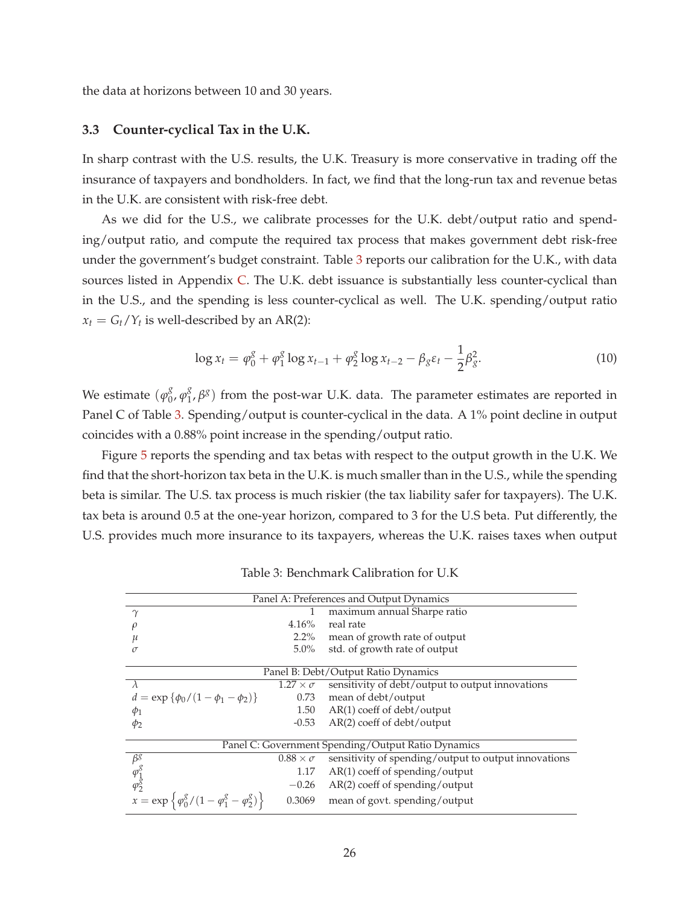the data at horizons between 10 and 30 years.

#### **3.3 Counter-cyclical Tax in the U.K.**

In sharp contrast with the U.S. results, the U.K. Treasury is more conservative in trading off the insurance of taxpayers and bondholders. In fact, we find that the long-run tax and revenue betas in the U.K. are consistent with risk-free debt.

As we did for the U.S., we calibrate processes for the U.K. debt/output ratio and spending/output ratio, and compute the required tax process that makes government debt risk-free under the government's budget constraint. Table 3 reports our calibration for the U.K., with data sources listed in Appendix C. The U.K. debt issuance is substantially less counter-cyclical than in the U.S., and the spending is less counter-cyclical as well. The U.K. spending/output ratio  $x_t = G_t/Y_t$  is well-described by an AR(2):

$$
\log x_t = \varphi_0^g + \varphi_1^g \log x_{t-1} + \varphi_2^g \log x_{t-2} - \beta_g \varepsilon_t - \frac{1}{2} \beta_g^2. \tag{10}
$$

We estimate  $(\varphi_0^g)$  $\frac{g}{0}$ ,  $\varphi_1^g$  $^g_1$ ,  $\beta$ <sup>g</sup>) from the post-war U.K. data. The parameter estimates are reported in Panel C of Table 3. Spending/output is counter-cyclical in the data. A 1% point decline in output coincides with a 0.88% point increase in the spending/output ratio.

Figure 5 reports the spending and tax betas with respect to the output growth in the U.K. We find that the short-horizon tax beta in the U.K. is much smaller than in the U.S., while the spending beta is similar. The U.S. tax process is much riskier (the tax liability safer for taxpayers). The U.K. tax beta is around 0.5 at the one-year horizon, compared to 3 for the U.S beta. Put differently, the U.S. provides much more insurance to its taxpayers, whereas the U.K. raises taxes when output

|                                                                               |                      | Panel A: Preferences and Output Dynamics                                  |
|-------------------------------------------------------------------------------|----------------------|---------------------------------------------------------------------------|
| $\gamma$                                                                      |                      | maximum annual Sharpe ratio                                               |
|                                                                               | 4.16%                | real rate                                                                 |
|                                                                               | $2.2\%$              | mean of growth rate of output                                             |
| $\sigma$                                                                      | $5.0\%$              | std. of growth rate of output                                             |
|                                                                               |                      |                                                                           |
|                                                                               |                      | Panel B: Debt/Output Ratio Dynamics                                       |
| $\lambda$                                                                     | $1.27 \times \sigma$ | sensitivity of debt/output to output innovations                          |
| $d = \exp \{\phi_0/(1-\phi_1-\phi_2)\}\$                                      | 0.73                 | mean of debt/output                                                       |
| $\phi_1$                                                                      |                      | $1.50$ AR(1) coeff of debt/output                                         |
| $\phi_2$                                                                      |                      | $-0.53$ AR(2) coeff of debt/output                                        |
|                                                                               |                      |                                                                           |
|                                                                               |                      | Panel C: Government Spending/Output Ratio Dynamics                        |
| $\beta$ 8                                                                     |                      | $0.88 \times \sigma$ sensitivity of spending/output to output innovations |
|                                                                               | 1.17                 | AR(1) coeff of spending/output                                            |
| $\varphi_1^g$<br>$\varphi_2^g$                                                |                      | $-0.26$ AR(2) coeff of spending/output                                    |
| $x = \exp \left\{ \frac{\varphi_0^g}{1 - \varphi_1^g - \varphi_2^g} \right\}$ | 0.3069               | mean of govt. spending/output                                             |

Table 3: Benchmark Calibration for U.K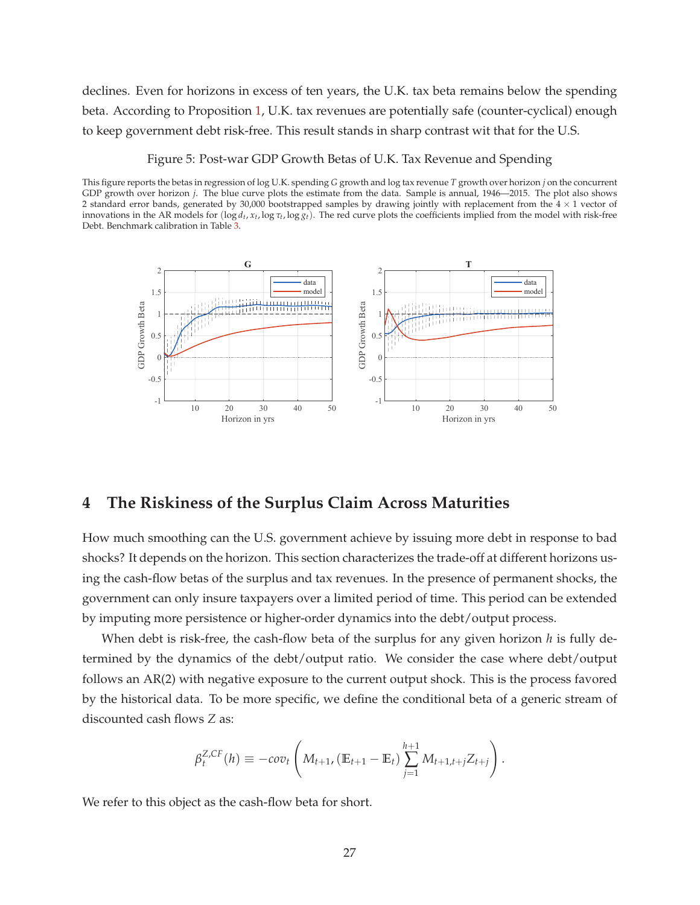declines. Even for horizons in excess of ten years, the U.K. tax beta remains below the spending beta. According to Proposition 1, U.K. tax revenues are potentially safe (counter-cyclical) enough to keep government debt risk-free. This result stands in sharp contrast wit that for the U.S.

Figure 5: Post-war GDP Growth Betas of U.K. Tax Revenue and Spending

This figure reports the betas in regression of log U.K. spending *G* growth and log tax revenue *T* growth over horizon *j* on the concurrent GDP growth over horizon *j*. The blue curve plots the estimate from the data. Sample is annual, 1946—2015. The plot also shows 2 standard error bands, generated by 30,000 bootstrapped samples by drawing jointly with replacement from the  $4 \times 1$  vector of innovations in the AR models for (log *d<sup>t</sup>* , *x<sup>t</sup>* , log *τ<sup>t</sup>* , log *gt*). The red curve plots the coefficients implied from the model with risk-free Debt. Benchmark calibration in Table 3.



# **4 The Riskiness of the Surplus Claim Across Maturities**

How much smoothing can the U.S. government achieve by issuing more debt in response to bad shocks? It depends on the horizon. This section characterizes the trade-off at different horizons using the cash-flow betas of the surplus and tax revenues. In the presence of permanent shocks, the government can only insure taxpayers over a limited period of time. This period can be extended by imputing more persistence or higher-order dynamics into the debt/output process.

When debt is risk-free, the cash-flow beta of the surplus for any given horizon *h* is fully determined by the dynamics of the debt/output ratio. We consider the case where debt/output follows an AR(2) with negative exposure to the current output shock. This is the process favored by the historical data. To be more specific, we define the conditional beta of a generic stream of discounted cash flows *Z* as:

$$
\beta_t^{Z,CF}(h) \equiv -cov_t \left( M_{t+1}, \left( \mathbb{E}_{t+1} - \mathbb{E}_t \right) \sum_{j=1}^{h+1} M_{t+1,t+j} Z_{t+j} \right).
$$

We refer to this object as the cash-flow beta for short.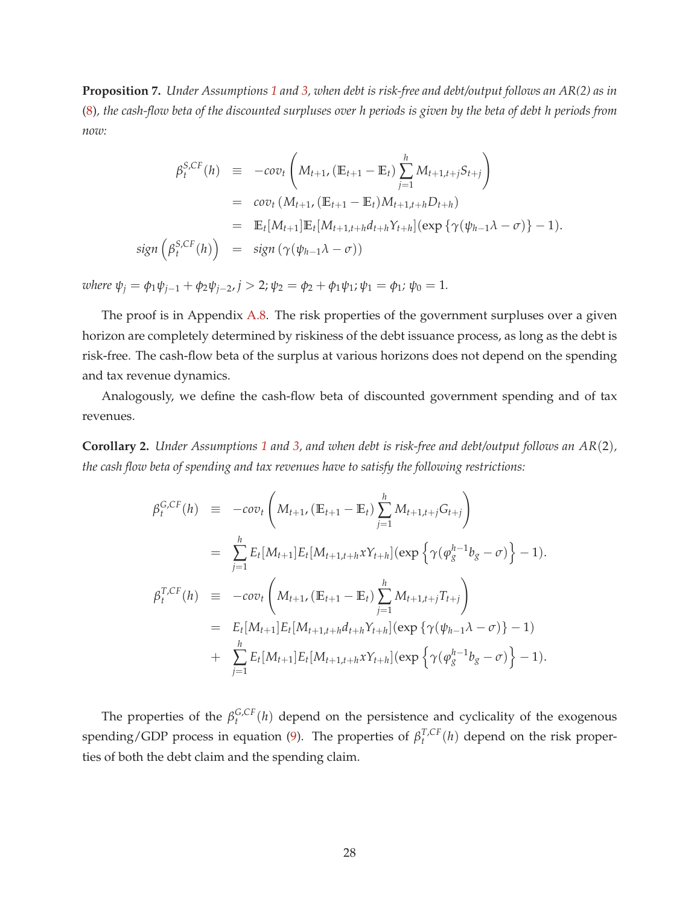**Proposition 7.** *Under Assumptions 1 and 3, when debt is risk-free and debt/output follows an AR(2) as in* (8)*, the cash-flow beta of the discounted surpluses over h periods is given by the beta of debt h periods from now:*

$$
\beta_t^{S,CF}(h) \equiv -cov_t \left( M_{t+1}, (\mathbb{E}_{t+1} - \mathbb{E}_t) \sum_{j=1}^h M_{t+1,t+j} S_{t+j} \right)
$$
  
\n
$$
= cov_t \left( M_{t+1}, (\mathbb{E}_{t+1} - \mathbb{E}_t) M_{t+1,t+h} D_{t+h} \right)
$$
  
\n
$$
= \mathbb{E}_t [M_{t+1}] \mathbb{E}_t [M_{t+1,t+h} d_{t+h} Y_{t+h}] (\exp \{ \gamma(\psi_{h-1} \lambda - \sigma) \} - 1).
$$
  
\nsign  $\left( \beta_t^{S,CF}(h) \right) = sign \left( \gamma(\psi_{h-1} \lambda - \sigma) \right)$ 

*where*  $\psi_j = \phi_1 \psi_{j-1} + \phi_2 \psi_{j-2}, j > 2; \psi_2 = \phi_2 + \phi_1 \psi_1; \psi_1 = \phi_1; \psi_0 = 1.$ 

The proof is in Appendix A.8. The risk properties of the government surpluses over a given horizon are completely determined by riskiness of the debt issuance process, as long as the debt is risk-free. The cash-flow beta of the surplus at various horizons does not depend on the spending and tax revenue dynamics.

Analogously, we define the cash-flow beta of discounted government spending and of tax revenues.

**Corollary 2.** *Under Assumptions 1 and 3, and when debt is risk-free and debt/output follows an AR*(2)*, the cash flow beta of spending and tax revenues have to satisfy the following restrictions:*

$$
\beta_t^{G,CF}(h) \equiv -\cos\left(M_{t+1}, (\mathbb{E}_{t+1} - \mathbb{E}_t) \sum_{j=1}^h M_{t+1,t+j} G_{t+j}\right)
$$
\n
$$
= \sum_{j=1}^h E_t[M_{t+1}] E_t[M_{t+1,t+h} x Y_{t+h}] (\exp\left\{\gamma(\varphi_g^{h-1} b_g - \sigma)\right\} - 1).
$$
\n
$$
\beta_t^{T,CF}(h) \equiv -\cos\left(M_{t+1}, (\mathbb{E}_{t+1} - \mathbb{E}_t) \sum_{j=1}^h M_{t+1,t+j} T_{t+j}\right)
$$
\n
$$
= E_t[M_{t+1}] E_t[M_{t+1,t+h} d_{t+h} Y_{t+h}] (\exp\left\{\gamma(\psi_{h-1} \lambda - \sigma)\right\} - 1)
$$
\n
$$
+ \sum_{j=1}^h E_t[M_{t+1}] E_t[M_{t+1,t+h} x Y_{t+h}] (\exp\left\{\gamma(\varphi_g^{h-1} b_g - \sigma)\right\} - 1).
$$

The properties of the  $\beta_t^{G,CF}$  $t_t^{G,CF}(h)$  depend on the persistence and cyclicality of the exogenous spending/GDP process in equation (9). The properties of  $\beta_t^{T,CF}$  $t^{I,CF}(h)$  depend on the risk properties of both the debt claim and the spending claim.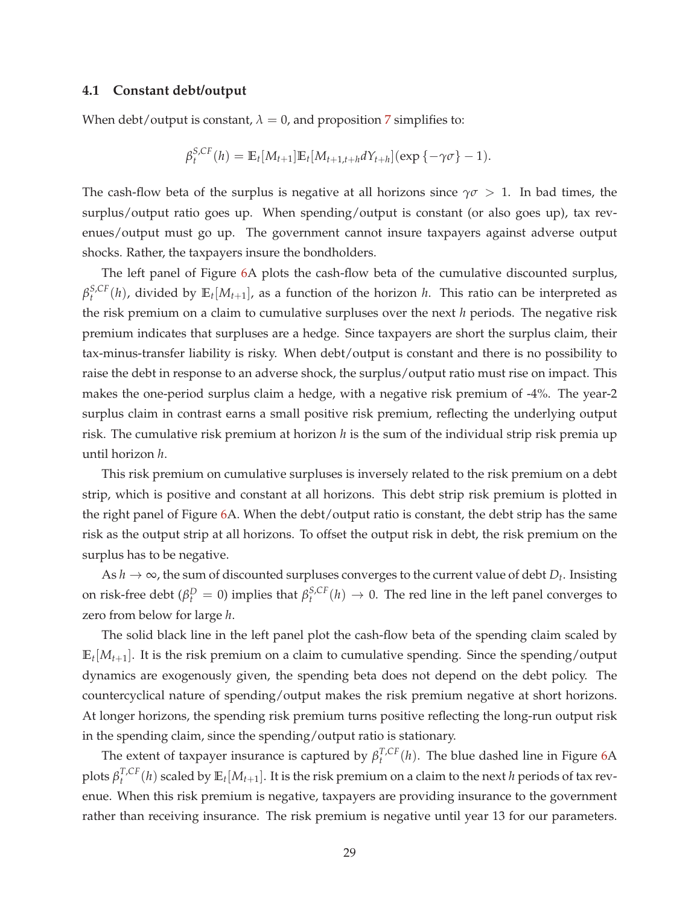### **4.1 Constant debt/output**

When debt/output is constant,  $\lambda = 0$ , and proposition 7 simplifies to:

$$
\beta_t^{S,CF}(h) = \mathbb{E}_t[M_{t+1}]\mathbb{E}_t[M_{t+1,t+h}dY_{t+h}](\exp\{-\gamma\sigma\}-1).
$$

The cash-flow beta of the surplus is negative at all horizons since  $\gamma\sigma > 1$ . In bad times, the surplus/output ratio goes up. When spending/output is constant (or also goes up), tax revenues/output must go up. The government cannot insure taxpayers against adverse output shocks. Rather, the taxpayers insure the bondholders.

The left panel of Figure 6A plots the cash-flow beta of the cumulative discounted surplus, *β S*,*CF*  $t^{S,CF}(h)$ , divided by  $\mathbb{E}_t[M_{t+1}]$ , as a function of the horizon *h*. This ratio can be interpreted as the risk premium on a claim to cumulative surpluses over the next *h* periods. The negative risk premium indicates that surpluses are a hedge. Since taxpayers are short the surplus claim, their tax-minus-transfer liability is risky. When debt/output is constant and there is no possibility to raise the debt in response to an adverse shock, the surplus/output ratio must rise on impact. This makes the one-period surplus claim a hedge, with a negative risk premium of -4%. The year-2 surplus claim in contrast earns a small positive risk premium, reflecting the underlying output risk. The cumulative risk premium at horizon *h* is the sum of the individual strip risk premia up until horizon *h*.

This risk premium on cumulative surpluses is inversely related to the risk premium on a debt strip, which is positive and constant at all horizons. This debt strip risk premium is plotted in the right panel of Figure 6A. When the debt/output ratio is constant, the debt strip has the same risk as the output strip at all horizons. To offset the output risk in debt, the risk premium on the surplus has to be negative.

As  $h \to \infty$ , the sum of discounted surpluses converges to the current value of debt  $D_t$ . Insisting on risk-free debt ( $\beta_t^D = 0$ ) implies that  $\beta_t^{S,CF}$  $t_t^{S,CF}(h) \rightarrow 0$ . The red line in the left panel converges to zero from below for large *h*.

The solid black line in the left panel plot the cash-flow beta of the spending claim scaled by  $\mathbb{E}_t[M_{t+1}]$ . It is the risk premium on a claim to cumulative spending. Since the spending/output dynamics are exogenously given, the spending beta does not depend on the debt policy. The countercyclical nature of spending/output makes the risk premium negative at short horizons. At longer horizons, the spending risk premium turns positive reflecting the long-run output risk in the spending claim, since the spending/output ratio is stationary.

The extent of taxpayer insurance is captured by  $\beta_t^{T,CF}$  $t^{I,CF}(h)$ . The blue dashed line in Figure 6A plots  $\beta_t^{T,CF}$  $T_t^{C,F}(h)$  scaled by  $\mathbb{E}_t[M_{t+1}]$ . It is the risk premium on a claim to the next *h* periods of tax revenue. When this risk premium is negative, taxpayers are providing insurance to the government rather than receiving insurance. The risk premium is negative until year 13 for our parameters.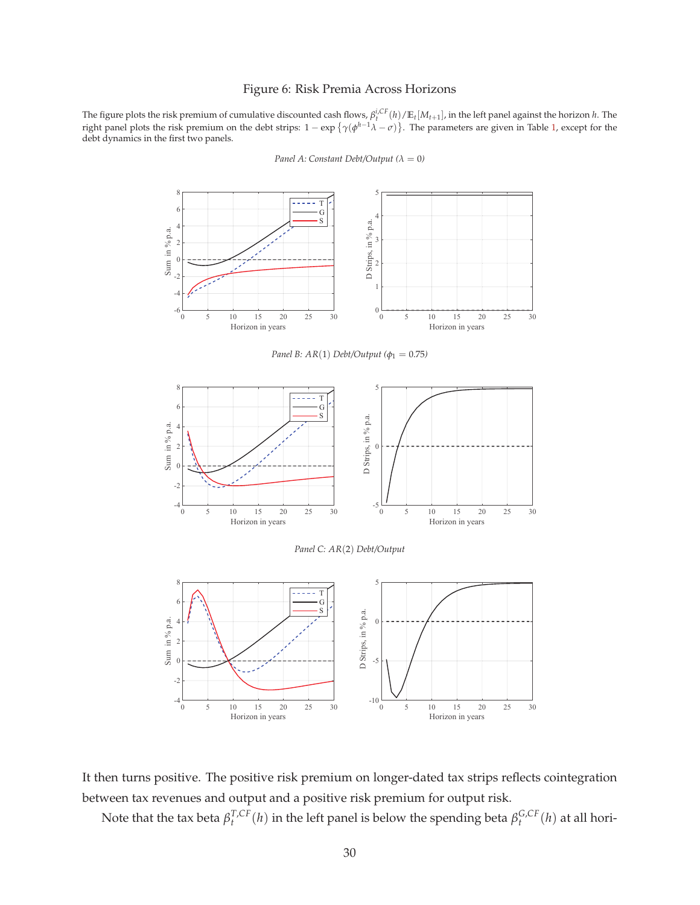#### Figure 6: Risk Premia Across Horizons

The figure plots the risk premium of cumulative discounted cash flows,  $\beta_t^{i,CF}(h)/\mathbb{E}_t[M_{t+1}]$ , in the left panel against the horizon *h*. The right panel plots the risk premium on the debt strips:  $1 - \exp{\{\gamma(\phi^{h-1}\lambda - \sigma)\}}$ . The parameters are given in Table 1, except for the debt dynamics in the first two panels.



*Panel A: Constant Debt/Output* ( $\lambda = 0$ )

It then turns positive. The positive risk premium on longer-dated tax strips reflects cointegration between tax revenues and output and a positive risk premium for output risk.

Note that the tax beta *β T*,*CF*  $T_t^{C,F}(h)$  in the left panel is below the spending beta  $\beta_t^{G,CF}$  $t^{G,CF}(h)$  at all hori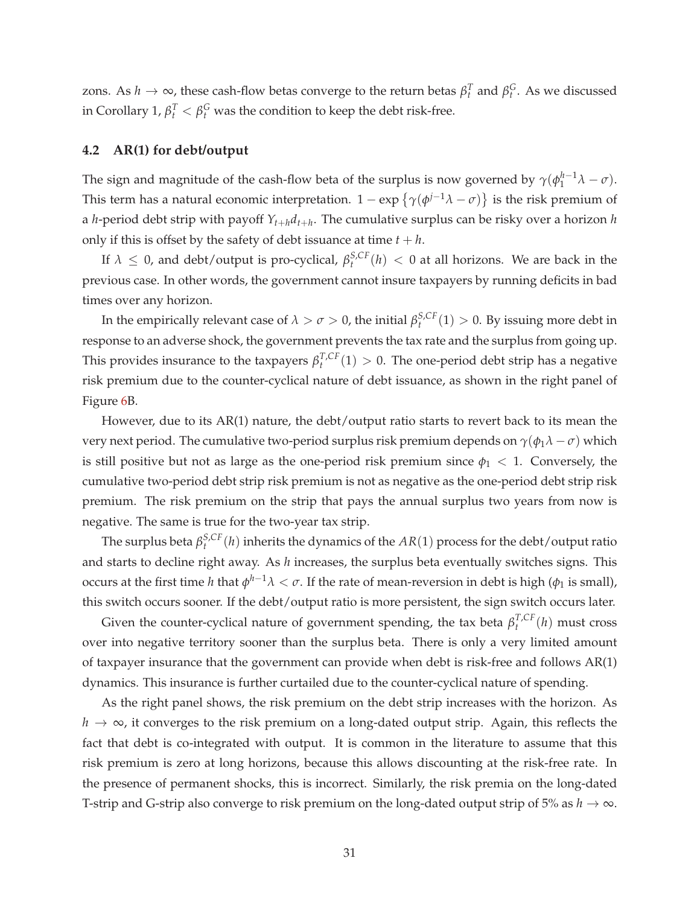zons. As  $h \to \infty$ , these cash-flow betas converge to the return betas  $\beta_t^T$  and  $\beta_t^G$ . As we discussed in Corollary 1,  $\beta_t^T < \beta_t^G$  was the condition to keep the debt risk-free.

### **4.2 AR(1) for debt/output**

The sign and magnitude of the cash-flow beta of the surplus is now governed by  $\gamma(\phi_1^{h-1}\lambda-\sigma)$ . This term has a natural economic interpretation.  $1 - \exp \{ \gamma(\phi^{j-1}\lambda - \sigma) \}$  is the risk premium of a *h*-period debt strip with payoff *Yt*+*hdt*+*<sup>h</sup>* . The cumulative surplus can be risky over a horizon *h* only if this is offset by the safety of debt issuance at time  $t + h$ .

If  $\lambda \leq 0$ , and debt/output is pro-cyclical,  $\beta_t^{S,CF}$  $t_t^{S,CF}(h) < 0$  at all horizons. We are back in the previous case. In other words, the government cannot insure taxpayers by running deficits in bad times over any horizon.

In the empirically relevant case of  $\lambda > \sigma > 0$ , the initial  $\beta_t^{S,CF}$  $t_t^{S,CF}(1) > 0$ . By issuing more debt in response to an adverse shock, the government prevents the tax rate and the surplus from going up. This provides insurance to the taxpayers  $\beta_t^{T,CF}$  $T_t^{T,CF}(1) > 0$ . The one-period debt strip has a negative risk premium due to the counter-cyclical nature of debt issuance, as shown in the right panel of Figure 6B.

However, due to its AR(1) nature, the debt/output ratio starts to revert back to its mean the very next period. The cumulative two-period surplus risk premium depends on  $\gamma(\phi_1 \lambda - \sigma)$  which is still positive but not as large as the one-period risk premium since  $\phi_1$  < 1. Conversely, the cumulative two-period debt strip risk premium is not as negative as the one-period debt strip risk premium. The risk premium on the strip that pays the annual surplus two years from now is negative. The same is true for the two-year tax strip.

The surplus beta  $\beta_t^{S,CF}$  $t_t^{S,CF}(h)$  inherits the dynamics of the  $AR(1)$  process for the debt/output ratio and starts to decline right away. As *h* increases, the surplus beta eventually switches signs. This occurs at the first time *h* that  $\phi^{h-1}λ < σ$ . If the rate of mean-reversion in debt is high ( $\phi_1$  is small), this switch occurs sooner. If the debt/output ratio is more persistent, the sign switch occurs later.

Given the counter-cyclical nature of government spending, the tax beta  $\beta_t^{T,CF}$  $t^{I,CF}(h)$  must cross over into negative territory sooner than the surplus beta. There is only a very limited amount of taxpayer insurance that the government can provide when debt is risk-free and follows AR(1) dynamics. This insurance is further curtailed due to the counter-cyclical nature of spending.

As the right panel shows, the risk premium on the debt strip increases with the horizon. As *h* → ∞, it converges to the risk premium on a long-dated output strip. Again, this reflects the fact that debt is co-integrated with output. It is common in the literature to assume that this risk premium is zero at long horizons, because this allows discounting at the risk-free rate. In the presence of permanent shocks, this is incorrect. Similarly, the risk premia on the long-dated T-strip and G-strip also converge to risk premium on the long-dated output strip of 5% as  $h \to \infty$ .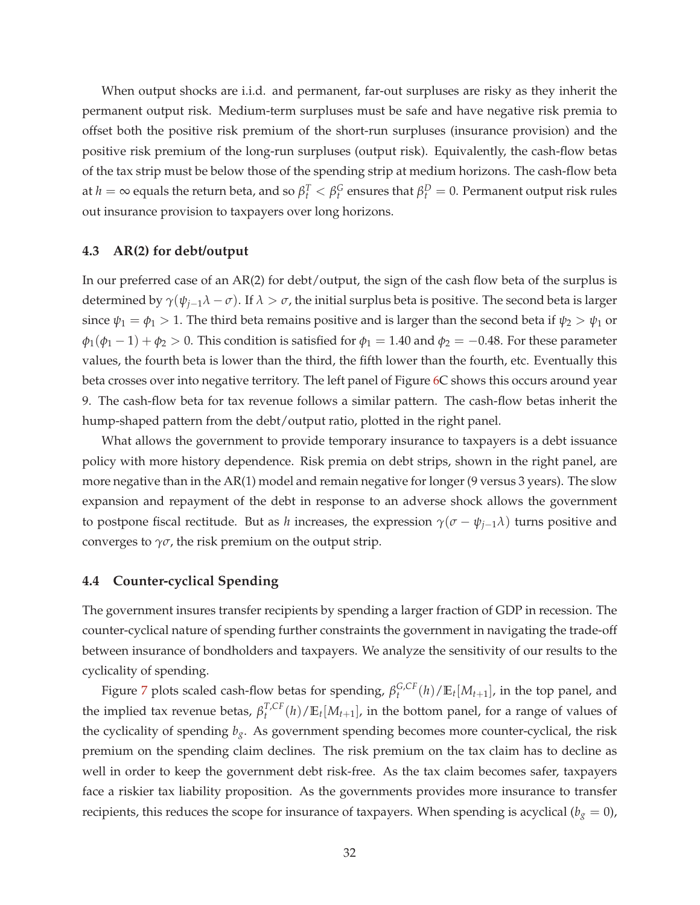When output shocks are i.i.d. and permanent, far-out surpluses are risky as they inherit the permanent output risk. Medium-term surpluses must be safe and have negative risk premia to offset both the positive risk premium of the short-run surpluses (insurance provision) and the positive risk premium of the long-run surpluses (output risk). Equivalently, the cash-flow betas of the tax strip must be below those of the spending strip at medium horizons. The cash-flow beta at  $h=\infty$  equals the return beta, and so  $\beta_t^T<\beta_t^G$  ensures that  $\beta_t^D=0$ . Permanent output risk rules out insurance provision to taxpayers over long horizons.

### **4.3 AR(2) for debt/output**

In our preferred case of an AR(2) for debt/output, the sign of the cash flow beta of the surplus is determined by  $\gamma(\psi_{j-1}\lambda - \sigma)$ . If  $\lambda > \sigma$ , the initial surplus beta is positive. The second beta is larger since  $\psi_1 = \phi_1 > 1$ . The third beta remains positive and is larger than the second beta if  $\psi_2 > \psi_1$  or  $\phi_1(\phi_1 - 1) + \phi_2 > 0$ . This condition is satisfied for  $\phi_1 = 1.40$  and  $\phi_2 = -0.48$ . For these parameter values, the fourth beta is lower than the third, the fifth lower than the fourth, etc. Eventually this beta crosses over into negative territory. The left panel of Figure 6C shows this occurs around year 9. The cash-flow beta for tax revenue follows a similar pattern. The cash-flow betas inherit the hump-shaped pattern from the debt/output ratio, plotted in the right panel.

What allows the government to provide temporary insurance to taxpayers is a debt issuance policy with more history dependence. Risk premia on debt strips, shown in the right panel, are more negative than in the AR(1) model and remain negative for longer (9 versus 3 years). The slow expansion and repayment of the debt in response to an adverse shock allows the government to postpone fiscal rectitude. But as *h* increases, the expression  $\gamma(\sigma - \psi_{j-1}\lambda)$  turns positive and converges to  $\gamma\sigma$ , the risk premium on the output strip.

### **4.4 Counter-cyclical Spending**

The government insures transfer recipients by spending a larger fraction of GDP in recession. The counter-cyclical nature of spending further constraints the government in navigating the trade-off between insurance of bondholders and taxpayers. We analyze the sensitivity of our results to the cyclicality of spending.

Figure 7 plots scaled cash-flow betas for spending, *β G*,*CF*  $f_t^{G,CF}(h)/\mathbb{E}_t[M_{t+1}]$ , in the top panel, and the implied tax revenue betas,  $\beta_t^{T,CF}$  $T_t^{C,F}(h)/\mathbb{E}_t[M_{t+1}]$ , in the bottom panel, for a range of values of the cyclicality of spending  $b_g$ . As government spending becomes more counter-cyclical, the risk premium on the spending claim declines. The risk premium on the tax claim has to decline as well in order to keep the government debt risk-free. As the tax claim becomes safer, taxpayers face a riskier tax liability proposition. As the governments provides more insurance to transfer recipients, this reduces the scope for insurance of taxpayers. When spending is acyclical ( $b_g = 0$ ),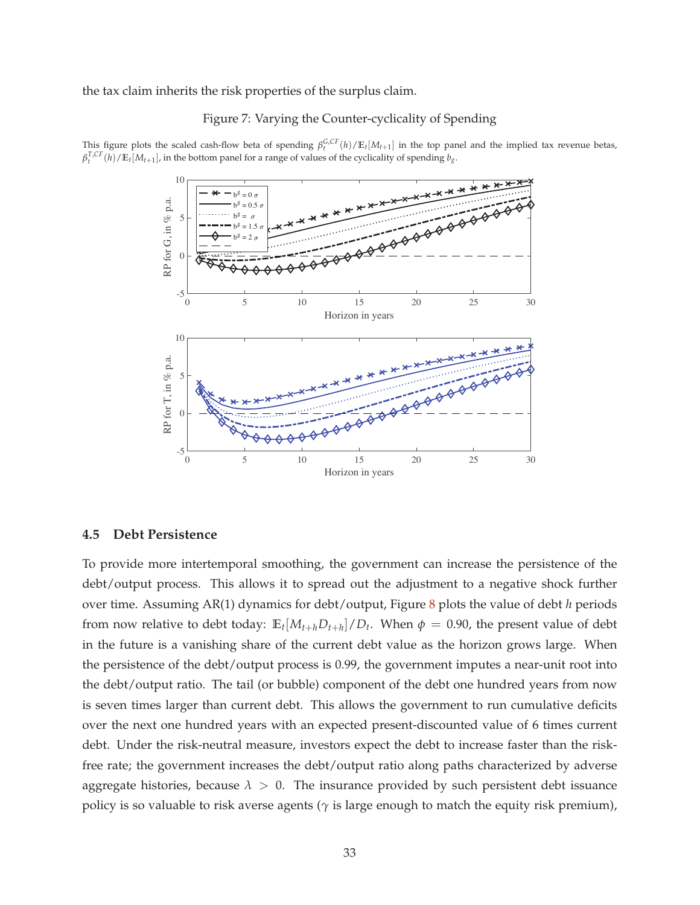the tax claim inherits the risk properties of the surplus claim.

### Figure 7: Varying the Counter-cyclicality of Spending

This figure plots the scaled cash-flow beta of spending  $\beta_t^{G,CF}(h)/\mathbb{E}_t[M_{t+1}]$  in the top panel and the implied tax revenue betas,  $\beta_t^{T,CF}(h)/\mathbb{E}_t[M_{t+1}]$ , in the bottom panel for a range of values of the cyclicality of spending  $b_g$ .



### **4.5 Debt Persistence**

To provide more intertemporal smoothing, the government can increase the persistence of the debt/output process. This allows it to spread out the adjustment to a negative shock further over time. Assuming AR(1) dynamics for debt/output, Figure 8 plots the value of debt *h* periods from now relative to debt today:  $\mathbb{E}_t[M_{t+h}D_{t+h}]/D_t$ . When  $\phi = 0.90$ , the present value of debt in the future is a vanishing share of the current debt value as the horizon grows large. When the persistence of the debt/output process is 0.99, the government imputes a near-unit root into the debt/output ratio. The tail (or bubble) component of the debt one hundred years from now is seven times larger than current debt. This allows the government to run cumulative deficits over the next one hundred years with an expected present-discounted value of 6 times current debt. Under the risk-neutral measure, investors expect the debt to increase faster than the riskfree rate; the government increases the debt/output ratio along paths characterized by adverse aggregate histories, because  $\lambda > 0$ . The insurance provided by such persistent debt issuance policy is so valuable to risk averse agents ( $\gamma$  is large enough to match the equity risk premium),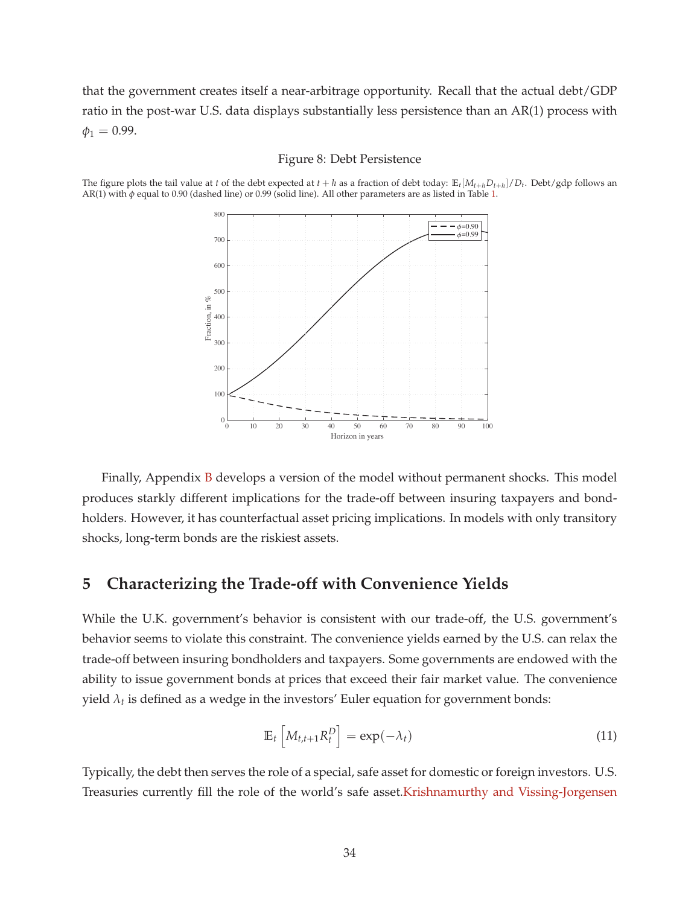that the government creates itself a near-arbitrage opportunity. Recall that the actual debt/GDP ratio in the post-war U.S. data displays substantially less persistence than an AR(1) process with  $\phi_1 = 0.99$ .

#### Figure 8: Debt Persistence

The figure plots the tail value at t of the debt expected at  $t + h$  as a fraction of debt today:  $\mathbb{E}_t[M_{t+h}D_{t+h}]/D_t$ . Debt/gdp follows an AR(1) with *φ* equal to 0.90 (dashed line) or 0.99 (solid line). All other parameters are as listed in Table 1.



Finally, Appendix B develops a version of the model without permanent shocks. This model produces starkly different implications for the trade-off between insuring taxpayers and bondholders. However, it has counterfactual asset pricing implications. In models with only transitory shocks, long-term bonds are the riskiest assets.

# **5 Characterizing the Trade-off with Convenience Yields**

While the U.K. government's behavior is consistent with our trade-off, the U.S. government's behavior seems to violate this constraint. The convenience yields earned by the U.S. can relax the trade-off between insuring bondholders and taxpayers. Some governments are endowed with the ability to issue government bonds at prices that exceed their fair market value. The convenience yield *λ<sup>t</sup>* is defined as a wedge in the investors' Euler equation for government bonds:

$$
\mathbb{E}_t \left[ M_{t,t+1} R_t^D \right] = \exp(-\lambda_t) \tag{11}
$$

Typically, the debt then serves the role of a special, safe asset for domestic or foreign investors. U.S. Treasuries currently fill the role of the world's safe asset.Krishnamurthy and Vissing-Jorgensen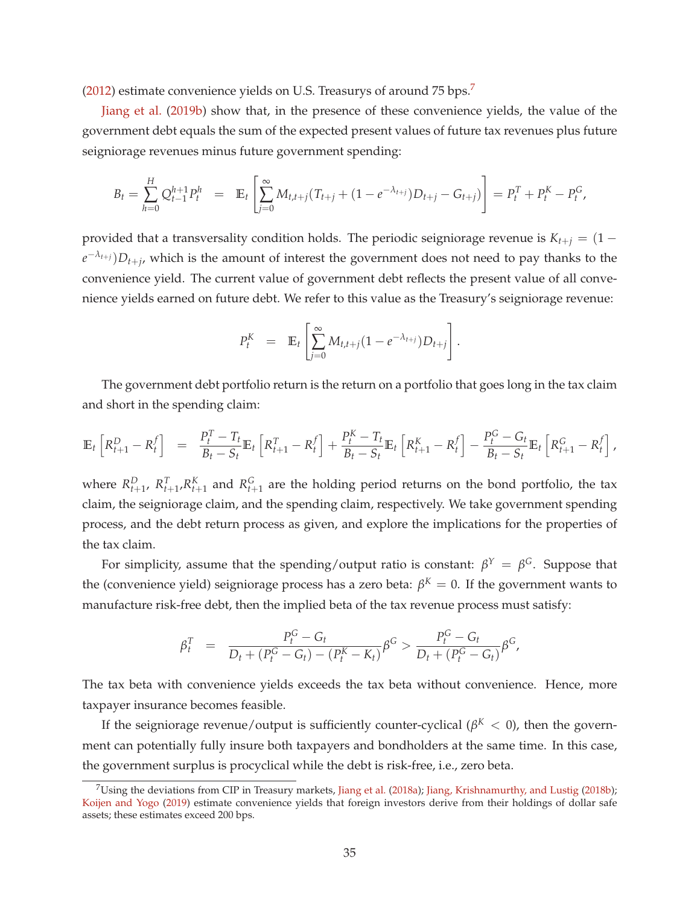(2012) estimate convenience yields on U.S. Treasurys of around 75 bps.<sup>7</sup>

Jiang et al. (2019b) show that, in the presence of these convenience yields, the value of the government debt equals the sum of the expected present values of future tax revenues plus future seigniorage revenues minus future government spending:

$$
B_t = \sum_{h=0}^H Q_{t-1}^{h+1} P_t^h = \mathbb{E}_t \left[ \sum_{j=0}^{\infty} M_{t,t+j} (T_{t+j} + (1 - e^{-\lambda_{t+j}}) D_{t+j} - G_{t+j}) \right] = P_t^T + P_t^K - P_t^G,
$$

provided that a transversality condition holds. The periodic seigniorage revenue is  $K_{t+j} = (1$ *e* <sup>−</sup>*λt*+*j*)*Dt*+*<sup>j</sup>* , which is the amount of interest the government does not need to pay thanks to the convenience yield. The current value of government debt reflects the present value of all convenience yields earned on future debt. We refer to this value as the Treasury's seigniorage revenue:

$$
P_t^K = \mathbb{E}_t \left[ \sum_{j=0}^{\infty} M_{t,t+j} (1 - e^{-\lambda_{t+j}}) D_{t+j} \right].
$$

The government debt portfolio return is the return on a portfolio that goes long in the tax claim and short in the spending claim:

$$
\mathbb{E}_{t}\left[R_{t+1}^{D} - R_{t}^{f}\right] = \frac{P_{t}^{T} - T_{t}}{B_{t} - S_{t}}\mathbb{E}_{t}\left[R_{t+1}^{T} - R_{t}^{f}\right] + \frac{P_{t}^{K} - T_{t}}{B_{t} - S_{t}}\mathbb{E}_{t}\left[R_{t+1}^{K} - R_{t}^{f}\right] - \frac{P_{t}^{G} - G_{t}}{B_{t} - S_{t}}\mathbb{E}_{t}\left[R_{t+1}^{G} - R_{t}^{f}\right],
$$

where  $R_{t+1}^D$ ,  $R_{t+1}^T$ ,  $R_{t+1}^K$  and  $R_{t+1}^G$  are the holding period returns on the bond portfolio, the tax claim, the seigniorage claim, and the spending claim, respectively. We take government spending process, and the debt return process as given, and explore the implications for the properties of the tax claim.

For simplicity, assume that the spending/output ratio is constant:  $β<sup>Y</sup> = β<sup>G</sup>$ . Suppose that the (convenience yield) seigniorage process has a zero beta:  $\beta^K = 0$ . If the government wants to manufacture risk-free debt, then the implied beta of the tax revenue process must satisfy:

$$
\beta_t^T = \frac{P_t^G - G_t}{D_t + (P_t^G - G_t) - (P_t^K - K_t)} \beta^G > \frac{P_t^G - G_t}{D_t + (P_t^G - G_t)} \beta^G,
$$

The tax beta with convenience yields exceeds the tax beta without convenience. Hence, more taxpayer insurance becomes feasible.

If the seigniorage revenue/output is sufficiently counter-cyclical ( $\beta^{K} < 0$ ), then the government can potentially fully insure both taxpayers and bondholders at the same time. In this case, the government surplus is procyclical while the debt is risk-free, i.e., zero beta.

 $7$ Using the deviations from CIP in Treasury markets, Jiang et al. (2018a); Jiang, Krishnamurthy, and Lustig (2018b); Koijen and Yogo (2019) estimate convenience yields that foreign investors derive from their holdings of dollar safe assets; these estimates exceed 200 bps.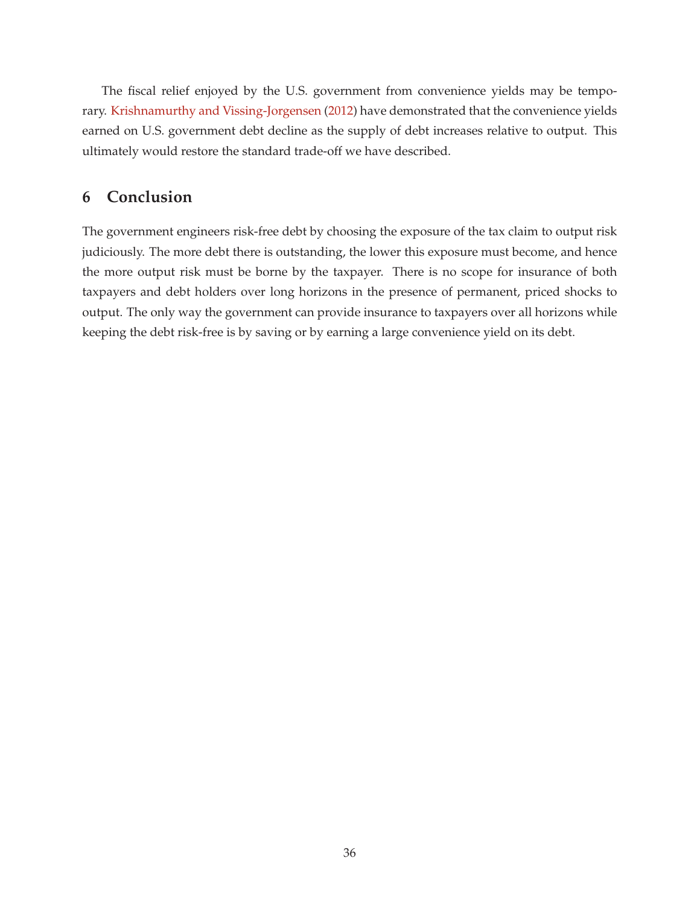The fiscal relief enjoyed by the U.S. government from convenience yields may be temporary. Krishnamurthy and Vissing-Jorgensen (2012) have demonstrated that the convenience yields earned on U.S. government debt decline as the supply of debt increases relative to output. This ultimately would restore the standard trade-off we have described.

# **6 Conclusion**

The government engineers risk-free debt by choosing the exposure of the tax claim to output risk judiciously. The more debt there is outstanding, the lower this exposure must become, and hence the more output risk must be borne by the taxpayer. There is no scope for insurance of both taxpayers and debt holders over long horizons in the presence of permanent, priced shocks to output. The only way the government can provide insurance to taxpayers over all horizons while keeping the debt risk-free is by saving or by earning a large convenience yield on its debt.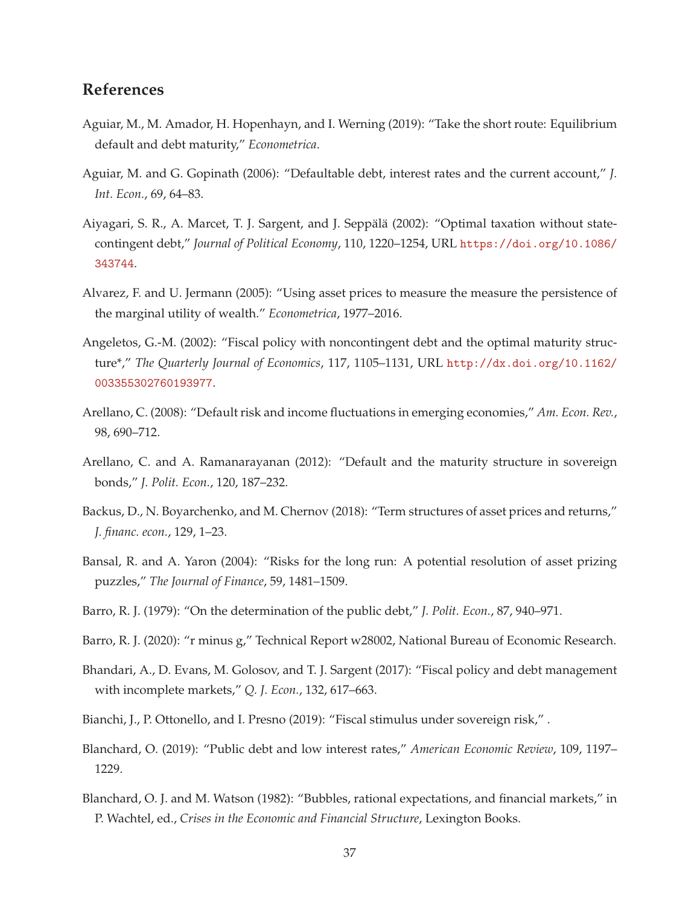# **References**

- Aguiar, M., M. Amador, H. Hopenhayn, and I. Werning (2019): "Take the short route: Equilibrium default and debt maturity," *Econometrica*.
- Aguiar, M. and G. Gopinath (2006): "Defaultable debt, interest rates and the current account," *J. Int. Econ.*, 69, 64–83.
- Aiyagari, S. R., A. Marcet, T. J. Sargent, and J. Seppalä (2002): "Optimal taxation without statecontingent debt," *Journal of Political Economy*, 110, 1220–1254, URL https://doi.org/10.1086/ 343744.
- Alvarez, F. and U. Jermann (2005): "Using asset prices to measure the measure the persistence of the marginal utility of wealth." *Econometrica*, 1977–2016.
- Angeletos, G.-M. (2002): "Fiscal policy with noncontingent debt and the optimal maturity structure\*," *The Quarterly Journal of Economics*, 117, 1105–1131, URL http://dx.doi.org/10.1162/ 003355302760193977.
- Arellano, C. (2008): "Default risk and income fluctuations in emerging economies," *Am. Econ. Rev.*, 98, 690–712.
- Arellano, C. and A. Ramanarayanan (2012): "Default and the maturity structure in sovereign bonds," *J. Polit. Econ.*, 120, 187–232.
- Backus, D., N. Boyarchenko, and M. Chernov (2018): "Term structures of asset prices and returns," *J. financ. econ.*, 129, 1–23.
- Bansal, R. and A. Yaron (2004): "Risks for the long run: A potential resolution of asset prizing puzzles," *The Journal of Finance*, 59, 1481–1509.
- Barro, R. J. (1979): "On the determination of the public debt," *J. Polit. Econ.*, 87, 940–971.
- Barro, R. J. (2020): "r minus g," Technical Report w28002, National Bureau of Economic Research.
- Bhandari, A., D. Evans, M. Golosov, and T. J. Sargent (2017): "Fiscal policy and debt management with incomplete markets," *Q. J. Econ.*, 132, 617–663.
- Bianchi, J., P. Ottonello, and I. Presno (2019): "Fiscal stimulus under sovereign risk," .
- Blanchard, O. (2019): "Public debt and low interest rates," *American Economic Review*, 109, 1197– 1229.
- Blanchard, O. J. and M. Watson (1982): "Bubbles, rational expectations, and financial markets," in P. Wachtel, ed., *Crises in the Economic and Financial Structure*, Lexington Books.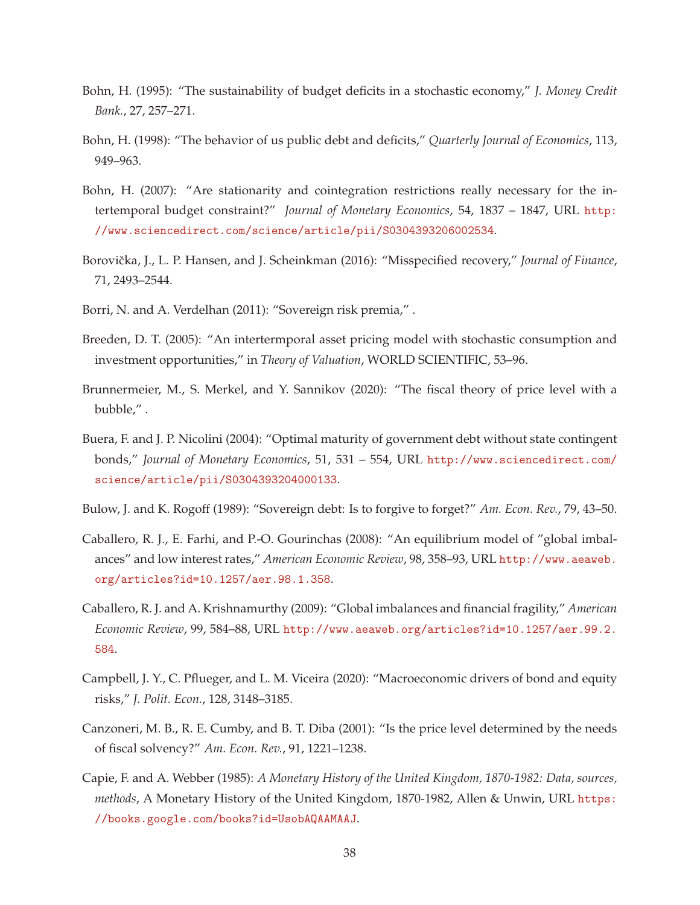- Bohn, H. (1995): "The sustainability of budget deficits in a stochastic economy," *J. Money Credit Bank.*, 27, 257–271.
- Bohn, H. (1998): "The behavior of us public debt and deficits," *Quarterly Journal of Economics*, 113, 949–963.
- Bohn, H. (2007): "Are stationarity and cointegration restrictions really necessary for the intertemporal budget constraint?" *Journal of Monetary Economics*, 54, 1837 – 1847, URL http: //www.sciencedirect.com/science/article/pii/S0304393206002534.
- Borovička, J., L. P. Hansen, and J. Scheinkman (2016): "Misspecified recovery," *Journal of Finance*, 71, 2493–2544.
- Borri, N. and A. Verdelhan (2011): "Sovereign risk premia," .
- Breeden, D. T. (2005): "An intertermporal asset pricing model with stochastic consumption and investment opportunities," in *Theory of Valuation*, WORLD SCIENTIFIC, 53–96.
- Brunnermeier, M., S. Merkel, and Y. Sannikov (2020): "The fiscal theory of price level with a bubble," .
- Buera, F. and J. P. Nicolini (2004): "Optimal maturity of government debt without state contingent bonds," *Journal of Monetary Economics*, 51, 531 – 554, URL http://www.sciencedirect.com/ science/article/pii/S0304393204000133.
- Bulow, J. and K. Rogoff (1989): "Sovereign debt: Is to forgive to forget?" *Am. Econ. Rev.*, 79, 43–50.
- Caballero, R. J., E. Farhi, and P.-O. Gourinchas (2008): "An equilibrium model of "global imbalances" and low interest rates," *American Economic Review*, 98, 358–93, URL http://www.aeaweb. org/articles?id=10.1257/aer.98.1.358.
- Caballero, R. J. and A. Krishnamurthy (2009): "Global imbalances and financial fragility," *American Economic Review*, 99, 584–88, URL http://www.aeaweb.org/articles?id=10.1257/aer.99.2. 584.
- Campbell, J. Y., C. Pflueger, and L. M. Viceira (2020): "Macroeconomic drivers of bond and equity risks," *J. Polit. Econ.*, 128, 3148–3185.
- Canzoneri, M. B., R. E. Cumby, and B. T. Diba (2001): "Is the price level determined by the needs of fiscal solvency?" *Am. Econ. Rev.*, 91, 1221–1238.
- Capie, F. and A. Webber (1985): *A Monetary History of the United Kingdom, 1870-1982: Data, sources, methods*, A Monetary History of the United Kingdom, 1870-1982, Allen & Unwin, URL https: //books.google.com/books?id=UsobAQAAMAAJ.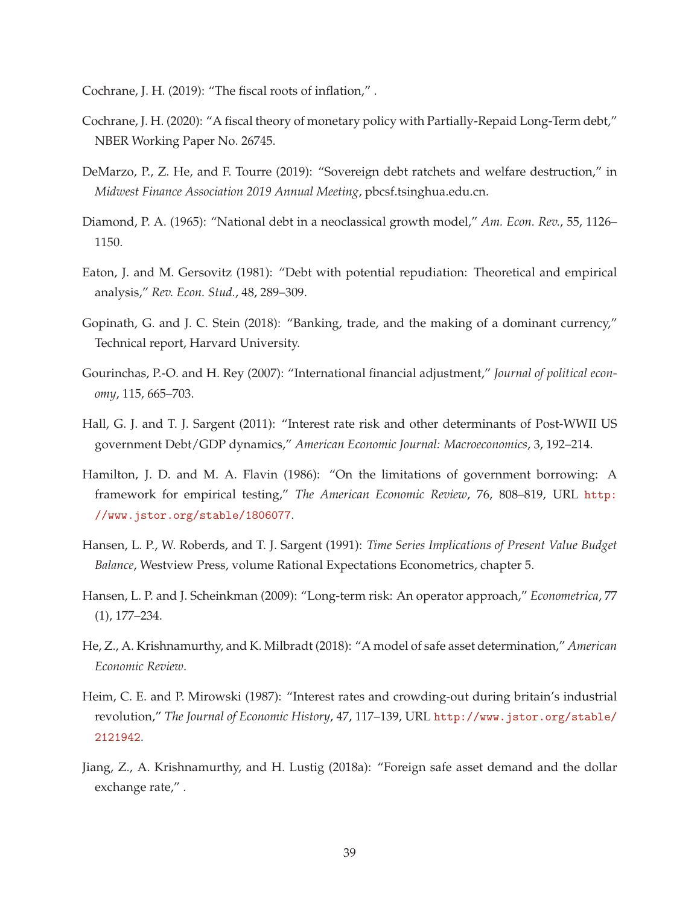Cochrane, J. H. (2019): "The fiscal roots of inflation," .

- Cochrane, J. H. (2020): "A fiscal theory of monetary policy with Partially-Repaid Long-Term debt," NBER Working Paper No. 26745.
- DeMarzo, P., Z. He, and F. Tourre (2019): "Sovereign debt ratchets and welfare destruction," in *Midwest Finance Association 2019 Annual Meeting*, pbcsf.tsinghua.edu.cn.
- Diamond, P. A. (1965): "National debt in a neoclassical growth model," *Am. Econ. Rev.*, 55, 1126– 1150.
- Eaton, J. and M. Gersovitz (1981): "Debt with potential repudiation: Theoretical and empirical analysis," *Rev. Econ. Stud.*, 48, 289–309.
- Gopinath, G. and J. C. Stein (2018): "Banking, trade, and the making of a dominant currency," Technical report, Harvard University.
- Gourinchas, P.-O. and H. Rey (2007): "International financial adjustment," *Journal of political economy*, 115, 665–703.
- Hall, G. J. and T. J. Sargent (2011): "Interest rate risk and other determinants of Post-WWII US government Debt/GDP dynamics," *American Economic Journal: Macroeconomics*, 3, 192–214.
- Hamilton, J. D. and M. A. Flavin (1986): "On the limitations of government borrowing: A framework for empirical testing," *The American Economic Review*, 76, 808–819, URL http: //www.jstor.org/stable/1806077.
- Hansen, L. P., W. Roberds, and T. J. Sargent (1991): *Time Series Implications of Present Value Budget Balance*, Westview Press, volume Rational Expectations Econometrics, chapter 5.
- Hansen, L. P. and J. Scheinkman (2009): "Long-term risk: An operator approach," *Econometrica*, 77 (1), 177–234.
- He, Z., A. Krishnamurthy, and K. Milbradt (2018): "A model of safe asset determination," *American Economic Review*.
- Heim, C. E. and P. Mirowski (1987): "Interest rates and crowding-out during britain's industrial revolution," *The Journal of Economic History*, 47, 117–139, URL http://www.jstor.org/stable/ 2121942.
- Jiang, Z., A. Krishnamurthy, and H. Lustig (2018a): "Foreign safe asset demand and the dollar exchange rate," .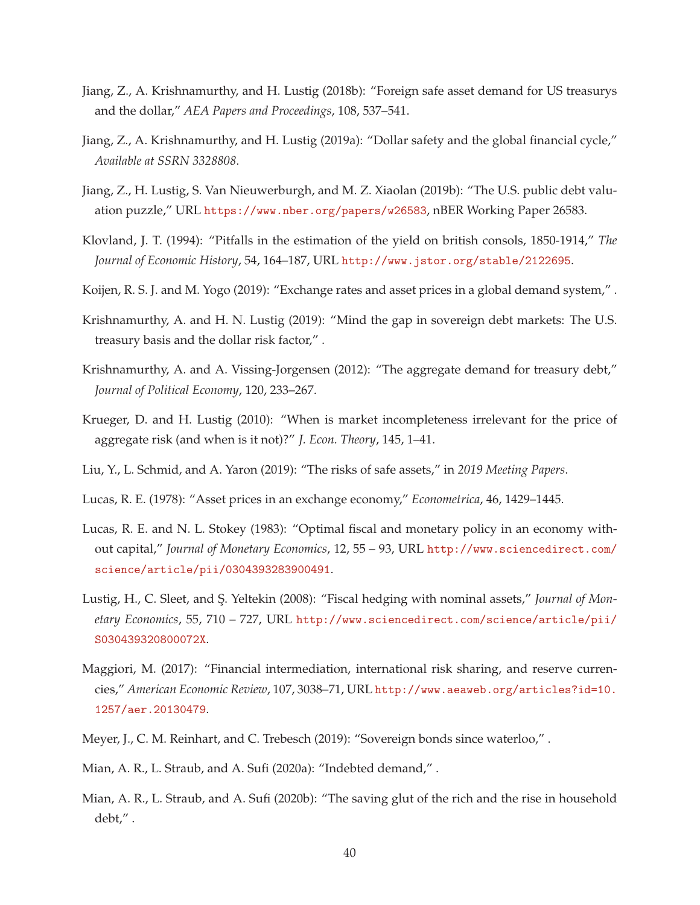- Jiang, Z., A. Krishnamurthy, and H. Lustig (2018b): "Foreign safe asset demand for US treasurys and the dollar," *AEA Papers and Proceedings*, 108, 537–541.
- Jiang, Z., A. Krishnamurthy, and H. Lustig (2019a): "Dollar safety and the global financial cycle," *Available at SSRN 3328808*.
- Jiang, Z., H. Lustig, S. Van Nieuwerburgh, and M. Z. Xiaolan (2019b): "The U.S. public debt valuation puzzle," URL https://www.nber.org/papers/w26583, nBER Working Paper 26583.
- Klovland, J. T. (1994): "Pitfalls in the estimation of the yield on british consols, 1850-1914," *The Journal of Economic History*, 54, 164–187, URL http://www.jstor.org/stable/2122695.
- Koijen, R. S. J. and M. Yogo (2019): "Exchange rates and asset prices in a global demand system," .
- Krishnamurthy, A. and H. N. Lustig (2019): "Mind the gap in sovereign debt markets: The U.S. treasury basis and the dollar risk factor," .
- Krishnamurthy, A. and A. Vissing-Jorgensen (2012): "The aggregate demand for treasury debt," *Journal of Political Economy*, 120, 233–267.
- Krueger, D. and H. Lustig (2010): "When is market incompleteness irrelevant for the price of aggregate risk (and when is it not)?" *J. Econ. Theory*, 145, 1–41.
- Liu, Y., L. Schmid, and A. Yaron (2019): "The risks of safe assets," in *2019 Meeting Papers*.
- Lucas, R. E. (1978): "Asset prices in an exchange economy," *Econometrica*, 46, 1429–1445.
- Lucas, R. E. and N. L. Stokey (1983): "Optimal fiscal and monetary policy in an economy without capital," *Journal of Monetary Economics*, 12, 55 – 93, URL http://www.sciencedirect.com/ science/article/pii/0304393283900491.
- Lustig, H., C. Sleet, and S¸. Yeltekin (2008): "Fiscal hedging with nominal assets," *Journal of Monetary Economics*, 55, 710 – 727, URL http://www.sciencedirect.com/science/article/pii/ S030439320800072X.
- Maggiori, M. (2017): "Financial intermediation, international risk sharing, and reserve currencies," *American Economic Review*, 107, 3038–71, URL http://www.aeaweb.org/articles?id=10. 1257/aer.20130479.
- Meyer, J., C. M. Reinhart, and C. Trebesch (2019): "Sovereign bonds since waterloo," .
- Mian, A. R., L. Straub, and A. Sufi (2020a): "Indebted demand," .
- Mian, A. R., L. Straub, and A. Sufi (2020b): "The saving glut of the rich and the rise in household debt," .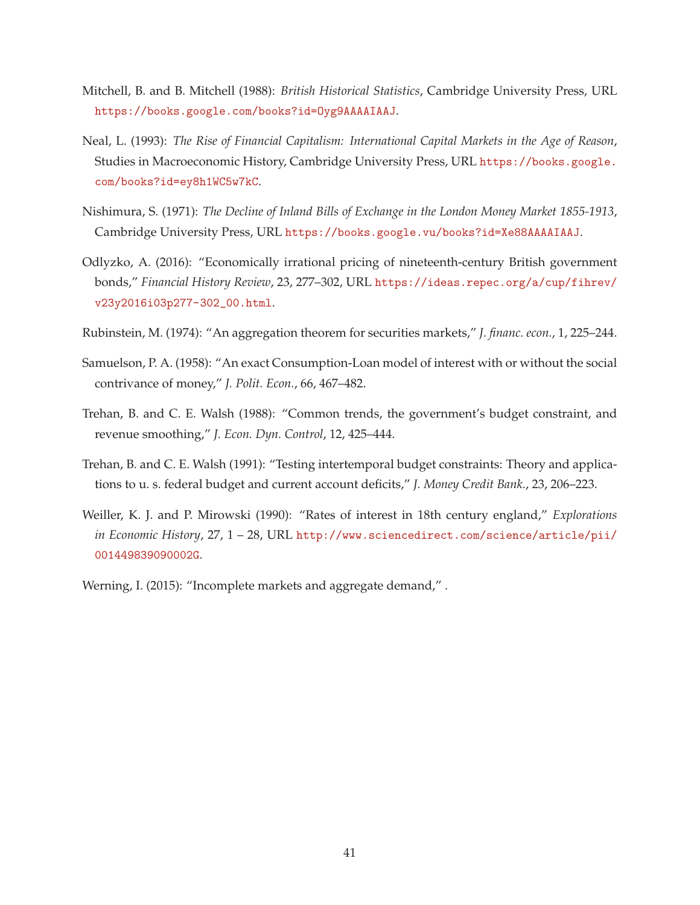- Mitchell, B. and B. Mitchell (1988): *British Historical Statistics*, Cambridge University Press, URL https://books.google.com/books?id=Oyg9AAAAIAAJ.
- Neal, L. (1993): *The Rise of Financial Capitalism: International Capital Markets in the Age of Reason*, Studies in Macroeconomic History, Cambridge University Press, URL https://books.google. com/books?id=ey8h1WC5w7kC.
- Nishimura, S. (1971): *The Decline of Inland Bills of Exchange in the London Money Market 1855-1913*, Cambridge University Press, URL https://books.google.vu/books?id=Xe88AAAAIAAJ.
- Odlyzko, A. (2016): "Economically irrational pricing of nineteenth-century British government bonds," *Financial History Review*, 23, 277–302, URL https://ideas.repec.org/a/cup/fihrev/ v23y2016i03p277-302\_00.html.
- Rubinstein, M. (1974): "An aggregation theorem for securities markets," *J. financ. econ.*, 1, 225–244.
- Samuelson, P. A. (1958): "An exact Consumption-Loan model of interest with or without the social contrivance of money," *J. Polit. Econ.*, 66, 467–482.
- Trehan, B. and C. E. Walsh (1988): "Common trends, the government's budget constraint, and revenue smoothing," *J. Econ. Dyn. Control*, 12, 425–444.
- Trehan, B. and C. E. Walsh (1991): "Testing intertemporal budget constraints: Theory and applications to u. s. federal budget and current account deficits," *J. Money Credit Bank.*, 23, 206–223.
- Weiller, K. J. and P. Mirowski (1990): "Rates of interest in 18th century england," *Explorations in Economic History*, 27, 1 – 28, URL http://www.sciencedirect.com/science/article/pii/ 001449839090002G.

Werning, I. (2015): "Incomplete markets and aggregate demand,".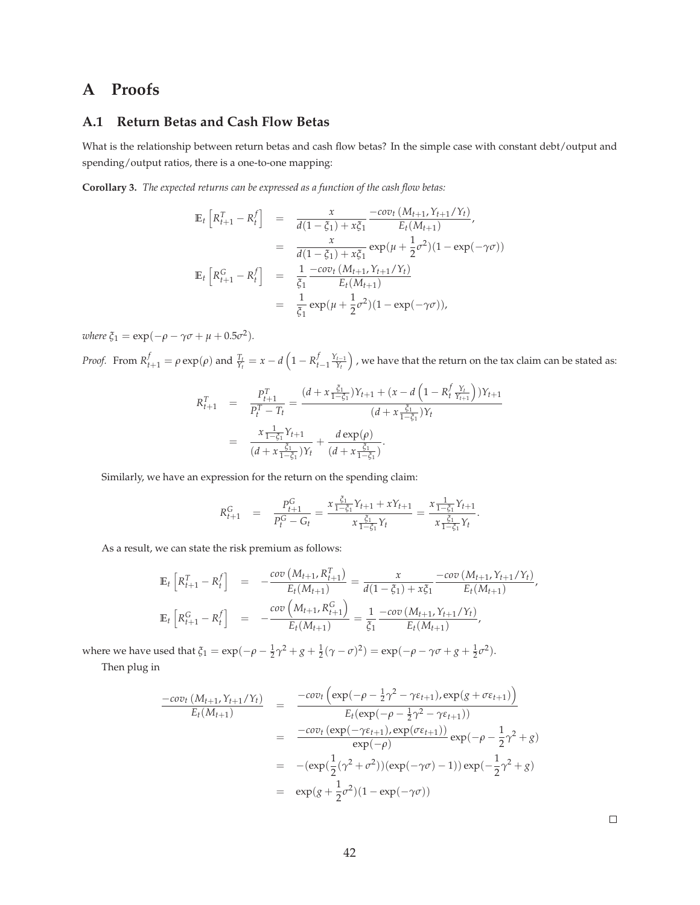# **A Proofs**

# **A.1 Return Betas and Cash Flow Betas**

What is the relationship between return betas and cash flow betas? In the simple case with constant debt/output and spending/output ratios, there is a one-to-one mapping:

**Corollary 3.** *The expected returns can be expressed as a function of the cash flow betas:*

$$
\mathbb{E}_{t}\left[R_{t+1}^{T} - R_{t}^{f}\right] = \frac{x}{d(1-\xi_{1}) + x\xi_{1}} \frac{-cov_{t}\left(M_{t+1}, Y_{t+1}/Y_{t}\right)}{E_{t}(M_{t+1})},
$$
\n
$$
= \frac{x}{d(1-\xi_{1}) + x\xi_{1}} exp(\mu + \frac{1}{2}\sigma^{2})(1 - exp(-\gamma\sigma))
$$
\n
$$
\mathbb{E}_{t}\left[R_{t+1}^{G} - R_{t}^{f}\right] = \frac{1}{\xi_{1}} \frac{-cov_{t}\left(M_{t+1}, Y_{t+1}/Y_{t}\right)}{E_{t}(M_{t+1})}
$$
\n
$$
= \frac{1}{\xi_{1}} exp(\mu + \frac{1}{2}\sigma^{2})(1 - exp(-\gamma\sigma)),
$$

 $where \xi_1 = \exp(-\rho - \gamma \sigma + \mu + 0.5\sigma^2).$ 

*Proof.* From  $R_{t+1}^f = \rho \exp(\rho)$  and  $\frac{T_t}{Y_t} = x - d \left(1 - R_{t-1}^f \frac{Y_{t-1}}{Y_t}\right)$  , we have that the return on the tax claim can be stated as:

$$
R_{t+1}^T = \frac{P_{t+1}^T}{P_t^T - T_t} = \frac{(d + x \frac{\xi_1}{1 - \xi_1})Y_{t+1} + (x - d \left(1 - R_t^f \frac{Y_t}{Y_{t+1}}\right))Y_{t+1}}{(d + x \frac{\xi_1}{1 - \xi_1})Y_t}
$$
  
= 
$$
\frac{x \frac{1}{1 - \xi_1}Y_{t+1}}{(d + x \frac{\xi_1}{1 - \xi_1})Y_t} + \frac{d \exp(\rho)}{(d + x \frac{\xi_1}{1 - \xi_1})}.
$$

Similarly, we have an expression for the return on the spending claim:

$$
R_{t+1}^G = \frac{P_{t+1}^G}{P_t^G - G_t} = \frac{x \frac{\xi_1}{1 - \xi_1} Y_{t+1} + x Y_{t+1}}{x \frac{\xi_1}{1 - \xi_1} Y_t} = \frac{x \frac{1}{1 - \xi_1} Y_{t+1}}{x \frac{\xi_1}{1 - \xi_1} Y_t}.
$$

As a result, we can state the risk premium as follows:

$$
\mathbb{E}_{t}\left[R_{t+1}^{T}-R_{t}^{f}\right] = -\frac{\text{cov}\left(M_{t+1}, R_{t+1}^{T}\right)}{E_{t}(M_{t+1})} = \frac{x}{d(1-\xi_{1})+x\xi_{1}} - \frac{\text{cov}\left(M_{t+1}, Y_{t+1}/Y_{t}\right)}{E_{t}(M_{t+1})},
$$
\n
$$
\mathbb{E}_{t}\left[R_{t+1}^{G}-R_{t}^{f}\right] = -\frac{\text{cov}\left(M_{t+1}, R_{t+1}^{G}\right)}{E_{t}(M_{t+1})} = \frac{1}{\xi_{1}} - \frac{\text{cov}\left(M_{t+1}, Y_{t+1}/Y_{t}\right)}{E_{t}(M_{t+1})},
$$

where we have used that  $\xi_1 = \exp(-\rho - \frac{1}{2}\gamma^2 + g + \frac{1}{2}(\gamma - \sigma)^2) = \exp(-\rho - \gamma\sigma + g + \frac{1}{2}\sigma^2)$ .

Then plug in

$$
\frac{-cov_t (M_{t+1}, Y_{t+1}/Y_t)}{E_t(M_{t+1})} = \frac{-cov_t (exp(-\rho - \frac{1}{2}\gamma^2 - \gamma\epsilon_{t+1}), exp(g + \sigma\epsilon_{t+1}))}{E_t(exp(-\rho - \frac{1}{2}\gamma^2 - \gamma\epsilon_{t+1}))}
$$
  
\n
$$
= \frac{-cov_t (exp(-\gamma\epsilon_{t+1}), exp(\sigma\epsilon_{t+1}))}{exp(-\rho)} exp(-\rho - \frac{1}{2}\gamma^2 + g)
$$
  
\n
$$
= -(\exp(\frac{1}{2}(\gamma^2 + \sigma^2)) (exp(-\gamma\sigma) - 1)) exp(-\frac{1}{2}\gamma^2 + g)
$$
  
\n
$$
= exp(g + \frac{1}{2}\sigma^2)(1 - exp(-\gamma\sigma))
$$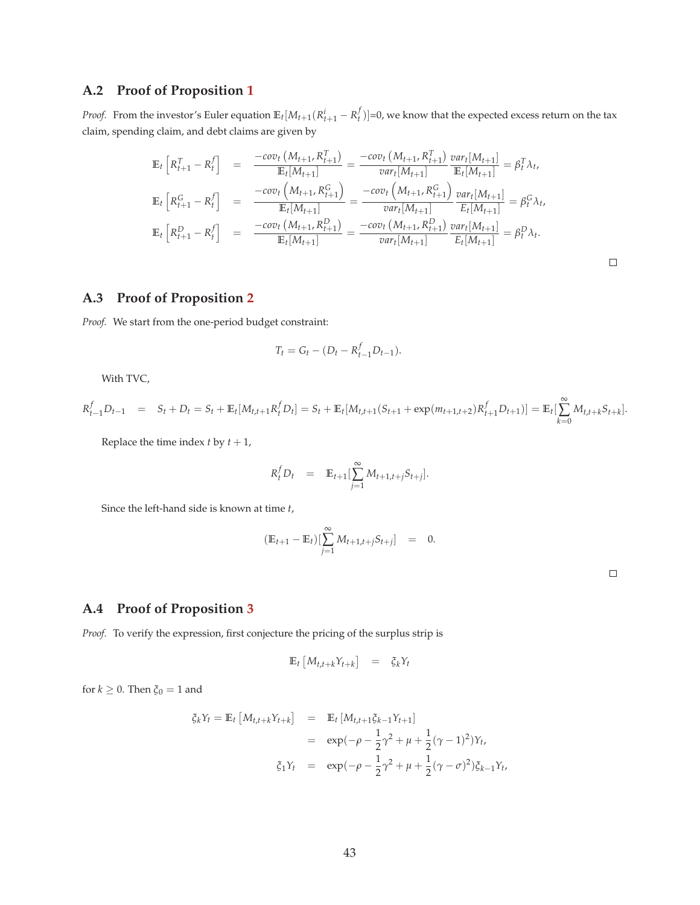# **A.2 Proof of Proposition 1**

*Proof.* From the investor's Euler equation  $\mathbb{E}_t[M_{t+1}(R_{t+1}^i - R_t^f)] = 0$ , we know that the expected excess return on the tax claim, spending claim, and debt claims are given by

$$
\mathbb{E}_{t}\left[R_{t+1}^{T} - R_{t}^{f}\right] = \frac{-cov_{t}\left(M_{t+1}, R_{t+1}^{T}\right)}{\mathbb{E}_{t}[M_{t+1}]} = \frac{-cov_{t}\left(M_{t+1}, R_{t+1}^{T}\right)}{var_{t}[M_{t+1}]} \frac{var_{t}[M_{t+1}]}{\mathbb{E}_{t}[M_{t+1}]} = \beta_{t}^{T} \lambda_{t},
$$
\n
$$
\mathbb{E}_{t}\left[R_{t+1}^{G} - R_{t}^{f}\right] = \frac{-cov_{t}\left(M_{t+1}, R_{t+1}^{G}\right)}{\mathbb{E}_{t}[M_{t+1}]} = \frac{-cov_{t}\left(M_{t+1}, R_{t+1}^{G}\right)}{var_{t}[M_{t+1}]} \frac{var_{t}[M_{t+1}]}{\mathbb{E}_{t}[M_{t+1}]} = \beta_{t}^{G} \lambda_{t},
$$
\n
$$
\mathbb{E}_{t}\left[R_{t+1}^{D} - R_{t}^{f}\right] = \frac{-cov_{t}\left(M_{t+1}, R_{t+1}^{D}\right)}{\mathbb{E}_{t}[M_{t+1}]} = \frac{-cov_{t}\left(M_{t+1}, R_{t+1}^{D}\right)}{var_{t}[M_{t+1}]} \frac{var_{t}[M_{t+1}]}{\mathbb{E}_{t}[M_{t+1}]} = \beta_{t}^{D} \lambda_{t}.
$$

# **A.3 Proof of Proposition 2**

*Proof.* We start from the one-period budget constraint:

$$
T_t = G_t - (D_t - R_{t-1}^f D_{t-1}).
$$

With TVC,

$$
R_{t-1}^f D_{t-1} = S_t + D_t = S_t + \mathbb{E}_t[M_{t,t+1}R_t^f D_t] = S_t + \mathbb{E}_t[M_{t,t+1}(S_{t+1} + \exp(m_{t+1,t+2})R_{t+1}^f D_{t+1})] = \mathbb{E}_t[\sum_{k=0}^{\infty} M_{t,t+k}S_{t+k}].
$$

Replace the time index  $t$  by  $t + 1$ ,

$$
R_t^f D_t = \mathbb{E}_{t+1} \left[ \sum_{j=1}^{\infty} M_{t+1,t+j} S_{t+j} \right].
$$

Since the left-hand side is known at time *t*,

$$
(\mathbb{E}_{t+1} - \mathbb{E}_t) [\sum_{j=1}^{\infty} M_{t+1,t+j} S_{t+j}] = 0.
$$

 $\Box$ 

### **A.4 Proof of Proposition 3**

*Proof.* To verify the expression, first conjecture the pricing of the surplus strip is

$$
\mathbb{E}_t \left[ M_{t,t+k} Y_{t+k} \right] = \xi_k Y_t
$$

for  $k \geq 0$ . Then  $\xi_0 = 1$  and

$$
\xi_k Y_t = \mathbb{E}_t \left[ M_{t,t+k} Y_{t+k} \right] = \mathbb{E}_t \left[ M_{t,t+1} \xi_{k-1} Y_{t+1} \right]
$$
  
\n
$$
= \exp(-\rho - \frac{1}{2} \gamma^2 + \mu + \frac{1}{2} (\gamma - 1)^2) Y_t,
$$
  
\n
$$
\xi_1 Y_t = \exp(-\rho - \frac{1}{2} \gamma^2 + \mu + \frac{1}{2} (\gamma - \sigma)^2) \xi_{k-1} Y_t,
$$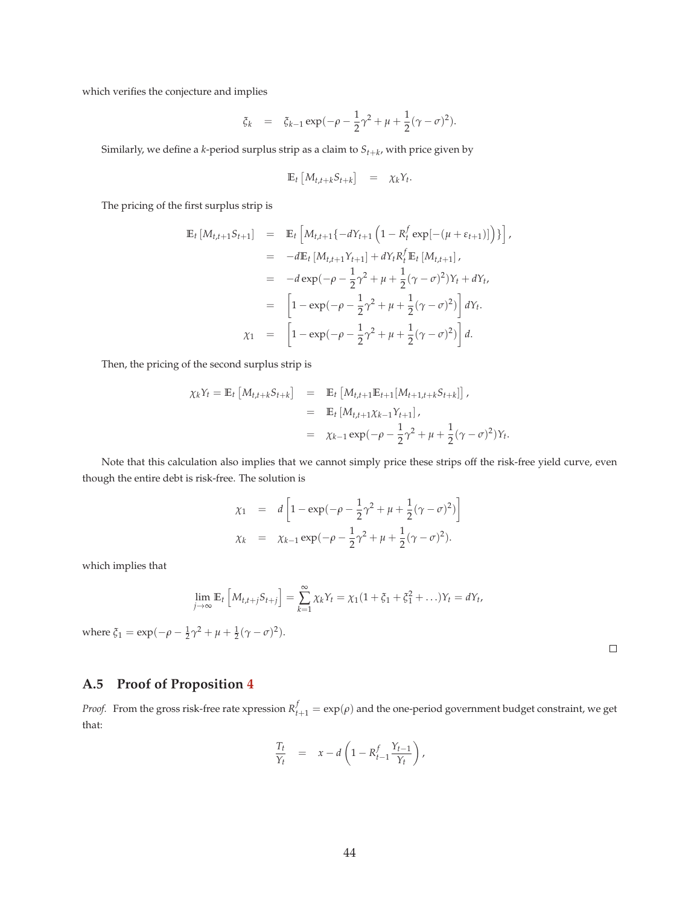which verifies the conjecture and implies

$$
\xi_k = \xi_{k-1} \exp(-\rho - \frac{1}{2}\gamma^2 + \mu + \frac{1}{2}(\gamma - \sigma)^2).
$$

Similarly, we define a *k*-period surplus strip as a claim to *St*+*<sup>k</sup>* , with price given by

$$
\mathbb{E}_t \left[ M_{t,t+k} S_{t+k} \right] = \chi_k Y_t.
$$

The pricing of the first surplus strip is

$$
\mathbb{E}_{t} [M_{t,t+1}S_{t+1}] = \mathbb{E}_{t} \left[ M_{t,t+1} \{-dY_{t+1} (1 - R_{t}^{f} \exp[-(\mu + \varepsilon_{t+1})]) \} \right],
$$
  
\n
$$
= -d \mathbb{E}_{t} [M_{t,t+1}Y_{t+1}] + dY_{t}R_{t}^{f} \mathbb{E}_{t} [M_{t,t+1}],
$$
  
\n
$$
= -d \exp(-\rho - \frac{1}{2}\gamma^{2} + \mu + \frac{1}{2}(\gamma - \sigma)^{2})Y_{t} + dY_{t},
$$
  
\n
$$
= \left[ 1 - \exp(-\rho - \frac{1}{2}\gamma^{2} + \mu + \frac{1}{2}(\gamma - \sigma)^{2}) \right] dY_{t}.
$$
  
\n
$$
\chi_{1} = \left[ 1 - \exp(-\rho - \frac{1}{2}\gamma^{2} + \mu + \frac{1}{2}(\gamma - \sigma)^{2}) \right] d.
$$

Then, the pricing of the second surplus strip is

$$
\chi_k Y_t = \mathbb{E}_t \left[ M_{t,t+k} S_{t+k} \right] = \mathbb{E}_t \left[ M_{t,t+1} \mathbb{E}_{t+1} [M_{t+1,t+k} S_{t+k}] \right],
$$
  
\n
$$
= \mathbb{E}_t \left[ M_{t,t+1} \chi_{k-1} Y_{t+1} \right],
$$
  
\n
$$
= \chi_{k-1} \exp(-\rho - \frac{1}{2} \gamma^2 + \mu + \frac{1}{2} (\gamma - \sigma)^2) Y_t
$$

Note that this calculation also implies that we cannot simply price these strips off the risk-free yield curve, even though the entire debt is risk-free. The solution is

$$
\chi_1 = d \left[ 1 - \exp(-\rho - \frac{1}{2}\gamma^2 + \mu + \frac{1}{2}(\gamma - \sigma)^2) \right]
$$
  

$$
\chi_k = \chi_{k-1} \exp(-\rho - \frac{1}{2}\gamma^2 + \mu + \frac{1}{2}(\gamma - \sigma)^2).
$$

which implies that

$$
\lim_{j \to \infty} \mathbb{E}_t \left[ M_{t,t+j} S_{t+j} \right] = \sum_{k=1}^{\infty} \chi_k Y_t = \chi_1 (1 + \xi_1 + \xi_1^2 + \ldots) Y_t = dY_t,
$$

where  $\xi_1 = \exp(-\rho - \frac{1}{2}\gamma^2 + \mu + \frac{1}{2}(\gamma - \sigma)^2)$ .

 $\Box$ 

.

# **A.5 Proof of Proposition 4**

*Proof.* From the gross risk-free rate xpression  $R_{t+1}^f = \exp(\rho)$  and the one-period government budget constraint, we get that:

$$
\frac{T_t}{Y_t} = x - d \left( 1 - R_{t-1}^f \frac{Y_{t-1}}{Y_t} \right),
$$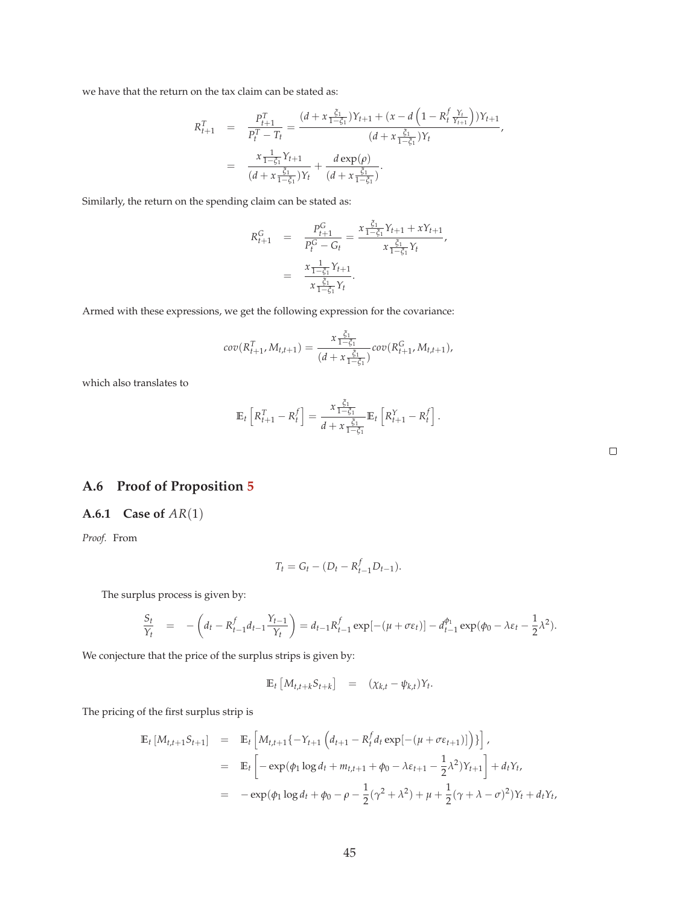we have that the return on the tax claim can be stated as:

$$
R_{t+1}^T = \frac{P_{t+1}^T}{P_t^T - T_t} = \frac{(d + x \frac{\xi_1}{1 - \xi_1})Y_{t+1} + (x - d \left(1 - R_t^f \frac{Y_t}{Y_{t+1}}\right))Y_{t+1}}{(d + x \frac{\xi_1}{1 - \xi_1})Y_t}
$$
\n
$$
= \frac{x \frac{1}{1 - \xi_1}Y_{t+1}}{(d + x \frac{\xi_1}{1 - \xi_1})Y_t} + \frac{d \exp(\rho)}{(d + x \frac{\xi_1}{1 - \xi_1})}.
$$

Similarly, the return on the spending claim can be stated as:

$$
R_{t+1}^{G} = \frac{P_{t+1}^{G}}{P_{t}^{G} - G_{t}} = \frac{x \frac{\xi_{1}}{1 - \xi_{1}} Y_{t+1} + x Y_{t+1}}{x \frac{\xi_{1}}{1 - \xi_{1}} Y_{t}},
$$
  

$$
= \frac{x \frac{1}{1 - \xi_{1}} Y_{t+1}}{x \frac{\xi_{1}}{1 - \xi_{1}} Y_{t}}.
$$

Armed with these expressions, we get the following expression for the covariance:

$$
cov(R_{t+1}^T, M_{t,t+1}) = \frac{x \frac{\xi_1}{1-\xi_1}}{(d+x \frac{\xi_1}{1-\xi_1})} cov(R_{t+1}^G, M_{t,t+1}),
$$

which also translates to

$$
\mathbb{E}_t\left[R_{t+1}^T - R_t^f\right] = \frac{x \frac{\xi_1}{1-\xi_1}}{d + x \frac{\xi_1}{1-\xi_1}} \mathbb{E}_t\left[R_{t+1}^Y - R_t^f\right].
$$

# **A.6 Proof of Proposition 5**

### **A.6.1 Case of** *AR*(1)

*Proof.* From

$$
T_t = G_t - (D_t - R_{t-1}^f D_{t-1}).
$$

The surplus process is given by:

$$
\frac{S_t}{Y_t} = -\left(d_t - R_{t-1}^f d_{t-1} \frac{Y_{t-1}}{Y_t}\right) = d_{t-1} R_{t-1}^f \exp[-(\mu + \sigma \varepsilon_t)] - d_{t-1}^{\phi_1} \exp(\phi_0 - \lambda \varepsilon_t - \frac{1}{2} \lambda^2).
$$

We conjecture that the price of the surplus strips is given by:

$$
\mathbb{E}_t \left[ M_{t,t+k} S_{t+k} \right] = (\chi_{k,t} - \psi_{k,t}) Y_t.
$$

The pricing of the first surplus strip is

$$
\mathbb{E}_{t} \left[ M_{t,t+1} S_{t+1} \right] = \mathbb{E}_{t} \left[ M_{t,t+1} \{ -Y_{t+1} \left( d_{t+1} - R_{t}^{f} d_{t} \exp[-(\mu + \sigma \varepsilon_{t+1})] \right) \} \right],
$$
  
\n
$$
= \mathbb{E}_{t} \left[ -\exp(\phi_{1} \log d_{t} + m_{t,t+1} + \phi_{0} - \lambda \varepsilon_{t+1} - \frac{1}{2} \lambda^{2}) Y_{t+1} \right] + d_{t} Y_{t},
$$
  
\n
$$
= -\exp(\phi_{1} \log d_{t} + \phi_{0} - \rho - \frac{1}{2} (\gamma^{2} + \lambda^{2}) + \mu + \frac{1}{2} (\gamma + \lambda - \sigma)^{2}) Y_{t} + d_{t} Y_{t},
$$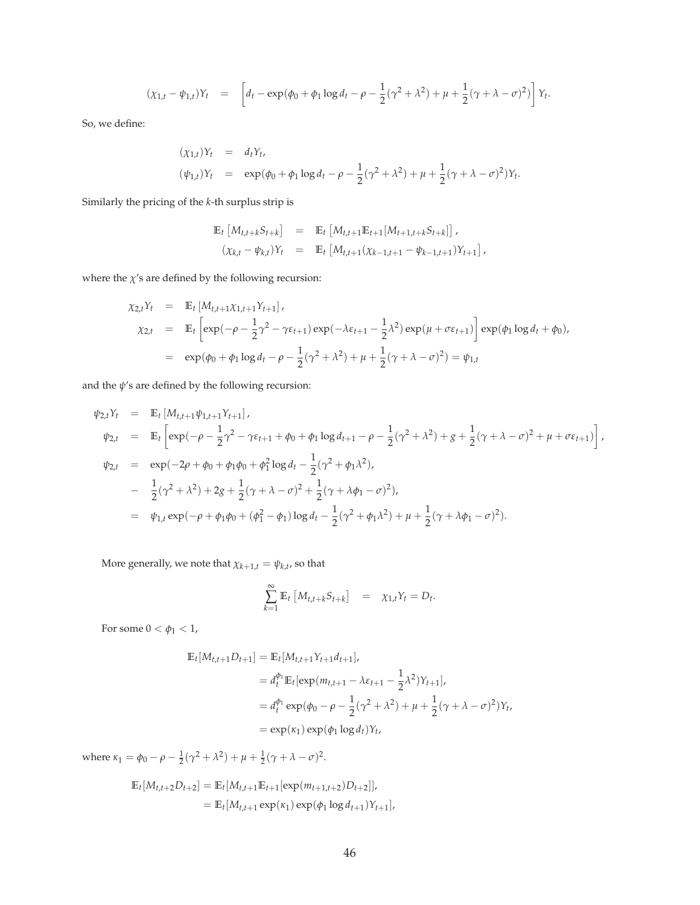$$
(\chi_{1,t} - \psi_{1,t})Y_t = \left[ d_t - \exp(\phi_0 + \phi_1 \log d_t - \rho - \frac{1}{2}(\gamma^2 + \lambda^2) + \mu + \frac{1}{2}(\gamma + \lambda - \sigma)^2) \right] Y_t.
$$

So, we define:

$$
(\chi_{1,t})Y_t = d_tY_t, (\psi_{1,t})Y_t = \exp(\phi_0 + \phi_1 \log d_t - \rho - \frac{1}{2}(\gamma^2 + \lambda^2) + \mu + \frac{1}{2}(\gamma + \lambda - \sigma)^2)Y_t.
$$

Similarly the pricing of the *k*-th surplus strip is

$$
\mathbb{E}_{t} \left[ M_{t,t+k} S_{t+k} \right] = \mathbb{E}_{t} \left[ M_{t,t+1} \mathbb{E}_{t+1} [M_{t+1,t+k} S_{t+k}] \right],
$$
  

$$
(\chi_{k,t} - \psi_{k,t}) Y_{t} = \mathbb{E}_{t} \left[ M_{t,t+1} (\chi_{k-1,t+1} - \psi_{k-1,t+1}) Y_{t+1} \right],
$$

where the  $\chi$ 's are defined by the following recursion:

$$
\chi_{2,t}Y_t = \mathbb{E}_t [M_{t,t+1}\chi_{1,t+1}Y_{t+1}],
$$
  
\n
$$
\chi_{2,t} = \mathbb{E}_t \left[ \exp(-\rho - \frac{1}{2}\gamma^2 - \gamma \varepsilon_{t+1}) \exp(-\lambda \varepsilon_{t+1} - \frac{1}{2}\lambda^2) \exp(\mu + \sigma \varepsilon_{t+1}) \right] \exp(\phi_1 \log d_t + \phi_0),
$$
  
\n
$$
= \exp(\phi_0 + \phi_1 \log d_t - \rho - \frac{1}{2}(\gamma^2 + \lambda^2) + \mu + \frac{1}{2}(\gamma + \lambda - \sigma)^2) = \psi_{1,t}
$$

and the *ψ*'s are defined by the following recursion:

$$
\psi_{2,t}Y_t = \mathbb{E}_t [M_{t,t+1}\psi_{1,t+1}Y_{t+1}],
$$
  
\n
$$
\psi_{2,t} = \mathbb{E}_t \left[ \exp(-\rho - \frac{1}{2}\gamma^2 - \gamma \varepsilon_{t+1} + \phi_0 + \phi_1 \log d_{t+1} - \rho - \frac{1}{2}(\gamma^2 + \lambda^2) + g + \frac{1}{2}(\gamma + \lambda - \sigma)^2 + \mu + \sigma \varepsilon_{t+1}) \right],
$$
  
\n
$$
\psi_{2,t} = \exp(-2\rho + \phi_0 + \phi_1\phi_0 + \phi_1^2 \log d_t - \frac{1}{2}(\gamma^2 + \phi_1\lambda^2),
$$
  
\n
$$
- \frac{1}{2}(\gamma^2 + \lambda^2) + 2g + \frac{1}{2}(\gamma + \lambda - \sigma)^2 + \frac{1}{2}(\gamma + \lambda\phi_1 - \sigma)^2),
$$
  
\n
$$
= \psi_{1,t} \exp(-\rho + \phi_1\phi_0 + (\phi_1^2 - \phi_1) \log d_t - \frac{1}{2}(\gamma^2 + \phi_1\lambda^2) + \mu + \frac{1}{2}(\gamma + \lambda\phi_1 - \sigma)^2).
$$

More generally, we note that  $\chi_{k+1,t} = \psi_{k,t}$ , so that

$$
\sum_{k=1}^{\infty} \mathbb{E}_t \left[ M_{t,t+k} S_{t+k} \right] = \chi_{1,t} Y_t = D_t.
$$

For some  $0 < \phi_1 < 1$ ,

$$
\mathbb{E}_{t}[M_{t,t+1}D_{t+1}] = \mathbb{E}_{t}[M_{t,t+1}Y_{t+1}d_{t+1}],
$$
  
\n
$$
= d_{t}^{\phi_{1}}\mathbb{E}_{t}[\exp(m_{t,t+1} - \lambda \varepsilon_{t+1} - \frac{1}{2}\lambda^{2})Y_{t+1}],
$$
  
\n
$$
= d_{t}^{\phi_{1}}\exp(\phi_{0} - \rho - \frac{1}{2}(\gamma^{2} + \lambda^{2}) + \mu + \frac{1}{2}(\gamma + \lambda - \sigma)^{2})Y_{t},
$$
  
\n
$$
= \exp(\kappa_{1})\exp(\phi_{1}\log d_{t})Y_{t},
$$

where  $\kappa_1 = \phi_0 - \rho - \frac{1}{2}(\gamma^2 + \lambda^2) + \mu + \frac{1}{2}(\gamma + \lambda - \sigma)^2$ .

$$
\mathbb{E}_{t}[M_{t,t+2}D_{t+2}] = \mathbb{E}_{t}[M_{t,t+1}\mathbb{E}_{t+1}[\exp(m_{t+1,t+2})D_{t+2}]],
$$
  
=  $\mathbb{E}_{t}[M_{t,t+1}\exp(\kappa_{1})\exp(\phi_{1}\log d_{t+1})Y_{t+1}],$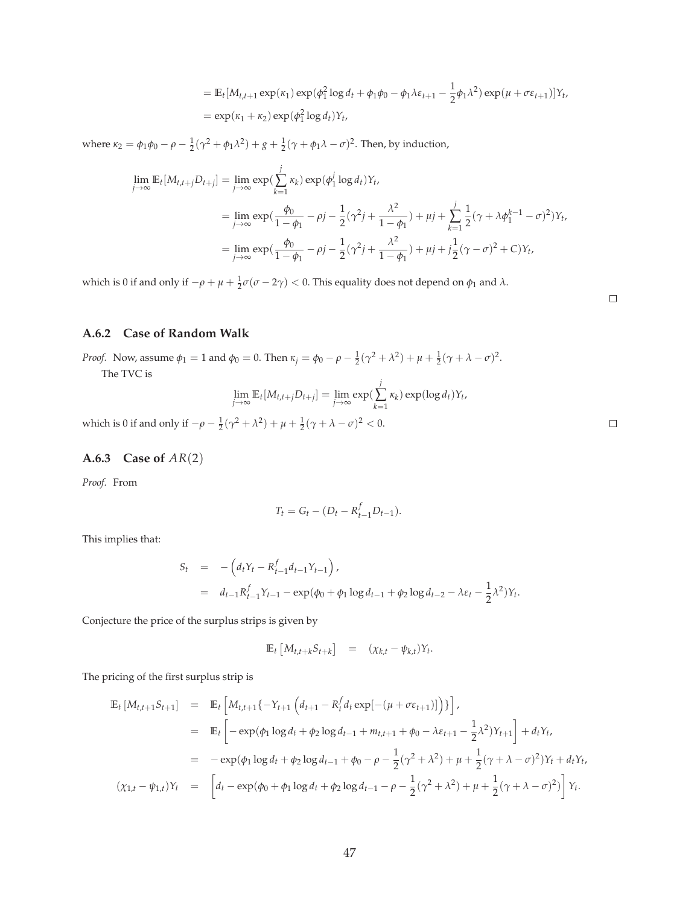$$
= \mathbb{E}_t[M_{t,t+1} \exp(\kappa_1) \exp(\phi_1^2 \log d_t + \phi_1 \phi_0 - \phi_1 \lambda \varepsilon_{t+1} - \frac{1}{2} \phi_1 \lambda^2) \exp(\mu + \sigma \varepsilon_{t+1})]Y_t,
$$
  
=  $\exp(\kappa_1 + \kappa_2) \exp(\phi_1^2 \log d_t)Y_t,$ 

where *κ*<sub>2</sub> = *φ*<sub>1</sub>*φ*<sub>0</sub> − *ρ* −  $\frac{1}{2}$ ( $\gamma$ <sup>2</sup> + *φ*<sub>1</sub> $\lambda$ <sup>2</sup>) + *g* +  $\frac{1}{2}$ ( $\gamma$  + *φ*<sub>1</sub> $\lambda$  − *σ*)<sup>2</sup>. Then, by induction,

$$
\lim_{j \to \infty} \mathbb{E}_t[M_{t,t+j}D_{t+j}] = \lim_{j \to \infty} \exp(\sum_{k=1}^j \kappa_k) \exp(\phi_1^j \log d_t)Y_t,
$$
  
\n
$$
= \lim_{j \to \infty} \exp(\frac{\phi_0}{1 - \phi_1} - \rho j - \frac{1}{2}(\gamma^2 j + \frac{\lambda^2}{1 - \phi_1}) + \mu j + \sum_{k=1}^j \frac{1}{2}(\gamma + \lambda \phi_1^{k-1} - \sigma)^2)Y_t,
$$
  
\n
$$
= \lim_{j \to \infty} \exp(\frac{\phi_0}{1 - \phi_1} - \rho j - \frac{1}{2}(\gamma^2 j + \frac{\lambda^2}{1 - \phi_1}) + \mu j + j\frac{1}{2}(\gamma - \sigma)^2 + C)Y_t,
$$

which is 0 if and only if  $-\rho + \mu + \frac{1}{2}\sigma(\sigma - 2\gamma) < 0$ . This equality does not depend on  $\phi_1$  and  $\lambda$ .

## **A.6.2 Case of Random Walk**

*Proof.* Now, assume  $\phi_1 = 1$  and  $\phi_0 = 0$ . Then  $\kappa_j = \phi_0 - \rho - \frac{1}{2}(\gamma^2 + \lambda^2) + \mu + \frac{1}{2}(\gamma + \lambda - \sigma)^2$ . The TVC is

$$
\lim_{j\to\infty} \mathbb{E}_t[M_{t,t+j}D_{t+j}] = \lim_{j\to\infty} \exp(\sum_{k=1}^j \kappa_k) \exp(\log d_t)Y_t,
$$

*k*=1

which is 0 if and only if  $-\rho - \frac{1}{2}(\gamma^2 + \lambda^2) + \mu + \frac{1}{2}(\gamma + \lambda - \sigma)^2 < 0$ .

### **A.6.3 Case of** *AR*(2)

*Proof.* From

$$
T_t = G_t - (D_t - R_{t-1}^f D_{t-1}).
$$

This implies that:

$$
S_t = -\left(d_t Y_t - R_{t-1}^f d_{t-1} Y_{t-1}\right),
$$
  
=  $d_{t-1} R_{t-1}^f Y_{t-1} - \exp(\phi_0 + \phi_1 \log d_{t-1} + \phi_2 \log d_{t-2} - \lambda \varepsilon_t - \frac{1}{2} \lambda^2) Y_t.$ 

Conjecture the price of the surplus strips is given by

$$
\mathbb{E}_t \left[ M_{t,t+k} S_{t+k} \right] = (\chi_{k,t} - \psi_{k,t}) Y_t.
$$

The pricing of the first surplus strip is

$$
\mathbb{E}_{t} \left[ M_{t,t+1} S_{t+1} \right] = \mathbb{E}_{t} \left[ M_{t,t+1} \{ -Y_{t+1} \left( d_{t+1} - R_{t}^{f} d_{t} \exp[-(\mu + \sigma \varepsilon_{t+1})] \right) \} \right],
$$
\n
$$
= \mathbb{E}_{t} \left[ -\exp(\phi_{1} \log d_{t} + \phi_{2} \log d_{t-1} + m_{t,t+1} + \phi_{0} - \lambda \varepsilon_{t+1} - \frac{1}{2} \lambda^{2}) Y_{t+1} \right] + d_{t} Y_{t},
$$
\n
$$
= -\exp(\phi_{1} \log d_{t} + \phi_{2} \log d_{t-1} + \phi_{0} - \rho - \frac{1}{2} (\gamma^{2} + \lambda^{2}) + \mu + \frac{1}{2} (\gamma + \lambda - \sigma)^{2}) Y_{t} + d_{t} Y_{t},
$$
\n
$$
(\chi_{1,t} - \psi_{1,t}) Y_{t} = \left[ d_{t} - \exp(\phi_{0} + \phi_{1} \log d_{t} + \phi_{2} \log d_{t-1} - \rho - \frac{1}{2} (\gamma^{2} + \lambda^{2}) + \mu + \frac{1}{2} (\gamma + \lambda - \sigma)^{2}) \right] Y_{t}.
$$

 $\Box$ 

 $\Box$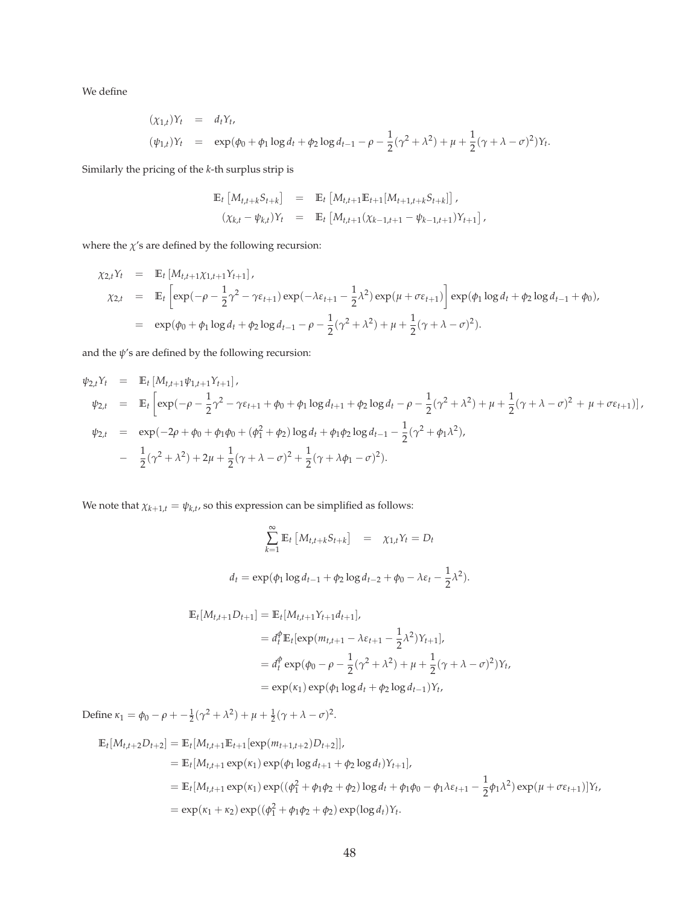We define

$$
(\chi_{1,t})Y_t = d_tY_t,
$$
  
\n
$$
(\psi_{1,t})Y_t = \exp(\phi_0 + \phi_1 \log d_t + \phi_2 \log d_{t-1} - \rho - \frac{1}{2}(\gamma^2 + \lambda^2) + \mu + \frac{1}{2}(\gamma + \lambda - \sigma)^2)Y_t.
$$

Similarly the pricing of the *k*-th surplus strip is

$$
\mathbb{E}_{t} \left[ M_{t,t+k} S_{t+k} \right] = \mathbb{E}_{t} \left[ M_{t,t+1} \mathbb{E}_{t+1} [M_{t+1,t+k} S_{t+k}] \right],
$$
  

$$
(\chi_{k,t} - \psi_{k,t}) Y_{t} = \mathbb{E}_{t} \left[ M_{t,t+1} (\chi_{k-1,t+1} - \psi_{k-1,t+1}) Y_{t+1} \right],
$$

where the  $\chi$ 's are defined by the following recursion:

$$
\chi_{2,t}Y_t = \mathbb{E}_t [M_{t,t+1} \chi_{1,t+1} Y_{t+1}],
$$
  
\n
$$
\chi_{2,t} = \mathbb{E}_t \left[ \exp(-\rho - \frac{1}{2} \gamma^2 - \gamma \varepsilon_{t+1}) \exp(-\lambda \varepsilon_{t+1} - \frac{1}{2} \lambda^2) \exp(\mu + \sigma \varepsilon_{t+1}) \right] \exp(\phi_1 \log d_t + \phi_2 \log d_{t-1} + \phi_0),
$$
  
\n
$$
= \exp(\phi_0 + \phi_1 \log d_t + \phi_2 \log d_{t-1} - \rho - \frac{1}{2} (\gamma^2 + \lambda^2) + \mu + \frac{1}{2} (\gamma + \lambda - \sigma)^2).
$$

and the  $\psi$ 's are defined by the following recursion:

$$
\psi_{2,t}Y_t = \mathbb{E}_t [M_{t,t+1}\psi_{1,t+1}Y_{t+1}],
$$
  
\n
$$
\psi_{2,t} = \mathbb{E}_t \left[ \exp(-\rho - \frac{1}{2}\gamma^2 - \gamma \varepsilon_{t+1} + \phi_0 + \phi_1 \log d_{t+1} + \phi_2 \log d_t - \rho - \frac{1}{2}(\gamma^2 + \lambda^2) + \mu + \frac{1}{2}(\gamma + \lambda - \sigma)^2 + \mu + \sigma \varepsilon_{t+1}) \right],
$$
  
\n
$$
\psi_{2,t} = \exp(-2\rho + \phi_0 + \phi_1\phi_0 + (\phi_1^2 + \phi_2) \log d_t + \phi_1\phi_2 \log d_{t-1} - \frac{1}{2}(\gamma^2 + \phi_1\lambda^2),
$$
  
\n
$$
- \frac{1}{2}(\gamma^2 + \lambda^2) + 2\mu + \frac{1}{2}(\gamma + \lambda - \sigma)^2 + \frac{1}{2}(\gamma + \lambda\phi_1 - \sigma)^2).
$$

We note that  $\chi_{k+1,t} = \psi_{k,t}$ , so this expression can be simplified as follows:

$$
\sum_{k=1}^{\infty} \mathbb{E}_t \left[ M_{t,t+k} S_{t+k} \right] = \chi_{1,t} Y_t = D_t
$$
  

$$
d_t = \exp(\phi_1 \log d_{t-1} + \phi_2 \log d_{t-2} + \phi_0 - \lambda \varepsilon_t - \frac{1}{2} \lambda^2).
$$

$$
\mathbb{E}_{t}[M_{t,t+1}D_{t+1}] = \mathbb{E}_{t}[M_{t,t+1}Y_{t+1}d_{t+1}],
$$
  
\n
$$
= d_{t}^{\phi}\mathbb{E}_{t}[\exp(m_{t,t+1} - \lambda \varepsilon_{t+1} - \frac{1}{2}\lambda^{2})Y_{t+1}],
$$
  
\n
$$
= d_{t}^{\phi}\exp(\phi_{0} - \rho - \frac{1}{2}(\gamma^{2} + \lambda^{2}) + \mu + \frac{1}{2}(\gamma + \lambda - \sigma)^{2})Y_{t},
$$
  
\n
$$
= \exp(\kappa_{1})\exp(\phi_{1}\log d_{t} + \phi_{2}\log d_{t-1})Y_{t},
$$

Define  $\kappa_1 = \phi_0 - \rho + \frac{1}{2}(\gamma^2 + \lambda^2) + \mu + \frac{1}{2}(\gamma + \lambda - \sigma)^2$ .

$$
\mathbb{E}_{t}[M_{t,t+2}D_{t+2}] = \mathbb{E}_{t}[M_{t,t+1}\mathbb{E}_{t+1}[\exp(m_{t+1,t+2})D_{t+2}]],
$$
\n
$$
= \mathbb{E}_{t}[M_{t,t+1}\exp(\kappa_{1})\exp(\phi_{1}\log d_{t+1} + \phi_{2}\log d_{t})Y_{t+1}],
$$
\n
$$
= \mathbb{E}_{t}[M_{t,t+1}\exp(\kappa_{1})\exp((\phi_{1}^{2} + \phi_{1}\phi_{2} + \phi_{2})\log d_{t} + \phi_{1}\phi_{0} - \phi_{1}\lambda\varepsilon_{t+1} - \frac{1}{2}\phi_{1}\lambda^{2})\exp(\mu + \sigma\varepsilon_{t+1})]Y_{t},
$$
\n
$$
= \exp(\kappa_{1} + \kappa_{2})\exp((\phi_{1}^{2} + \phi_{1}\phi_{2} + \phi_{2})\exp(\log d_{t})Y_{t}.
$$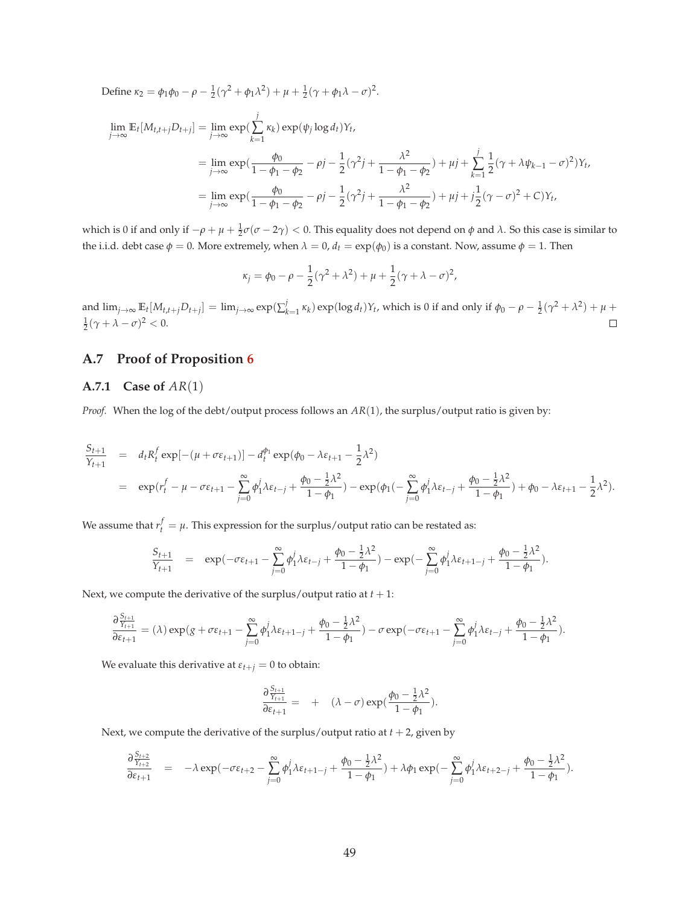Define  $\kappa_2 = \phi_1 \phi_0 - \rho - \frac{1}{2} (\gamma^2 + \phi_1 \lambda^2) + \mu + \frac{1}{2} (\gamma + \phi_1 \lambda - \sigma)^2$ .

$$
\lim_{j \to \infty} \mathbb{E}_t[M_{t,t+j}D_{t+j}] = \lim_{j \to \infty} \exp(\sum_{k=1}^j \kappa_k) \exp(\psi_j \log d_t)Y_t,
$$
\n
$$
= \lim_{j \to \infty} \exp(\frac{\phi_0}{1 - \phi_1 - \phi_2} - \rho j - \frac{1}{2}(\gamma^2 j + \frac{\lambda^2}{1 - \phi_1 - \phi_2}) + \mu j + \sum_{k=1}^j \frac{1}{2}(\gamma + \lambda \psi_{k-1} - \sigma)^2)Y_t,
$$
\n
$$
= \lim_{j \to \infty} \exp(\frac{\phi_0}{1 - \phi_1 - \phi_2} - \rho j - \frac{1}{2}(\gamma^2 j + \frac{\lambda^2}{1 - \phi_1 - \phi_2}) + \mu j + j\frac{1}{2}(\gamma - \sigma)^2 + C)Y_t,
$$

which is 0 if and only if  $-\rho + \mu + \frac{1}{2} \sigma (\sigma - 2\gamma) < 0$ . This equality does not depend on *φ* and *λ*. So this case is similar to the i.i.d. debt case  $\phi = 0$ . More extremely, when  $\lambda = 0$ ,  $d_t = \exp(\phi_0)$  is a constant. Now, assume  $\phi = 1$ . Then

$$
\kappa_j = \phi_0 - \rho - \frac{1}{2}(\gamma^2 + \lambda^2) + \mu + \frac{1}{2}(\gamma + \lambda - \sigma)^2,
$$

and  $\lim_{j\to\infty} \mathbb{E}_t[M_{t,t+j}D_{t+j}] = \lim_{j\to\infty} \exp(\sum_k^j$ *k*<sub> $k=1$  *κ<sub>k</sub>*) exp(log *d<sub>t</sub>*)*Y<sub>t</sub>*, which is 0 if and only if  $\phi_0 - \rho - \frac{1}{2}(\gamma^2 + \lambda^2) + \mu + \frac{1}{2}(\gamma^2 + \lambda^2) + \frac{1}{2}(\gamma^2 + \lambda^2) + \frac{1}{2}(\gamma^2 + \lambda^2) + \frac{1}{2}(\gamma^2 + \lambda^2) + \frac{1}{2}(\gamma^2 + \lambda^2) + \frac{1}{2}(\gamma^2 + \lambda^2) + \frac{1}{2}(\gamma^2 + \lambda^2) + \frac{1}{2}$  $\frac{1}{2}(\gamma + \lambda - \sigma)^2 < 0.$  $\Box$ 

# **A.7 Proof of Proposition 6**

#### **A.7.1 Case of** *AR*(1)

*Proof.* When the log of the debt/output process follows an *AR*(1), the surplus/output ratio is given by:

$$
\frac{S_{t+1}}{Y_{t+1}} = d_t R_t^f \exp[-(\mu + \sigma \varepsilon_{t+1})] - d_t^{\phi_1} \exp(\phi_0 - \lambda \varepsilon_{t+1} - \frac{1}{2} \lambda^2)
$$
\n
$$
= \exp(r_t^f - \mu - \sigma \varepsilon_{t+1} - \sum_{j=0}^{\infty} \phi_1^j \lambda \varepsilon_{t-j} + \frac{\phi_0 - \frac{1}{2} \lambda^2}{1 - \phi_1}) - \exp(\phi_1(-\sum_{j=0}^{\infty} \phi_1^j \lambda \varepsilon_{t-j} + \frac{\phi_0 - \frac{1}{2} \lambda^2}{1 - \phi_1}) + \phi_0 - \lambda \varepsilon_{t+1} - \frac{1}{2} \lambda^2).
$$

We assume that  $r_t^f = \mu$ . This expression for the surplus/output ratio can be restated as:

$$
\frac{S_{t+1}}{Y_{t+1}} = \exp(-\sigma \varepsilon_{t+1} - \sum_{j=0}^{\infty} \phi_1^j \lambda \varepsilon_{t-j} + \frac{\phi_0 - \frac{1}{2} \lambda^2}{1 - \phi_1}) - \exp(-\sum_{j=0}^{\infty} \phi_1^j \lambda \varepsilon_{t+1-j} + \frac{\phi_0 - \frac{1}{2} \lambda^2}{1 - \phi_1}).
$$

Next, we compute the derivative of the surplus/output ratio at  $t + 1$ :

$$
\frac{\partial\frac{S_{t+1}}{Y_{t+1}}}{\partial \varepsilon_{t+1}}=(\lambda)\exp(g+\sigma\varepsilon_{t+1}-\sum_{j=0}^\infty\phi_1^j\lambda\varepsilon_{t+1-j}+\frac{\phi_0-\frac{1}{2}\lambda^2}{1-\phi_1})-\sigma\exp(-\sigma\varepsilon_{t+1}-\sum_{j=0}^\infty\phi_1^j\lambda\varepsilon_{t-j}+\frac{\phi_0-\frac{1}{2}\lambda^2}{1-\phi_1}).
$$

We evaluate this derivative at  $\varepsilon_{t+j} = 0$  to obtain:

$$
\frac{\partial \frac{S_{t+1}}{Y_{t+1}}}{\partial \varepsilon_{t+1}} = + (\lambda - \sigma) \exp(\frac{\phi_0 - \frac{1}{2}\lambda^2}{1 - \phi_1}).
$$

Next, we compute the derivative of the surplus/output ratio at  $t + 2$ , given by

$$
\frac{\partial \frac{S_{t+2}}{S_{t+2}}}{\partial \varepsilon_{t+1}} = -\lambda \exp(-\sigma \varepsilon_{t+2} - \sum_{j=0}^{\infty} \phi_1^j \lambda \varepsilon_{t+1-j} + \frac{\phi_0 - \frac{1}{2} \lambda^2}{1 - \phi_1}) + \lambda \phi_1 \exp(-\sum_{j=0}^{\infty} \phi_1^j \lambda \varepsilon_{t+2-j} + \frac{\phi_0 - \frac{1}{2} \lambda^2}{1 - \phi_1}).
$$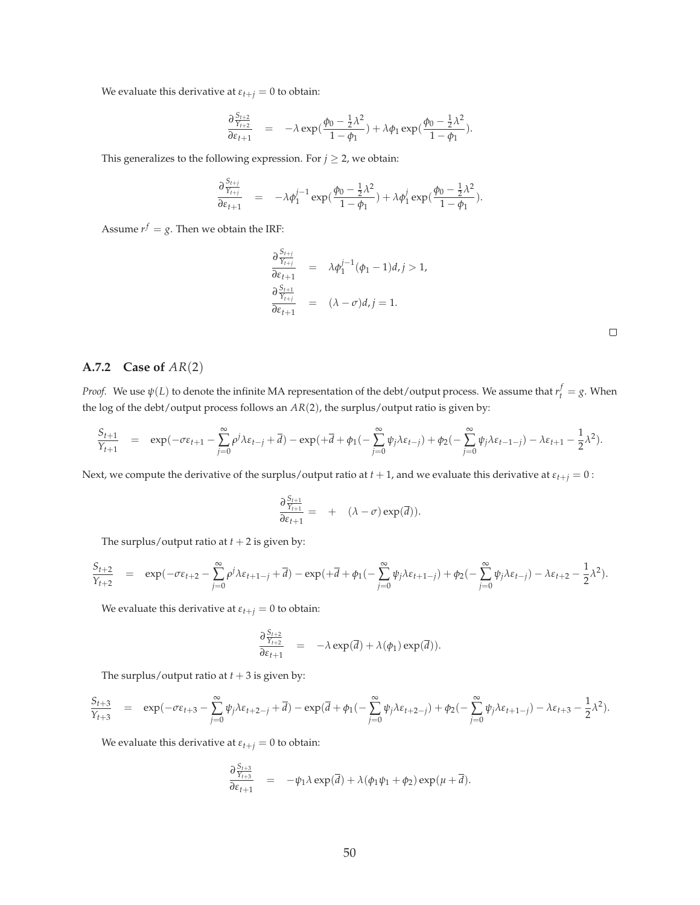We evaluate this derivative at  $\varepsilon_{t+j} = 0$  to obtain:

$$
\frac{\partial \frac{S_{t+2}}{Y_{t+2}}}{\partial \varepsilon_{t+1}} = -\lambda \exp(\frac{\phi_0 - \frac{1}{2}\lambda^2}{1 - \phi_1}) + \lambda \phi_1 \exp(\frac{\phi_0 - \frac{1}{2}\lambda^2}{1 - \phi_1}).
$$

This generalizes to the following expression. For  $j \geq 2$ , we obtain:

$$
\frac{\partial \frac{S_{t+j}}{Y_{t+j}}}{\partial \varepsilon_{t+1}} = -\lambda \phi_1^{j-1} \exp(\frac{\phi_0 - \frac{1}{2}\lambda^2}{1 - \phi_1}) + \lambda \phi_1^j \exp(\frac{\phi_0 - \frac{1}{2}\lambda^2}{1 - \phi_1}).
$$

Assume  $r^f = g$ . Then we obtain the IRF:

$$
\frac{\partial \frac{S_{t+j}}{Y_{t+j}}}{\partial \varepsilon_{t+1}} = \lambda \phi_1^{j-1} (\phi_1 - 1) d, j > 1,
$$
  

$$
\frac{\partial \frac{S_{t+1}}{Y_{t+j}}}{\partial \varepsilon_{t+1}} = (\lambda - \sigma) d, j = 1.
$$

### **A.7.2 Case of** *AR*(2)

*Proof.* We use  $\psi(L)$  to denote the infinite MA representation of the debt/output process. We assume that  $r_t^f = g$ . When the log of the debt/output process follows an *AR*(2), the surplus/output ratio is given by:

$$
\frac{S_{t+1}}{Y_{t+1}}\quad =\quad \exp(-\sigma \epsilon_{t+1} - \sum_{j=0}^\infty \rho^j \lambda \epsilon_{t-j} + \overline{d}) - \exp(+\overline{d} + \phi_1(-\sum_{j=0}^\infty \psi_j \lambda \epsilon_{t-j}) + \phi_2(-\sum_{j=0}^\infty \psi_j \lambda \epsilon_{t-1-j}) - \lambda \epsilon_{t+1} - \frac{1}{2} \lambda^2).
$$

Next, we compute the derivative of the surplus/output ratio at  $t + 1$ , and we evaluate this derivative at  $\varepsilon_{t+j} = 0$ :

$$
\frac{\partial \frac{S_{t+1}}{Y_{t+1}}}{\partial \varepsilon_{t+1}} = + (\lambda - \sigma) \exp(\overline{d})).
$$

The surplus/output ratio at  $t + 2$  is given by:

$$
\frac{S_{t+2}}{Y_{t+2}} = \exp(-\sigma \epsilon_{t+2} - \sum_{j=0}^{\infty} \rho^j \lambda \epsilon_{t+1-j} + \overline{d}) - \exp(+\overline{d} + \phi_1(-\sum_{j=0}^{\infty} \psi_j \lambda \epsilon_{t+1-j}) + \phi_2(-\sum_{j=0}^{\infty} \psi_j \lambda \epsilon_{t-j}) - \lambda \epsilon_{t+2} - \frac{1}{2} \lambda^2).
$$

We evaluate this derivative at  $\varepsilon_{t+j} = 0$  to obtain:

$$
\frac{\partial \frac{S_{t+2}}{Y_{t+2}}}{\partial \varepsilon_{t+1}} = -\lambda \exp(\overline{d}) + \lambda(\phi_1) \exp(\overline{d})).
$$

The surplus/output ratio at  $t + 3$  is given by:

$$
\frac{S_{t+3}}{Y_{t+3}} = \exp(-\sigma \varepsilon_{t+3} - \sum_{j=0}^{\infty} \psi_j \lambda \varepsilon_{t+2-j} + \overline{d}) - \exp(\overline{d} + \phi_1(-\sum_{j=0}^{\infty} \psi_j \lambda \varepsilon_{t+2-j}) + \phi_2(-\sum_{j=0}^{\infty} \psi_j \lambda \varepsilon_{t+1-j}) - \lambda \varepsilon_{t+3} - \frac{1}{2} \lambda^2).
$$

We evaluate this derivative at  $\varepsilon_{t+j} = 0$  to obtain:

$$
\frac{\partial \frac{S_{t+3}}{Y_{t+3}}}{\partial \varepsilon_{t+1}} = -\psi_1 \lambda \exp(\overline{d}) + \lambda (\phi_1 \psi_1 + \phi_2) \exp(\mu + \overline{d}).
$$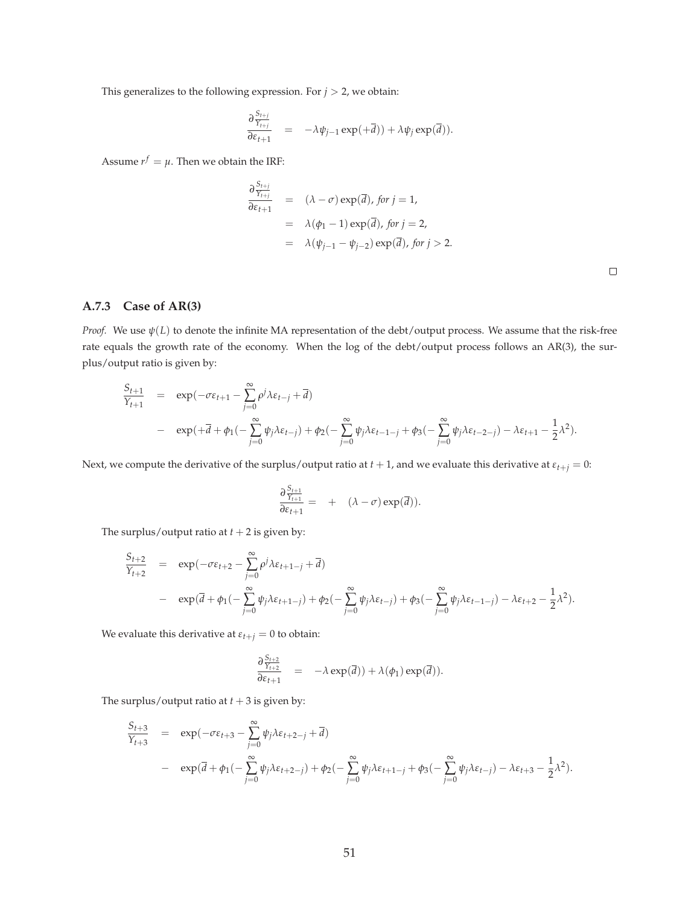This generalizes to the following expression. For  $j > 2$ , we obtain:

$$
\frac{\partial \frac{S_{t+j}}{Y_{t+j}}}{\partial \varepsilon_{t+1}} = -\lambda \psi_{j-1} \exp(\pm \overline{d})) + \lambda \psi_j \exp(\overline{d})).
$$

Assume  $r^f = \mu$ . Then we obtain the IRF:

$$
\frac{\partial \frac{S_{t+j}}{Y_{t+j}}}{\partial \varepsilon_{t+1}} = (\lambda - \sigma) \exp(\overline{d}), \text{ for } j = 1,
$$
  
\n
$$
= \lambda(\phi_1 - 1) \exp(\overline{d}), \text{ for } j = 2,
$$
  
\n
$$
= \lambda(\psi_{j-1} - \psi_{j-2}) \exp(\overline{d}), \text{ for } j > 2.
$$

 $\Box$ 

### **A.7.3 Case of AR(3)**

*Proof.* We use *ψ*(*L*) to denote the infinite MA representation of the debt/output process. We assume that the risk-free rate equals the growth rate of the economy. When the log of the debt/output process follows an AR(3), the surplus/output ratio is given by:

$$
\frac{S_{t+1}}{Y_{t+1}} = \exp(-\sigma \varepsilon_{t+1} - \sum_{j=0}^{\infty} \rho^j \lambda \varepsilon_{t-j} + \overline{d})
$$
  
- 
$$
\exp(+\overline{d} + \phi_1(-\sum_{j=0}^{\infty} \psi_j \lambda \varepsilon_{t-j}) + \phi_2(-\sum_{j=0}^{\infty} \psi_j \lambda \varepsilon_{t-1-j} + \phi_3(-\sum_{j=0}^{\infty} \psi_j \lambda \varepsilon_{t-2-j}) - \lambda \varepsilon_{t+1} - \frac{1}{2} \lambda^2).
$$

Next, we compute the derivative of the surplus/output ratio at  $t + 1$ , and we evaluate this derivative at  $\varepsilon_{t+j} = 0$ :

$$
\frac{\partial \frac{S_{t+1}}{Y_{t+1}}}{\partial \varepsilon_{t+1}} = + (\lambda - \sigma) \exp(\overline{d})).
$$

The surplus/output ratio at  $t + 2$  is given by:

$$
\frac{S_{t+2}}{Y_{t+2}} = \exp(-\sigma \varepsilon_{t+2} - \sum_{j=0}^{\infty} \rho^j \lambda \varepsilon_{t+1-j} + \overline{d})
$$
  
- 
$$
\exp(\overline{d} + \phi_1(-\sum_{j=0}^{\infty} \psi_j \lambda \varepsilon_{t+1-j}) + \phi_2(-\sum_{j=0}^{\infty} \psi_j \lambda \varepsilon_{t-j}) + \phi_3(-\sum_{j=0}^{\infty} \psi_j \lambda \varepsilon_{t-1-j}) - \lambda \varepsilon_{t+2} - \frac{1}{2} \lambda^2).
$$

We evaluate this derivative at  $\varepsilon_{t+j} = 0$  to obtain:

$$
\frac{\partial \frac{S_{t+2}}{Y_{t+2}}}{\partial \varepsilon_{t+1}} = -\lambda \exp(\overline{d})) + \lambda(\phi_1) \exp(\overline{d})).
$$

The surplus/output ratio at  $t + 3$  is given by:

$$
\frac{S_{t+3}}{Y_{t+3}} = \exp(-\sigma \varepsilon_{t+3} - \sum_{j=0}^{\infty} \psi_j \lambda \varepsilon_{t+2-j} + \overline{d})
$$
  
- 
$$
\exp(\overline{d} + \phi_1(-\sum_{j=0}^{\infty} \psi_j \lambda \varepsilon_{t+2-j}) + \phi_2(-\sum_{j=0}^{\infty} \psi_j \lambda \varepsilon_{t+1-j} + \phi_3(-\sum_{j=0}^{\infty} \psi_j \lambda \varepsilon_{t-j}) - \lambda \varepsilon_{t+3} - \frac{1}{2} \lambda^2).
$$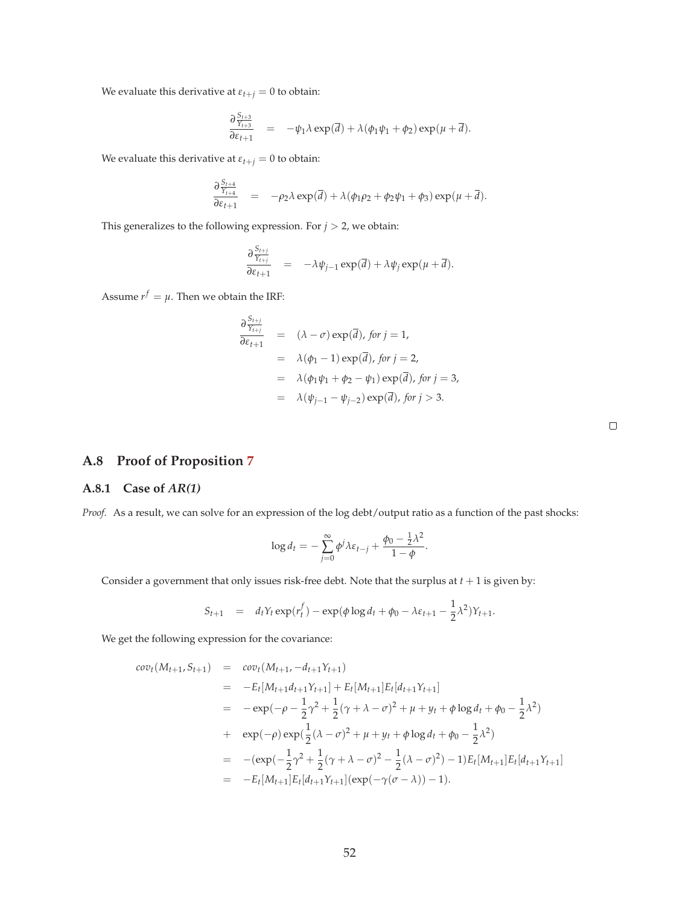We evaluate this derivative at  $\varepsilon_{t+j} = 0$  to obtain:

$$
\frac{\partial \frac{S_{t+3}}{Y_{t+3}}}{\partial \varepsilon_{t+1}} = -\psi_1 \lambda \exp(\overline{d}) + \lambda (\phi_1 \psi_1 + \phi_2) \exp(\mu + \overline{d}).
$$

We evaluate this derivative at  $\varepsilon_{t+j} = 0$  to obtain:

$$
\frac{\partial \frac{S_{t+4}}{\gamma_{t+4}}}{\partial \varepsilon_{t+1}} = -\rho_2 \lambda \exp(\overline{d}) + \lambda (\phi_1 \rho_2 + \phi_2 \psi_1 + \phi_3) \exp(\mu + \overline{d}).
$$

This generalizes to the following expression. For  $j > 2$ , we obtain:

$$
\frac{\partial \frac{S_{t+j}}{Y_{t+j}}}{\partial \varepsilon_{t+1}} = -\lambda \psi_{j-1} \exp(\overline{d}) + \lambda \psi_j \exp(\mu + \overline{d}).
$$

Assume  $r^f = \mu$ . Then we obtain the IRF:

$$
\frac{\partial \frac{S_{t+j}}{Y_{t+j}}}{\partial \varepsilon_{t+1}} = (\lambda - \sigma) \exp(\overline{d}), \text{ for } j = 1,
$$
  
\n
$$
= \lambda(\phi_1 - 1) \exp(\overline{d}), \text{ for } j = 2,
$$
  
\n
$$
= \lambda(\phi_1 \psi_1 + \phi_2 - \psi_1) \exp(\overline{d}), \text{ for } j = 3,
$$
  
\n
$$
= \lambda(\psi_{j-1} - \psi_{j-2}) \exp(\overline{d}), \text{ for } j > 3.
$$

|  |  |  | A.8 Proof of Proposition 7 |  |
|--|--|--|----------------------------|--|
|--|--|--|----------------------------|--|

#### **A.8.1 Case of** *AR(1)*

*Proof.* As a result, we can solve for an expression of the log debt/output ratio as a function of the past shocks:

$$
\log d_t = -\sum_{j=0}^{\infty} \phi^j \lambda \varepsilon_{t-j} + \frac{\phi_0 - \frac{1}{2} \lambda^2}{1 - \phi}.
$$

Consider a government that only issues risk-free debt. Note that the surplus at  $t + 1$  is given by:

$$
S_{t+1} = d_t Y_t \exp(r_t^f) - \exp(\phi \log d_t + \phi_0 - \lambda \varepsilon_{t+1} - \frac{1}{2} \lambda^2) Y_{t+1}.
$$

We get the following expression for the covariance:

$$
cov_{t}(M_{t+1}, S_{t+1}) = cov_{t}(M_{t+1}, -d_{t+1}Y_{t+1})
$$
  
\n
$$
= -E_{t}[M_{t+1}d_{t+1}Y_{t+1}] + E_{t}[M_{t+1}]E_{t}[d_{t+1}Y_{t+1}]
$$
  
\n
$$
= -exp(-\rho - \frac{1}{2}\gamma^{2} + \frac{1}{2}(\gamma + \lambda - \sigma)^{2} + \mu + y_{t} + \phi \log d_{t} + \phi_{0} - \frac{1}{2}\lambda^{2})
$$
  
\n
$$
+ exp(-\rho) exp(\frac{1}{2}(\lambda - \sigma)^{2} + \mu + y_{t} + \phi \log d_{t} + \phi_{0} - \frac{1}{2}\lambda^{2})
$$
  
\n
$$
= -(exp(-\frac{1}{2}\gamma^{2} + \frac{1}{2}(\gamma + \lambda - \sigma)^{2} - \frac{1}{2}(\lambda - \sigma)^{2}) - 1)E_{t}[M_{t+1}]E_{t}[d_{t+1}Y_{t+1}]
$$
  
\n
$$
= -E_{t}[M_{t+1}]E_{t}[d_{t+1}Y_{t+1}](exp(-\gamma(\sigma - \lambda)) - 1).
$$

 $\Box$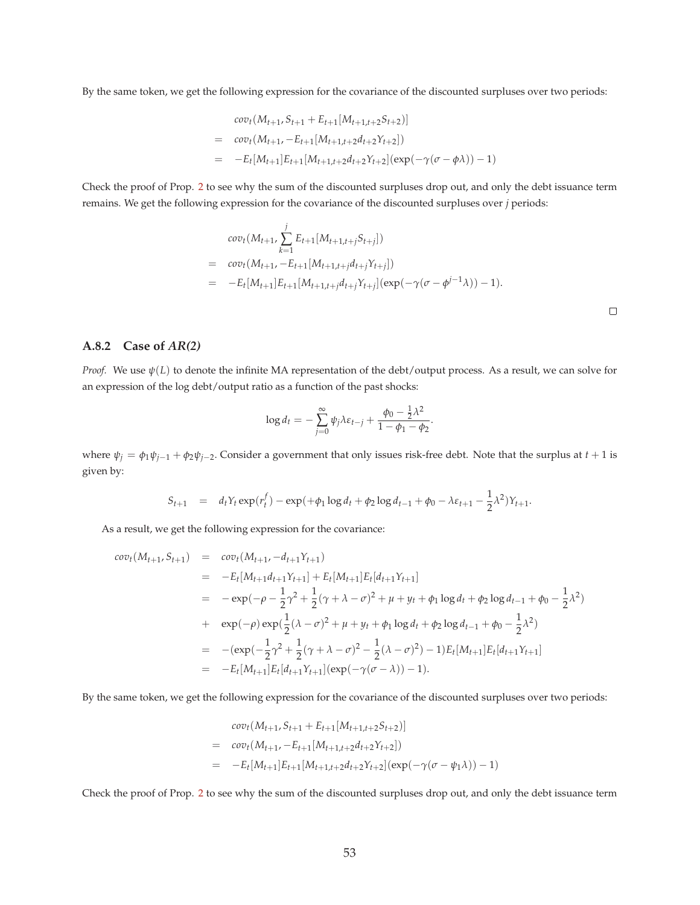By the same token, we get the following expression for the covariance of the discounted surpluses over two periods:

$$
cov_t(M_{t+1}, S_{t+1} + E_{t+1}[M_{t+1,t+2}S_{t+2})]
$$
  
= 
$$
cov_t(M_{t+1}, -E_{t+1}[M_{t+1,t+2}d_{t+2}Y_{t+2}])
$$
  
= 
$$
-E_t[M_{t+1}]E_{t+1}[M_{t+1,t+2}d_{t+2}Y_{t+2}](exp(-\gamma(\sigma - \phi \lambda)) - 1)
$$

Check the proof of Prop. 2 to see why the sum of the discounted surpluses drop out, and only the debt issuance term remains. We get the following expression for the covariance of the discounted surpluses over *j* periods:

$$
cov_t(M_{t+1}, \sum_{k=1}^j E_{t+1}[M_{t+1,t+j}S_{t+j}])
$$
  
= 
$$
cov_t(M_{t+1}, -E_{t+1}[M_{t+1,t+j}d_{t+j}Y_{t+j}])
$$
  
= 
$$
-E_t[M_{t+1}]E_{t+1}[M_{t+1,t+j}d_{t+j}Y_{t+j}](exp(-\gamma(\sigma-\phi^{j-1}\lambda))-1).
$$

### **A.8.2 Case of** *AR(2)*

*Proof.* We use *ψ*(*L*) to denote the infinite MA representation of the debt/output process. As a result, we can solve for an expression of the log debt/output ratio as a function of the past shocks:

$$
\log d_t = -\sum_{j=0}^{\infty} \psi_j \lambda \varepsilon_{t-j} + \frac{\phi_0 - \frac{1}{2}\lambda^2}{1 - \phi_1 - \phi_2}.
$$

where  $\psi_j = \phi_1 \psi_{j-1} + \phi_2 \psi_{j-2}$ . Consider a government that only issues risk-free debt. Note that the surplus at  $t+1$  is given by:

$$
S_{t+1} = d_t Y_t \exp(r_t^f) - \exp(+\phi_1 \log d_t + \phi_2 \log d_{t-1} + \phi_0 - \lambda \varepsilon_{t+1} - \frac{1}{2} \lambda^2) Y_{t+1}.
$$

As a result, we get the following expression for the covariance:

$$
cov_{t}(M_{t+1}, S_{t+1}) = cov_{t}(M_{t+1}, -d_{t+1}Y_{t+1})
$$
  
\n
$$
= -E_{t}[M_{t+1}d_{t+1}Y_{t+1}] + E_{t}[M_{t+1}]E_{t}[d_{t+1}Y_{t+1}]
$$
  
\n
$$
= -exp(-\rho - \frac{1}{2}\gamma^{2} + \frac{1}{2}(\gamma + \lambda - \sigma)^{2} + \mu + y_{t} + \phi_{1} \log d_{t} + \phi_{2} \log d_{t-1} + \phi_{0} - \frac{1}{2}\lambda^{2})
$$
  
\n
$$
+ exp(-\rho) exp(\frac{1}{2}(\lambda - \sigma)^{2} + \mu + y_{t} + \phi_{1} \log d_{t} + \phi_{2} \log d_{t-1} + \phi_{0} - \frac{1}{2}\lambda^{2})
$$
  
\n
$$
= -(exp(-\frac{1}{2}\gamma^{2} + \frac{1}{2}(\gamma + \lambda - \sigma)^{2} - \frac{1}{2}(\lambda - \sigma)^{2}) - 1)E_{t}[M_{t+1}]E_{t}[d_{t+1}Y_{t+1}]
$$
  
\n
$$
= -E_{t}[M_{t+1}]E_{t}[d_{t+1}Y_{t+1}](exp(-\gamma(\sigma - \lambda)) - 1).
$$

By the same token, we get the following expression for the covariance of the discounted surpluses over two periods:

$$
cov_t(M_{t+1}, S_{t+1} + E_{t+1}[M_{t+1,t+2}S_{t+2})]
$$
  
= 
$$
cov_t(M_{t+1}, -E_{t+1}[M_{t+1,t+2}d_{t+2}Y_{t+2}])
$$
  
= 
$$
-E_t[M_{t+1}]E_{t+1}[M_{t+1,t+2}d_{t+2}Y_{t+2}](exp(-\gamma(\sigma - \psi_1\lambda)) - 1)
$$

Check the proof of Prop. 2 to see why the sum of the discounted surpluses drop out, and only the debt issuance term

 $\Box$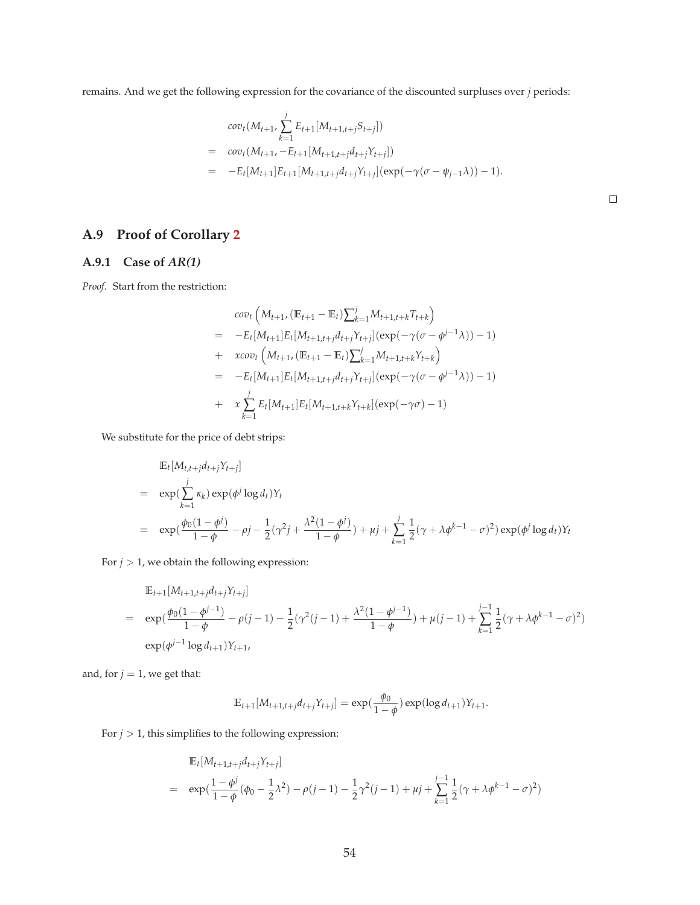remains. And we get the following expression for the covariance of the discounted surpluses over *j* periods:

$$
cov_t(M_{t+1}, \sum_{k=1}^j E_{t+1}[M_{t+1,t+j}S_{t+j}])
$$
  
= 
$$
cov_t(M_{t+1}, -E_{t+1}[M_{t+1,t+j}d_{t+j}Y_{t+j}])
$$
  
= 
$$
-E_t[M_{t+1}]E_{t+1}[M_{t+1,t+j}d_{t+j}Y_{t+j}](exp(-\gamma(\sigma - \psi_{j-1}\lambda)) - 1).
$$

 $\Box$ 

# **A.9 Proof of Corollary 2**

### **A.9.1 Case of** *AR(1)*

*Proof.* Start from the restriction:

$$
cov_t\left(M_{t+1}, (\mathbb{E}_{t+1} - \mathbb{E}_t) \sum_{k=1}^j M_{t+1,t+k} T_{t+k}\right)
$$
  
=  $-E_t[M_{t+1}] E_t[M_{t+1,t+j} d_{t+j} Y_{t+j}] (\exp(-\gamma(\sigma - \phi^{j-1}\lambda)) - 1)$   
+  $xcov_t\left(M_{t+1}, (\mathbb{E}_{t+1} - \mathbb{E}_t) \sum_{k=1}^j M_{t+1,t+k} Y_{t+k}\right)$   
=  $-E_t[M_{t+1}] E_t[M_{t+1,t+j} d_{t+j} Y_{t+j}] (\exp(-\gamma(\sigma - \phi^{j-1}\lambda)) - 1)$   
+  $x \sum_{k=1}^j E_t[M_{t+1}] E_t[M_{t+1,t+k} Y_{t+k}] (\exp(-\gamma\sigma) - 1)$ 

We substitute for the price of debt strips:

$$
\mathbb{E}_{t}[M_{t,t+j}d_{t+j}Y_{t+j}]
$$
\n
$$
= \exp\left(\sum_{k=1}^{j} \kappa_{k}\right) \exp(\phi^{j} \log d_{t})Y_{t}
$$
\n
$$
= \exp\left(\frac{\phi_{0}(1-\phi^{j})}{1-\phi} - \rho^{j} - \frac{1}{2}(\gamma^{2}j + \frac{\lambda^{2}(1-\phi^{j})}{1-\phi}) + \mu^{j} + \sum_{k=1}^{j} \frac{1}{2}(\gamma + \lambda \phi^{k-1} - \sigma)^{2}\right) \exp(\phi^{j} \log d_{t})Y_{t}
$$

For  $j > 1$ , we obtain the following expression:

$$
\mathbb{E}_{t+1}[M_{t+1,t+j}d_{t+j}Y_{t+j}]
$$
\n
$$
= \exp(\frac{\phi_0(1-\phi^{j-1})}{1-\phi}-\rho(j-1)-\frac{1}{2}(\gamma^2(j-1)+\frac{\lambda^2(1-\phi^{j-1})}{1-\phi})+\mu(j-1)+\sum_{k=1}^{j-1}\frac{1}{2}(\gamma+\lambda\phi^{k-1}-\sigma)^2)
$$
\n
$$
\exp(\phi^{j-1}\log d_{t+1})Y_{t+1},
$$

and, for  $j = 1$ , we get that:

$$
\mathbb{E}_{t+1}[M_{t+1,t+j}d_{t+j}Y_{t+j}] = \exp(\frac{\phi_0}{1-\phi})\exp(\log d_{t+1})Y_{t+1}.
$$

For  $j>1,$  this simplifies to the following expression:

$$
\mathbb{E}_{t}[M_{t+1,t+j}d_{t+j}Y_{t+j}]
$$
\n
$$
= \exp(\frac{1-\phi^{j}}{1-\phi}(\phi_{0}-\frac{1}{2}\lambda^{2})-\rho(j-1)-\frac{1}{2}\gamma^{2}(j-1)+\mu j+\sum_{k=1}^{j-1}\frac{1}{2}(\gamma+\lambda\phi^{k-1}-\sigma)^{2})
$$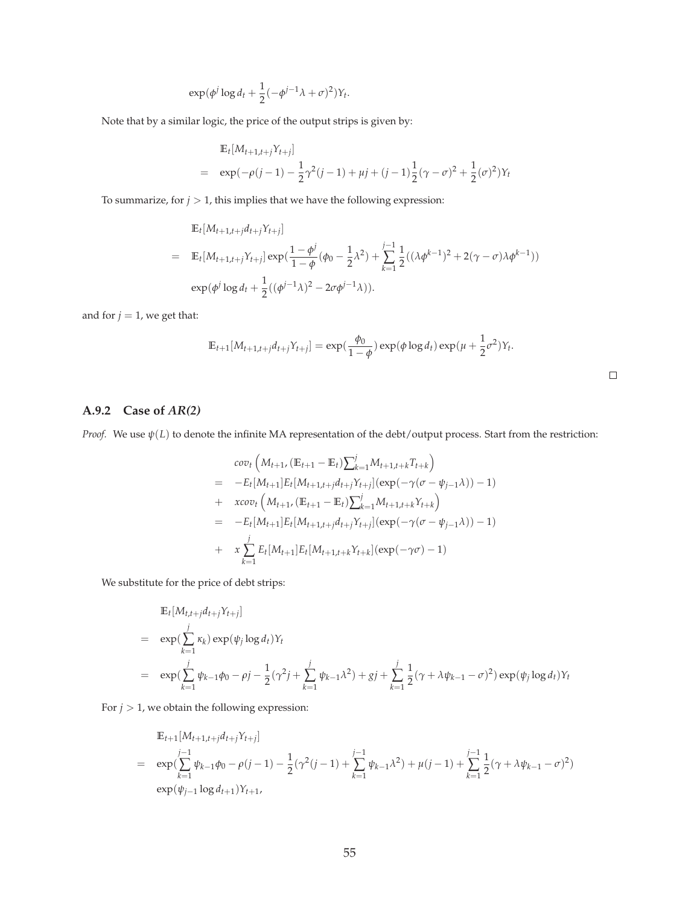$$
\exp(\phi^j \log d_t + \frac{1}{2}(-\phi^{j-1}\lambda + \sigma)^2)Y_t
$$

Note that by a similar logic, the price of the output strips is given by:

$$
\mathbb{E}_{t}[M_{t+1,t+j}Y_{t+j}]
$$
\n
$$
= \exp(-\rho(j-1) - \frac{1}{2}\gamma^{2}(j-1) + \mu j + (j-1)\frac{1}{2}(\gamma - \sigma)^{2} + \frac{1}{2}(\sigma)^{2})Y_{t}
$$

.

To summarize, for  $j > 1$ , this implies that we have the following expression:

$$
\mathbb{E}_{t}[M_{t+1,t+j}d_{t+j}Y_{t+j}]
$$
\n
$$
= \mathbb{E}_{t}[M_{t+1,t+j}Y_{t+j}] \exp(\frac{1-\phi^{j}}{1-\phi}(\phi_{0}-\frac{1}{2}\lambda^{2})+\sum_{k=1}^{j-1}\frac{1}{2}((\lambda\phi^{k-1})^{2}+2(\gamma-\sigma)\lambda\phi^{k-1}))
$$
\n
$$
\exp(\phi^{j}\log d_{t}+\frac{1}{2}((\phi^{j-1}\lambda)^{2}-2\sigma\phi^{j-1}\lambda)).
$$

and for  $j = 1$ , we get that:

$$
\mathbb{E}_{t+1}[M_{t+1,t+j}d_{t+j}Y_{t+j}] = \exp(\frac{\phi_0}{1-\phi})\exp(\phi\log d_t)\exp(\mu+\frac{1}{2}\sigma^2)Y_t.
$$

# **A.9.2 Case of** *AR(2)*

*Proof.* We use *ψ*(*L*) to denote the infinite MA representation of the debt/output process. Start from the restriction:

$$
cov_t\left(M_{t+1}, (\mathbb{E}_{t+1} - \mathbb{E}_t) \sum_{k=1}^j M_{t+1,t+k} T_{t+k}\right)
$$
  
=  $-E_t[M_{t+1}]E_t[M_{t+1,t+j}d_{t+j}Y_{t+j}](exp(-\gamma(\sigma - \psi_{j-1}\lambda)) - 1)$   
+  $xcov_t\left(M_{t+1}, (\mathbb{E}_{t+1} - \mathbb{E}_t) \sum_{k=1}^j M_{t+1,t+k}Y_{t+k}\right)$   
=  $-E_t[M_{t+1}]E_t[M_{t+1,t+j}d_{t+j}Y_{t+j}](exp(-\gamma(\sigma - \psi_{j-1}\lambda)) - 1)$   
+  $x \sum_{k=1}^j E_t[M_{t+1}]E_t[M_{t+1,t+k}Y_{t+k}](exp(-\gamma\sigma) - 1)$ 

We substitute for the price of debt strips:

$$
\mathbb{E}_{t}[M_{t,t+j}d_{t+j}Y_{t+j}]
$$
\n
$$
= \exp(\sum_{k=1}^{j} \kappa_{k}) \exp(\psi_{j} \log d_{t})Y_{t}
$$
\n
$$
= \exp(\sum_{k=1}^{j} \psi_{k-1}\phi_{0} - \rho_{j} - \frac{1}{2}(\gamma^{2}j + \sum_{k=1}^{j} \psi_{k-1}\lambda^{2}) + gj + \sum_{k=1}^{j} \frac{1}{2}(\gamma + \lambda \psi_{k-1} - \sigma)^{2}) \exp(\psi_{j} \log d_{t})Y_{t}
$$

For  $j > 1$ , we obtain the following expression:

$$
\mathbb{E}_{t+1}[M_{t+1,t+j}d_{t+j}Y_{t+j}]
$$
\n
$$
= \exp\left(\sum_{k=1}^{j-1} \psi_{k-1}\phi_0 - \rho(j-1) - \frac{1}{2}(\gamma^2(j-1) + \sum_{k=1}^{j-1} \psi_{k-1}\lambda^2) + \mu(j-1) + \sum_{k=1}^{j-1} \frac{1}{2}(\gamma + \lambda\psi_{k-1} - \sigma)^2\right)
$$
\n
$$
\exp(\psi_{j-1}\log d_{t+1})Y_{t+1},
$$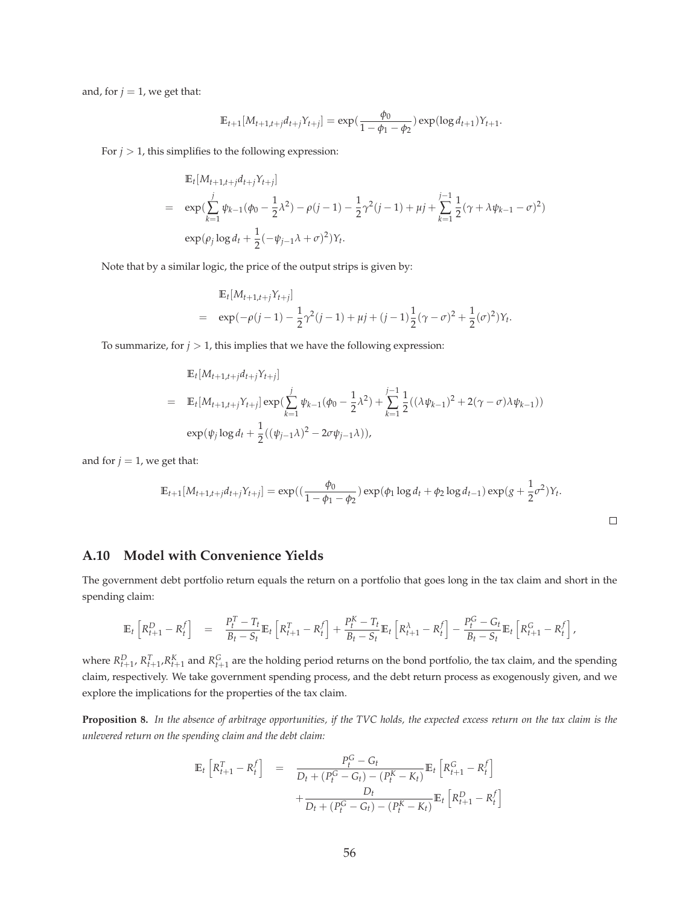and, for  $j = 1$ , we get that:

$$
\mathbb{E}_{t+1}[M_{t+1,t+j}d_{t+j}Y_{t+j}] = \exp(\frac{\phi_0}{1-\phi_1-\phi_2})\exp(\log d_{t+1})Y_{t+1}.
$$

For  $j > 1$ , this simplifies to the following expression:

$$
\mathbb{E}_{t}[M_{t+1,t+j}d_{t+j}Y_{t+j}]
$$
\n
$$
= \exp\left(\sum_{k=1}^{j} \psi_{k-1}(\phi_{0} - \frac{1}{2}\lambda^{2}) - \rho(j-1) - \frac{1}{2}\gamma^{2}(j-1) + \mu j + \sum_{k=1}^{j-1} \frac{1}{2}(\gamma + \lambda \psi_{k-1} - \sigma)^{2}\right)
$$
\n
$$
\exp(\rho_{j}\log d_{t} + \frac{1}{2}(-\psi_{j-1}\lambda + \sigma)^{2})Y_{t}.
$$

Note that by a similar logic, the price of the output strips is given by:

$$
\mathbb{E}_{t}[M_{t+1,t+j}Y_{t+j}]
$$
\n
$$
= \exp(-\rho(j-1) - \frac{1}{2}\gamma^{2}(j-1) + \mu j + (j-1)\frac{1}{2}(\gamma - \sigma)^{2} + \frac{1}{2}(\sigma)^{2})Y_{t}.
$$

To summarize, for  $j > 1$ , this implies that we have the following expression:

$$
\mathbb{E}_{t}[M_{t+1,t+j}d_{t+j}Y_{t+j}]
$$
\n
$$
= \mathbb{E}_{t}[M_{t+1,t+j}Y_{t+j}] \exp(\sum_{k=1}^{j} \psi_{k-1}(\phi_{0} - \frac{1}{2}\lambda^{2}) + \sum_{k=1}^{j-1} \frac{1}{2}((\lambda\psi_{k-1})^{2} + 2(\gamma - \sigma)\lambda\psi_{k-1}))
$$
\n
$$
\exp(\psi_{j}\log d_{t} + \frac{1}{2}((\psi_{j-1}\lambda)^{2} - 2\sigma\psi_{j-1}\lambda)),
$$

and for  $j = 1$ , we get that:

$$
\mathbb{E}_{t+1}[M_{t+1,t+j}d_{t+j}Y_{t+j}] = \exp((\frac{\phi_0}{1-\phi_1-\phi_2})\exp(\phi_1\log d_t + \phi_2\log d_{t-1})\exp((g+\frac{1}{2}\sigma^2)Y_t).
$$

### **A.10 Model with Convenience Yields**

The government debt portfolio return equals the return on a portfolio that goes long in the tax claim and short in the spending claim:

$$
\mathbb{E}_{t}\left[R_{t+1}^{D}-R_{t}^{f}\right] = \frac{P_{t}^{T}-T_{t}}{B_{t}-S_{t}}\mathbb{E}_{t}\left[R_{t+1}^{T}-R_{t}^{f}\right]+\frac{P_{t}^{K}-T_{t}}{B_{t}-S_{t}}\mathbb{E}_{t}\left[R_{t+1}^{\lambda}-R_{t}^{f}\right]-\frac{P_{t}^{G}-G_{t}}{B_{t}-S_{t}}\mathbb{E}_{t}\left[R_{t+1}^{G}-R_{t}^{f}\right],
$$

where  $R_{t+1}^D$ ,  $R_{t+1}^T$ ,  $R_{t+1}^K$  and  $R_{t+1}^G$  are the holding period returns on the bond portfolio, the tax claim, and the spending claim, respectively. We take government spending process, and the debt return process as exogenously given, and we explore the implications for the properties of the tax claim.

**Proposition 8.** *In the absence of arbitrage opportunities, if the TVC holds, the expected excess return on the tax claim is the unlevered return on the spending claim and the debt claim:*

$$
\mathbb{E}_{t}\left[R_{t+1}^{T} - R_{t}^{f}\right] = \frac{P_{t}^{G} - G_{t}}{D_{t} + (P_{t}^{G} - G_{t}) - (P_{t}^{K} - K_{t})}\mathbb{E}_{t}\left[R_{t+1}^{G} - R_{t}^{f}\right] + \frac{D_{t}}{D_{t} + (P_{t}^{G} - G_{t}) - (P_{t}^{K} - K_{t})}\mathbb{E}_{t}\left[R_{t+1}^{D} - R_{t}^{f}\right]
$$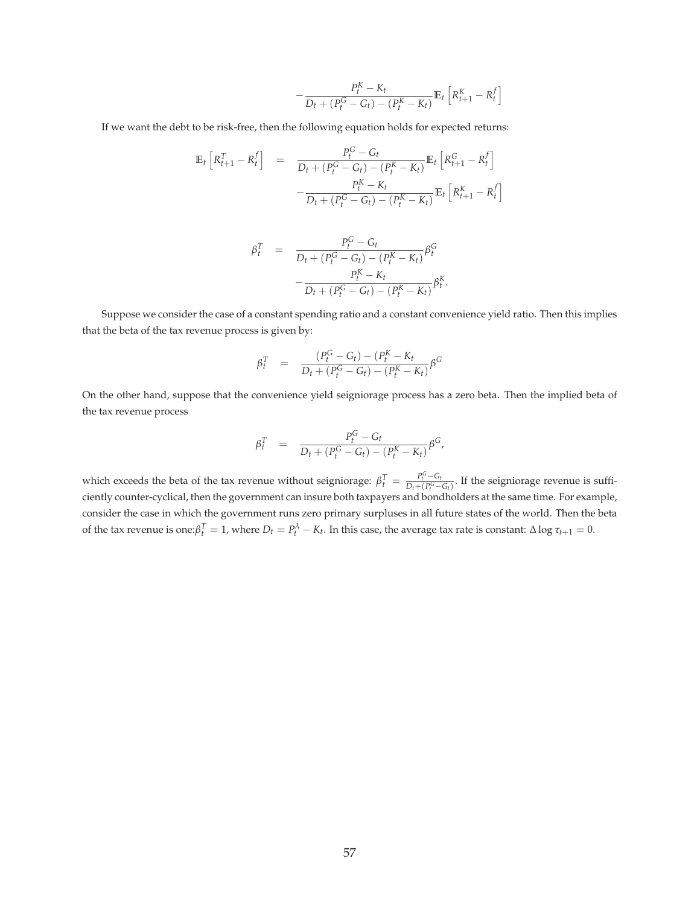$$
-\frac{P_t^K - K_t}{D_t + (P_t^G - G_t) - (P_t^K - K_t)} \mathbb{E}_t \left[ R_{t+1}^K - R_t^f \right]
$$

If we want the debt to be risk-free, then the following equation holds for expected returns:

$$
\mathbb{E}_{t} \left[ R_{t+1}^{T} - R_{t}^{f} \right] = \frac{P_{t}^{G} - G_{t}}{D_{t} + (P_{t}^{G} - G_{t}) - (P_{t}^{K} - K_{t})} \mathbb{E}_{t} \left[ R_{t+1}^{G} - R_{t}^{f} \right] - \frac{P_{t}^{K} - K_{t}}{D_{t} + (P_{t}^{G} - G_{t}) - (P_{t}^{K} - K_{t})} \mathbb{E}_{t} \left[ R_{t+1}^{K} - R_{t}^{f} \right]
$$

$$
\begin{array}{rcl} \beta_t^T & = & \frac{P_t^G - G_t}{D_t + (P_t^G - G_t) - (P_t^K - K_t)} \beta_t^G \\ & - & \frac{P_t^K - K_t}{D_t + (P_t^G - G_t) - (P_t^K - K_t)} \beta_t^K. \end{array}
$$

Suppose we consider the case of a constant spending ratio and a constant convenience yield ratio. Then this implies that the beta of the tax revenue process is given by:

$$
\beta_t^T = \frac{(P_t^G - G_t) - (P_t^K - K_t)}{D_t + (P_t^G - G_t) - (P_t^K - K_t)} \beta^G
$$

On the other hand, suppose that the convenience yield seigniorage process has a zero beta. Then the implied beta of the tax revenue process

$$
\beta_t^T = \frac{P_t^G - G_t}{D_t + (P_t^G - G_t) - (P_t^K - K_t)} \beta^G,
$$

which exceeds the beta of the tax revenue without seigniorage:  $\beta_t^T = \frac{P_t^G - G_t}{D_t + (P_t^G - G_t)}$  $\frac{T_t - G_t}{D_t + (P_t^G - G_t)}$ . If the seigniorage revenue is sufficiently counter-cyclical, then the government can insure both taxpayers and bondholders at the same time. For example, consider the case in which the government runs zero primary surpluses in all future states of the world. Then the beta of the tax revenue is one: $\beta_t^T = 1$ , where  $D_t = P_t^{\lambda} - K_t$ . In this case, the average tax rate is constant:  $\Delta \log \tau_{t+1} = 0$ .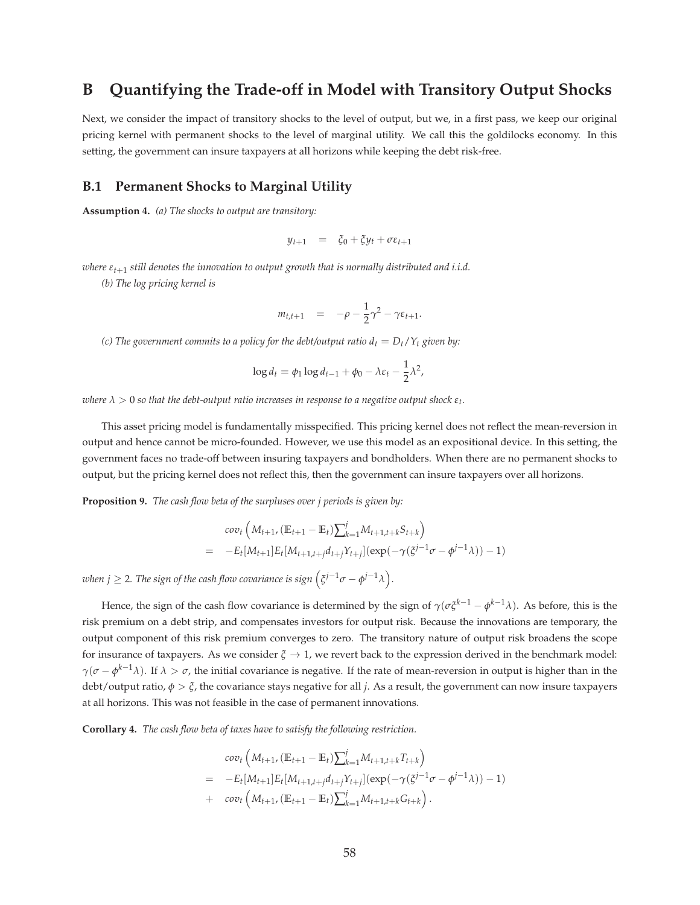# **B Quantifying the Trade-off in Model with Transitory Output Shocks**

Next, we consider the impact of transitory shocks to the level of output, but we, in a first pass, we keep our original pricing kernel with permanent shocks to the level of marginal utility. We call this the goldilocks economy. In this setting, the government can insure taxpayers at all horizons while keeping the debt risk-free.

### **B.1 Permanent Shocks to Marginal Utility**

**Assumption 4.** *(a) The shocks to output are transitory:*

$$
y_{t+1} = \xi_0 + \xi y_t + \sigma \varepsilon_{t+1}
$$

*where εt*+<sup>1</sup> *still denotes the innovation to output growth that is normally distributed and i.i.d.*

*(b) The log pricing kernel is*

$$
m_{t,t+1} = -\rho - \frac{1}{2}\gamma^2 - \gamma \varepsilon_{t+1}.
$$

*(c) The government commits to a policy for the debt/output ratio*  $d_t = D_t/Y_t$  *given by:* 

$$
\log d_t = \phi_1 \log d_{t-1} + \phi_0 - \lambda \varepsilon_t - \frac{1}{2} \lambda^2,
$$

 $\alpha$  *λ*  $>$  0 so that the debt-output ratio increases in response to a negative output shock  $\varepsilon_t$ .

This asset pricing model is fundamentally misspecified. This pricing kernel does not reflect the mean-reversion in output and hence cannot be micro-founded. However, we use this model as an expositional device. In this setting, the government faces no trade-off between insuring taxpayers and bondholders. When there are no permanent shocks to output, but the pricing kernel does not reflect this, then the government can insure taxpayers over all horizons.

**Proposition 9.** *The cash flow beta of the surpluses over j periods is given by:*

$$
cov_t\left(M_{t+1}, (\mathbb{E}_{t+1} - \mathbb{E}_t)\sum_{k=1}^j M_{t+1,t+k} S_{t+k}\right)
$$
  
= 
$$
-E_t[M_{t+1}]E_t[M_{t+1,t+j}d_{t+j}Y_{t+j}](exp(-\gamma(\xi^{j-1}\sigma - \phi^{j-1}\lambda)) - 1)
$$

 $\omega$ hen  $j \geq 2$ . The sign of the cash flow covariance is sign  $\left( \xi^{j-1}\sigma - \phi^{j-1}\lambda \right)$ .

Hence, the sign of the cash flow covariance is determined by the sign of *γ*(*σξk*−<sup>1</sup> − *φ <sup>k</sup>*−1*λ*). As before, this is the risk premium on a debt strip, and compensates investors for output risk. Because the innovations are temporary, the output component of this risk premium converges to zero. The transitory nature of output risk broadens the scope for insurance of taxpayers. As we consider *ξ* → 1, we revert back to the expression derived in the benchmark model: *γ*( $\sigma$  –  $\phi^{k-1}$ λ). If  $\lambda > \sigma$ , the initial covariance is negative. If the rate of mean-reversion in output is higher than in the debt/output ratio, *φ* > *ξ*, the covariance stays negative for all *j*. As a result, the government can now insure taxpayers at all horizons. This was not feasible in the case of permanent innovations.

**Corollary 4.** *The cash flow beta of taxes have to satisfy the following restriction.*

$$
cov_t\left(M_{t+1}, (\mathbb{E}_{t+1} - \mathbb{E}_t)\sum_{k=1}^j M_{t+1,t+k}T_{t+k}\right)
$$
  
= 
$$
-E_t[M_{t+1}]E_t[M_{t+1,t+j}d_{t+j}Y_{t+j}](exp(-\gamma(\zeta^{j-1}\sigma - \phi^{j-1}\lambda)) - 1)
$$
  
+ 
$$
cov_t\left(M_{t+1}, (\mathbb{E}_{t+1} - \mathbb{E}_t)\sum_{k=1}^j M_{t+1,t+k}G_{t+k}\right).
$$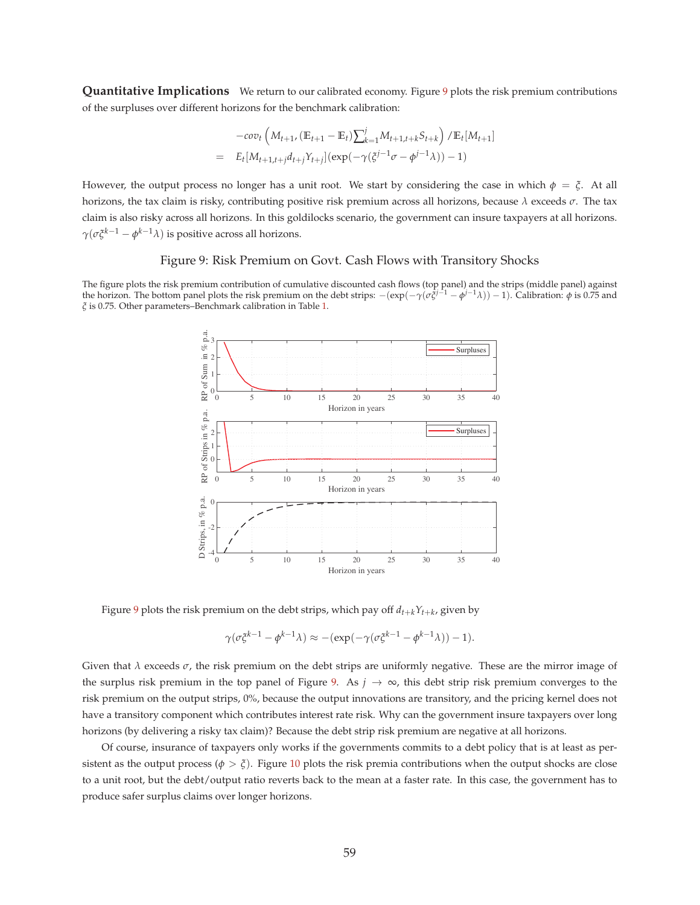**Quantitative Implications** We return to our calibrated economy. Figure 9 plots the risk premium contributions of the surpluses over different horizons for the benchmark calibration:

$$
-cov_t \left( M_{t+1}, (\mathbb{E}_{t+1} - \mathbb{E}_t) \sum_{k=1}^j M_{t+1,t+k} S_{t+k} \right) / \mathbb{E}_t[M_{t+1}]
$$
  
=  $E_t[M_{t+1,t+j}d_{t+j}Y_{t+j}] (exp(-\gamma(\xi^{j-1}\sigma - \phi^{j-1}\lambda)) - 1)$ 

However, the output process no longer has a unit root. We start by considering the case in which  $\phi = \xi$ . At all horizons, the tax claim is risky, contributing positive risk premium across all horizons, because *λ* exceeds *σ*. The tax claim is also risky across all horizons. In this goldilocks scenario, the government can insure taxpayers at all horizons. *γ*( $\sigma$ ζ<sup>*k*−1</sup> −  $\phi$ <sup>*k*−1</sup>λ) is positive across all horizons.

#### Figure 9: Risk Premium on Govt. Cash Flows with Transitory Shocks

The figure plots the risk premium contribution of cumulative discounted cash flows (top panel) and the strips (middle panel) against<br>the horizon. The bottom panel plots the risk premium on the debt strips:  $-(\exp(-\gamma(\sigma \xi^{j-1$ *ξ* is 0.75. Other parameters–Benchmark calibration in Table 1.



Figure 9 plots the risk premium on the debt strips, which pay off  $d_{t+k}Y_{t+k}$ , given by

$$
\gamma(\sigma \xi^{k-1} - \phi^{k-1} \lambda) \approx -(\exp(-\gamma(\sigma \xi^{k-1} - \phi^{k-1} \lambda)) - 1).
$$

Given that  $\lambda$  exceeds  $\sigma$ , the risk premium on the debt strips are uniformly negative. These are the mirror image of the surplus risk premium in the top panel of Figure 9. As  $j \to \infty$ , this debt strip risk premium converges to the risk premium on the output strips, 0%, because the output innovations are transitory, and the pricing kernel does not have a transitory component which contributes interest rate risk. Why can the government insure taxpayers over long horizons (by delivering a risky tax claim)? Because the debt strip risk premium are negative at all horizons.

Of course, insurance of taxpayers only works if the governments commits to a debt policy that is at least as persistent as the output process ( $\phi > \xi$ ). Figure 10 plots the risk premia contributions when the output shocks are close to a unit root, but the debt/output ratio reverts back to the mean at a faster rate. In this case, the government has to produce safer surplus claims over longer horizons.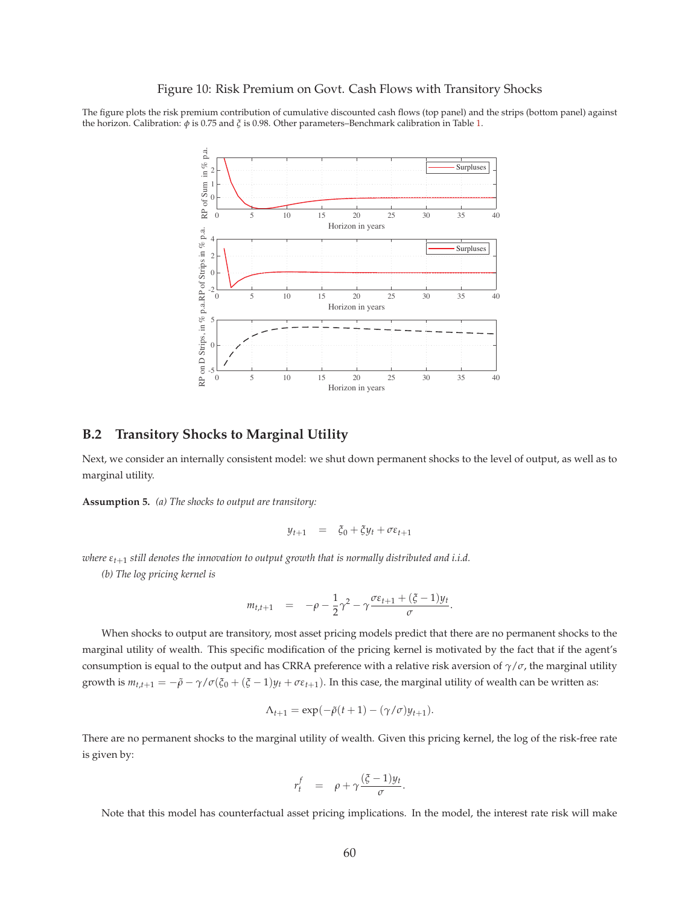#### Figure 10: Risk Premium on Govt. Cash Flows with Transitory Shocks

The figure plots the risk premium contribution of cumulative discounted cash flows (top panel) and the strips (bottom panel) against the horizon. Calibration: *φ* is 0.75 and *ξ* is 0.98. Other parameters–Benchmark calibration in Table 1.



### **B.2 Transitory Shocks to Marginal Utility**

Next, we consider an internally consistent model: we shut down permanent shocks to the level of output, as well as to marginal utility.

**Assumption 5.** *(a) The shocks to output are transitory:*

$$
y_{t+1} = \xi_0 + \xi y_t + \sigma \varepsilon_{t+1}
$$

*where εt*+<sup>1</sup> *still denotes the innovation to output growth that is normally distributed and i.i.d.*

*(b) The log pricing kernel is*

$$
m_{t,t+1} = -\rho - \frac{1}{2}\gamma^2 - \gamma \frac{\sigma \varepsilon_{t+1} + (\xi - 1)y_t}{\sigma}.
$$

When shocks to output are transitory, most asset pricing models predict that there are no permanent shocks to the marginal utility of wealth. This specific modification of the pricing kernel is motivated by the fact that if the agent's consumption is equal to the output and has CRRA preference with a relative risk aversion of *γ*/*σ*, the marginal utility growth is  $m_{t,t+1} = -\tilde{\rho} - \gamma/\sigma(\xi_0 + (\xi - 1)y_t + \sigma \epsilon_{t+1})$ . In this case, the marginal utility of wealth can be written as:

$$
\Lambda_{t+1} = \exp(-\tilde{\rho}(t+1) - (\gamma/\sigma)y_{t+1}).
$$

There are no permanent shocks to the marginal utility of wealth. Given this pricing kernel, the log of the risk-free rate is given by:

$$
r_t^f = \rho + \gamma \frac{(\xi - 1)y_t}{\sigma}.
$$

Note that this model has counterfactual asset pricing implications. In the model, the interest rate risk will make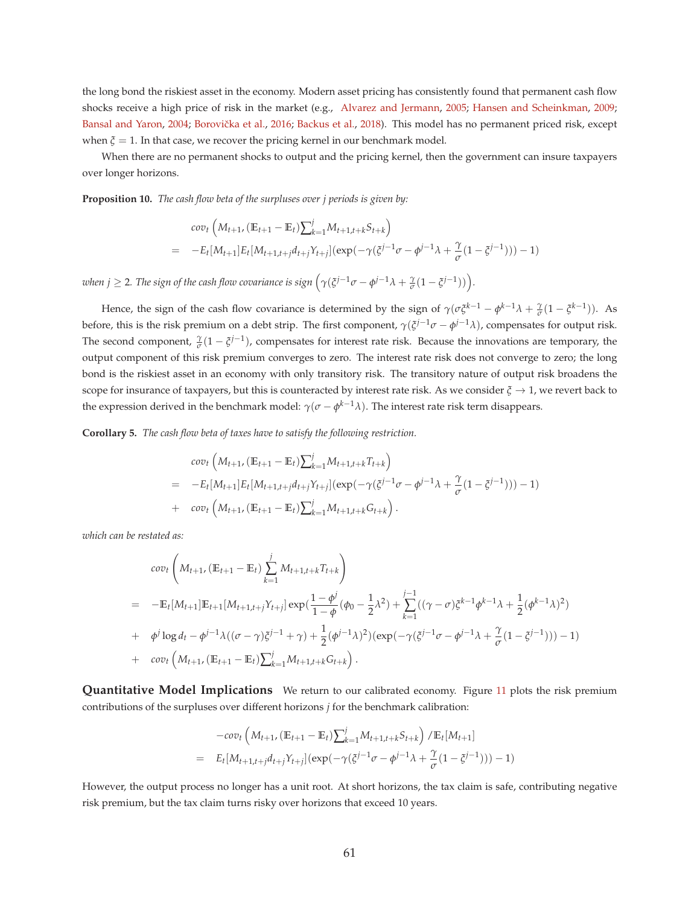the long bond the riskiest asset in the economy. Modern asset pricing has consistently found that permanent cash flow shocks receive a high price of risk in the market (e.g., Alvarez and Jermann, 2005; Hansen and Scheinkman, 2009; Bansal and Yaron, 2004; Borovička et al., 2016; Backus et al., 2018). This model has no permanent priced risk, except when  $\xi = 1$ . In that case, we recover the pricing kernel in our benchmark model.

When there are no permanent shocks to output and the pricing kernel, then the government can insure taxpayers over longer horizons.

**Proposition 10.** *The cash flow beta of the surpluses over j periods is given by:*

$$
cov_t\left(M_{t+1}, (\mathbb{E}_{t+1} - \mathbb{E}_t)\sum_{k=1}^j M_{t+1,t+k} S_{t+k}\right)
$$
  
= 
$$
-E_t[M_{t+1}]E_t[M_{t+1,t+j}d_{t+j}Y_{t+j}](exp(-\gamma(\xi^{j-1}\sigma - \phi^{j-1}\lambda + \frac{\gamma}{\sigma}(1 - \xi^{j-1}))) - 1)
$$

*when j*  $\geq$  2*. The sign of the cash flow covariance is sign*  $(\gamma(\xi^{j-1}\sigma - \phi^{j-1}\lambda + \frac{\gamma}{\sigma}(1 - \xi^{j-1}))$ *.* 

Hence, the sign of the cash flow covariance is determined by the sign of  $\gamma(\sigma\xi^{k-1} - \phi^{k-1}\lambda + \frac{\gamma}{\sigma}(1 - \zeta^{k-1}))$ . As before, this is the risk premium on a debt strip. The first component, *γ*(*ξ <sup>j</sup>*−1*σ* − *φ <sup>j</sup>*−1*λ*), compensates for output risk. The second component,  $\frac{\gamma}{\sigma}(1-\xi^{j-1})$ , compensates for interest rate risk. Because the innovations are temporary, the output component of this risk premium converges to zero. The interest rate risk does not converge to zero; the long bond is the riskiest asset in an economy with only transitory risk. The transitory nature of output risk broadens the scope for insurance of taxpayers, but this is counteracted by interest rate risk. As we consider  $\xi \to 1$ , we revert back to the expression derived in the benchmark model:  $\gamma(\sigma-\phi^{k-1}\lambda)$ . The interest rate risk term disappears.

**Corollary 5.** *The cash flow beta of taxes have to satisfy the following restriction.*

$$
cov_t\left(M_{t+1}, (\mathbb{E}_{t+1} - \mathbb{E}_t)\sum_{k=1}^j M_{t+1,t+k} T_{t+k}\right)
$$
  
= 
$$
-E_t[M_{t+1}]E_t[M_{t+1,t+j}d_{t+j}Y_{t+j}](exp(-\gamma(\xi^{j-1}\sigma - \phi^{j-1}\lambda + \frac{\gamma}{\sigma}(1 - \xi^{j-1}))) - 1)
$$
  
+ 
$$
cov_t\left(M_{t+1}, (\mathbb{E}_{t+1} - \mathbb{E}_t)\sum_{k=1}^j M_{t+1,t+k} G_{t+k}\right).
$$

*which can be restated as:*

$$
cov_t\left(M_{t+1}, (\mathbb{E}_{t+1} - \mathbb{E}_t) \sum_{k=1}^j M_{t+1,t+k} T_{t+k}\right)
$$
  
= 
$$
-\mathbb{E}_t[M_{t+1}]\mathbb{E}_{t+1}[M_{t+1,t+j}Y_{t+j}]exp(\frac{1-\phi^j}{1-\phi}(\phi_0 - \frac{1}{2}\lambda^2) + \sum_{k=1}^{j-1}((\gamma - \sigma)\xi^{k-1}\phi^{k-1}\lambda + \frac{1}{2}(\phi^{k-1}\lambda)^2)
$$
  
+ 
$$
\phi^j \log d_t - \phi^{j-1}\lambda((\sigma - \gamma)\xi^{j-1} + \gamma) + \frac{1}{2}(\phi^{j-1}\lambda)^2)(exp(-\gamma(\xi^{j-1}\sigma - \phi^{j-1}\lambda + \frac{\gamma}{\sigma}(1 - \xi^{j-1}))) - 1)
$$
  
+ 
$$
cov_t\left(M_{t+1}, (\mathbb{E}_{t+1} - \mathbb{E}_t)\sum_{k=1}^j M_{t+1,t+k} G_{t+k}\right).
$$

**Quantitative Model Implications** We return to our calibrated economy. Figure 11 plots the risk premium contributions of the surpluses over different horizons *j* for the benchmark calibration:

$$
-cov_t \left( M_{t+1}, (\mathbb{E}_{t+1} - \mathbb{E}_t) \sum_{k=1}^j M_{t+1,t+k} S_{t+k} \right) / \mathbb{E}_t[M_{t+1}]
$$
  
=  $E_t[M_{t+1,t+j}d_{t+j}Y_{t+j}] (exp(-\gamma(\xi^{j-1}\sigma - \phi^{j-1}\lambda + \frac{\gamma}{\sigma}(1 - \xi^{j-1}))) - 1)$ 

However, the output process no longer has a unit root. At short horizons, the tax claim is safe, contributing negative risk premium, but the tax claim turns risky over horizons that exceed 10 years.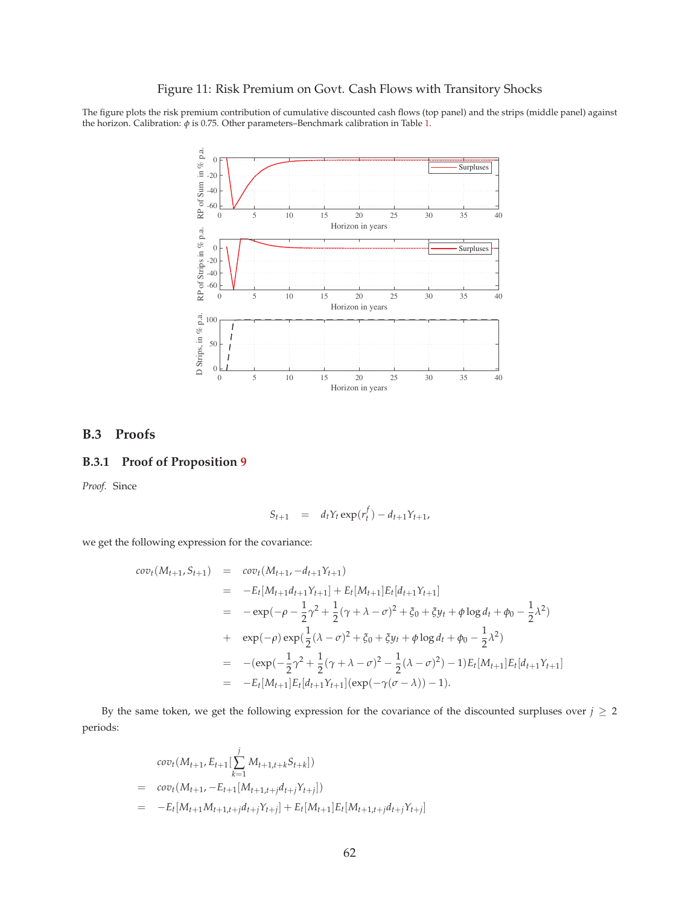### Figure 11: Risk Premium on Govt. Cash Flows with Transitory Shocks

The figure plots the risk premium contribution of cumulative discounted cash flows (top panel) and the strips (middle panel) against the horizon. Calibration: *φ* is 0.75. Other parameters–Benchmark calibration in Table 1.



# **B.3 Proofs**

### **B.3.1 Proof of Proposition 9**

*Proof.* Since

$$
S_{t+1} = d_t Y_t \exp(r_t^f) - d_{t+1} Y_{t+1},
$$

we get the following expression for the covariance:

$$
cov_t(M_{t+1}, S_{t+1}) = cov_t(M_{t+1}, -d_{t+1}Y_{t+1})
$$
  
\n
$$
= -E_t[M_{t+1}d_{t+1}Y_{t+1}] + E_t[M_{t+1}]E_t[d_{t+1}Y_{t+1}]
$$
  
\n
$$
= -exp(-\rho - \frac{1}{2}\gamma^2 + \frac{1}{2}(\gamma + \lambda - \sigma)^2 + \xi_0 + \xi y_t + \phi \log d_t + \phi_0 - \frac{1}{2}\lambda^2)
$$
  
\n
$$
+ exp(-\rho) exp(\frac{1}{2}(\lambda - \sigma)^2 + \xi_0 + \xi y_t + \phi \log d_t + \phi_0 - \frac{1}{2}\lambda^2)
$$
  
\n
$$
= -(exp(-\frac{1}{2}\gamma^2 + \frac{1}{2}(\gamma + \lambda - \sigma)^2 - \frac{1}{2}(\lambda - \sigma)^2) - 1)E_t[M_{t+1}]E_t[d_{t+1}Y_{t+1}]
$$
  
\n
$$
= -E_t[M_{t+1}]E_t[d_{t+1}Y_{t+1}](exp(-\gamma(\sigma - \lambda)) - 1).
$$

By the same token, we get the following expression for the covariance of the discounted surpluses over  $j \geq 2$ periods:

$$
cov_t(M_{t+1}, E_{t+1}[\sum_{k=1}^j M_{t+1,t+k}S_{t+k}])
$$
  
= 
$$
cov_t(M_{t+1}, -E_{t+1}[M_{t+1,t+j}d_{t+j}Y_{t+j}])
$$
  
= 
$$
-E_t[M_{t+1}M_{t+1,t+j}d_{t+j}Y_{t+j}] + E_t[M_{t+1}]E_t[M_{t+1,t+j}d_{t+j}Y_{t+j}]
$$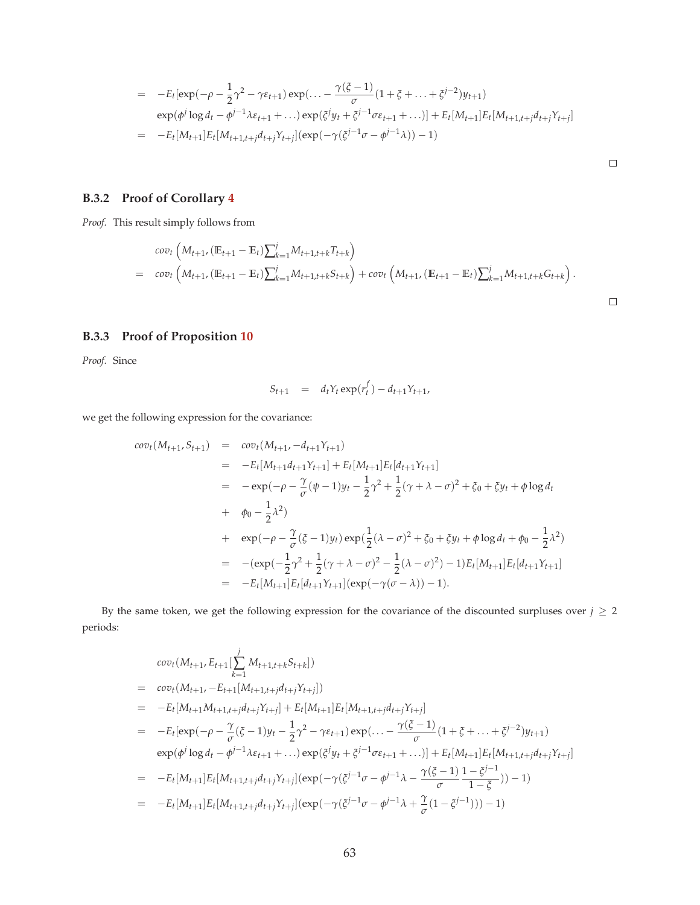$$
= -E_t[\exp(-\rho - \frac{1}{2}\gamma^2 - \gamma \varepsilon_{t+1}) \exp(\dots - \frac{\gamma(\xi - 1)}{\sigma}(1 + \xi + \dots + \xi^{j-2})y_{t+1})
$$
  
\n
$$
\exp(\phi^j \log d_t - \phi^{j-1} \lambda \varepsilon_{t+1} + \dots) \exp(\xi^j y_t + \xi^{j-1} \sigma \varepsilon_{t+1} + \dots)] + E_t[M_{t+1}]E_t[M_{t+1,t+j}d_{t+j}\gamma_{t+j}]
$$
  
\n
$$
= -E_t[M_{t+1}]E_t[M_{t+1,t+j}d_{t+j}\gamma_{t+j}] (\exp(-\gamma(\xi^{j-1}\sigma - \phi^{j-1}\lambda)) - 1)
$$

 $\Box$ 

 $\Box$ 

# **B.3.2 Proof of Corollary 4**

*Proof.* This result simply follows from

$$
cov_t\left(M_{t+1}, (\mathbb{E}_{t+1}-\mathbb{E}_t)\sum_{k=1}^j M_{t+1,t+k}T_{t+k}\right) = cov_t\left(M_{t+1}, (\mathbb{E}_{t+1}-\mathbb{E}_t)\sum_{k=1}^j M_{t+1,t+k}S_{t+k}\right) + cov_t\left(M_{t+1}, (\mathbb{E}_{t+1}-\mathbb{E}_t)\sum_{k=1}^j M_{t+1,t+k}G_{t+k}\right).
$$

# **B.3.3 Proof of Proposition 10**

*Proof.* Since

$$
S_{t+1} = d_t Y_t \exp(r_t^f) - d_{t+1} Y_{t+1},
$$

we get the following expression for the covariance:

$$
cov_t(M_{t+1}, S_{t+1}) = cov_t(M_{t+1}, -d_{t+1}Y_{t+1})
$$
  
\n
$$
= -E_t[M_{t+1}d_{t+1}Y_{t+1}] + E_t[M_{t+1}]E_t[d_{t+1}Y_{t+1}]
$$
  
\n
$$
= -exp(-\rho - \frac{\gamma}{\sigma}(\psi - 1)y_t - \frac{1}{2}\gamma^2 + \frac{1}{2}(\gamma + \lambda - \sigma)^2 + \xi_0 + \xi y_t + \phi \log d_t
$$
  
\n
$$
+ \phi_0 - \frac{1}{2}\lambda^2)
$$
  
\n
$$
+ exp(-\rho - \frac{\gamma}{\sigma}(\xi - 1)y_t)exp(\frac{1}{2}(\lambda - \sigma)^2 + \xi_0 + \xi y_t + \phi \log d_t + \phi_0 - \frac{1}{2}\lambda^2)
$$
  
\n
$$
= -(exp(-\frac{1}{2}\gamma^2 + \frac{1}{2}(\gamma + \lambda - \sigma)^2 - \frac{1}{2}(\lambda - \sigma)^2) - 1)E_t[M_{t+1}]E_t[d_{t+1}Y_{t+1}]
$$
  
\n
$$
= -E_t[M_{t+1}]E_t[d_{t+1}Y_{t+1}] (exp(-\gamma(\sigma - \lambda)) - 1).
$$

By the same token, we get the following expression for the covariance of the discounted surpluses over  $j \geq 2$ periods:

$$
cov_t(M_{t+1}, E_{t+1}[\sum_{k=1}^{j} M_{t+1,t+k}S_{t+k}])
$$
\n
$$
= cov_t(M_{t+1}, -E_{t+1}[M_{t+1,t+j}d_{t+j}Y_{t+j}])
$$
\n
$$
= -E_t[M_{t+1}M_{t+1,t+j}d_{t+j}Y_{t+j}] + E_t[M_{t+1}]E_t[M_{t+1,t+j}d_{t+j}Y_{t+j}]
$$
\n
$$
= -E_t[exp(-\rho - \frac{\gamma}{\sigma}(\xi - 1)y_t - \frac{1}{2}\gamma^2 - \gamma\epsilon_{t+1})exp(\dots - \frac{\gamma(\xi - 1)}{\sigma}(1 + \xi + \dots + \xi^{j-2})y_{t+1})
$$
\n
$$
exp(\phi^j \log d_t - \phi^{j-1}\lambda\varepsilon_{t+1} + \dots)exp(\xi^j y_t + \xi^{j-1}\sigma\varepsilon_{t+1} + \dots)] + E_t[M_{t+1}]E_t[M_{t+1,t+j}d_{t+j}Y_{t+j}]
$$
\n
$$
= -E_t[M_{t+1}]E_t[M_{t+1,t+j}d_{t+j}Y_{t+j}](exp(-\gamma(\xi^{j-1}\sigma - \phi^{j-1}\lambda - \frac{\gamma(\xi - 1)}{\sigma}\frac{1 - \xi^{j-1}}{1 - \xi})) - 1)
$$
\n
$$
= -E_t[M_{t+1}]E_t[M_{t+1,t+j}d_{t+j}Y_{t+j}](exp(-\gamma(\xi^{j-1}\sigma - \phi^{j-1}\lambda + \frac{\gamma}{\sigma}(1 - \xi^{j-1}))) - 1)
$$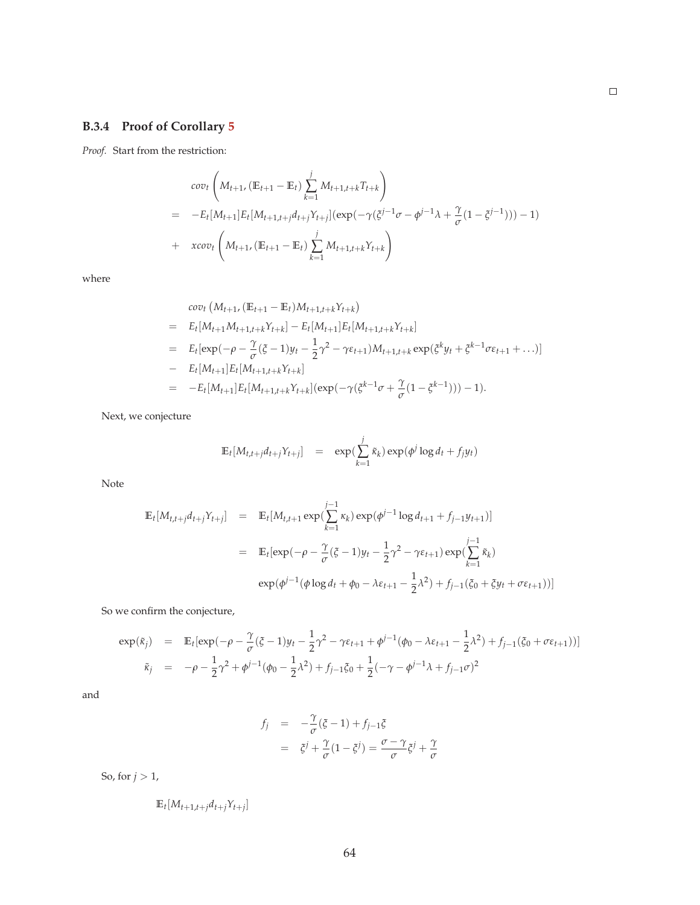# **B.3.4 Proof of Corollary 5**

*Proof.* Start from the restriction:

$$
cov_t \left( M_{t+1}, (\mathbb{E}_{t+1} - \mathbb{E}_t) \sum_{k=1}^j M_{t+1,t+k} T_{t+k} \right)
$$
  
= 
$$
-E_t[M_{t+1}] E_t[M_{t+1,t+j} d_{t+j} Y_{t+j}] (exp(-\gamma (\xi^{j-1} \sigma - \phi^{j-1} \lambda + \frac{\gamma}{\sigma} (1 - \xi^{j-1}))) - 1)
$$
  
+ 
$$
xcov_t \left( M_{t+1}, (\mathbb{E}_{t+1} - \mathbb{E}_t) \sum_{k=1}^j M_{t+1,t+k} Y_{t+k} \right)
$$

where

$$
cov_t (M_{t+1}, (\mathbb{E}_{t+1} - \mathbb{E}_t)M_{t+1,t+k}Y_{t+k})
$$
  
=  $E_t[M_{t+1}M_{t+1,t+k}Y_{t+k}] - E_t[M_{t+1}]E_t[M_{t+1,t+k}Y_{t+k}]$   
=  $E_t[exp(-\rho - \frac{\gamma}{\sigma}(\xi - 1)y_t - \frac{1}{2}\gamma^2 - \gamma\epsilon_{t+1})M_{t+1,t+k}exp(\xi^k y_t + \xi^{k-1}\sigma\epsilon_{t+1} + ...)]$   
-  $E_t[M_{t+1}]E_t[M_{t+1,t+k}Y_{t+k}]$   
=  $-E_t[M_{t+1}]E_t[M_{t+1,t+k}Y_{t+k}](exp(-\gamma(\xi^{k-1}\sigma + \frac{\gamma}{\sigma}(1 - \xi^{k-1}))) - 1).$ 

Next, we conjecture

$$
\mathbb{E}_t[M_{t,t+j}d_{t+j}Y_{t+j}] = \exp(\sum_{k=1}^j \tilde{\kappa}_k) \exp(\phi^j \log d_t + f_j y_t)
$$

Note

$$
\mathbb{E}_{t}[M_{t,t+j}d_{t+j}Y_{t+j}] = \mathbb{E}_{t}[M_{t,t+1} \exp(\sum_{k=1}^{j-1} \kappa_{k}) \exp(\phi^{j-1} \log d_{t+1} + f_{j-1}y_{t+1})]
$$
\n
$$
= \mathbb{E}_{t}[\exp(-\rho - \frac{\gamma}{\sigma}(\xi - 1)y_{t} - \frac{1}{2}\gamma^{2} - \gamma \varepsilon_{t+1}) \exp(\sum_{k=1}^{j-1} \tilde{\kappa}_{k})
$$
\n
$$
\exp(\phi^{j-1}(\phi \log d_{t} + \phi_{0} - \lambda \varepsilon_{t+1} - \frac{1}{2}\lambda^{2}) + f_{j-1}(\xi_{0} + \xi y_{t} + \sigma \varepsilon_{t+1}))]
$$

So we confirm the conjecture,

$$
\exp(\tilde{\kappa}_j) = \mathbb{E}_t[\exp(-\rho - \frac{\gamma}{\sigma}(\xi - 1)y_t - \frac{1}{2}\gamma^2 - \gamma \varepsilon_{t+1} + \phi^{j-1}(\phi_0 - \lambda \varepsilon_{t+1} - \frac{1}{2}\lambda^2) + f_{j-1}(\xi_0 + \sigma \varepsilon_{t+1}))]
$$
  

$$
\tilde{\kappa}_j = -\rho - \frac{1}{2}\gamma^2 + \phi^{j-1}(\phi_0 - \frac{1}{2}\lambda^2) + f_{j-1}\xi_0 + \frac{1}{2}(-\gamma - \phi^{j-1}\lambda + f_{j-1}\sigma)^2
$$

and

$$
f_j = -\frac{\gamma}{\sigma}(\xi - 1) + f_{j-1}\xi
$$
  
=  $\xi^j + \frac{\gamma}{\sigma}(1 - \xi^j) = \frac{\sigma - \gamma}{\sigma}\xi^j + \frac{\gamma}{\sigma}$ 

So, for  $j > 1$ ,

$$
\mathbb{E}_t[M_{t+1,t+j}d_{t+j}Y_{t+j}]
$$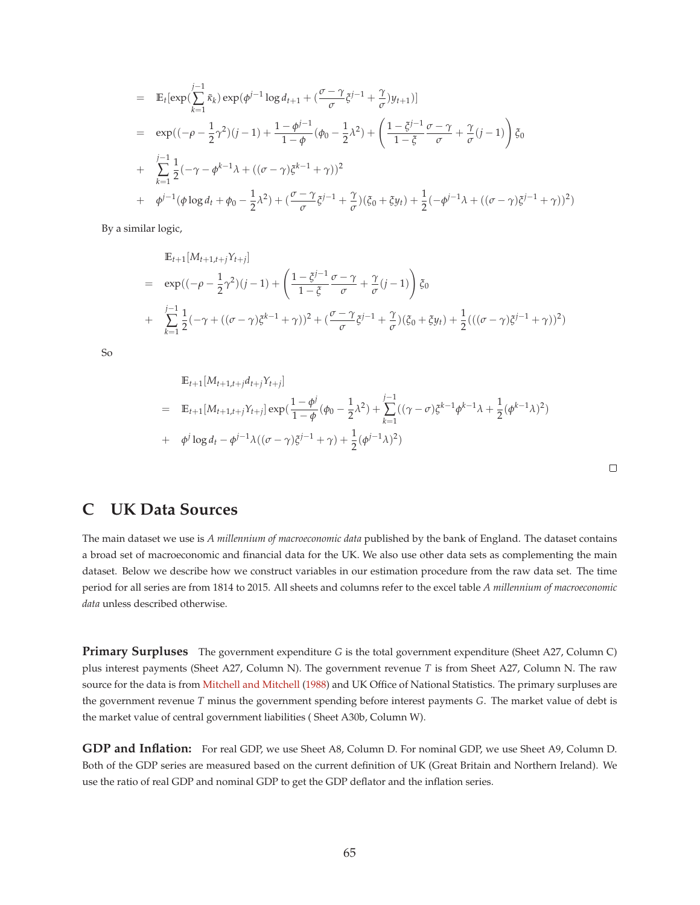$$
= \mathbb{E}_{t}[\exp(\sum_{k=1}^{j-1} \tilde{\kappa}_{k}) \exp(\phi^{j-1} \log d_{t+1} + (\frac{\sigma - \gamma}{\sigma} \tilde{\zeta}^{j-1} + \frac{\gamma}{\sigma}) y_{t+1})]
$$
  
\n
$$
= \exp((-\rho - \frac{1}{2}\gamma^{2})(j-1) + \frac{1 - \phi^{j-1}}{1 - \phi}(\phi_{0} - \frac{1}{2}\lambda^{2}) + (\frac{1 - \tilde{\zeta}^{j-1}}{1 - \tilde{\zeta}}\frac{\sigma - \gamma}{\sigma} + \frac{\gamma}{\sigma}(j-1)) \tilde{\zeta}_{0}
$$
  
\n
$$
+ \sum_{k=1}^{j-1} \frac{1}{2}(-\gamma - \phi^{k-1}\lambda + ((\sigma - \gamma)\tilde{\zeta}^{k-1} + \gamma))^{2}
$$
  
\n
$$
+ \phi^{j-1}(\phi \log d_{t} + \phi_{0} - \frac{1}{2}\lambda^{2}) + (\frac{\sigma - \gamma}{\sigma}\tilde{\zeta}^{j-1} + \frac{\gamma}{\sigma})(\tilde{\zeta}_{0} + \tilde{\zeta}y_{t}) + \frac{1}{2}(-\phi^{j-1}\lambda + ((\sigma - \gamma)\tilde{\zeta}^{j-1} + \gamma))^{2})
$$

By a similar logic,

$$
\mathbb{E}_{t+1}[M_{t+1,t+j}\gamma_{t+j}]
$$
\n
$$
= \exp((-\rho - \frac{1}{2}\gamma^2)(j-1) + \left(\frac{1-\xi^{j-1}}{1-\xi}\frac{\sigma-\gamma}{\sigma} + \frac{\gamma}{\sigma}(j-1)\right)\xi_0
$$
\n
$$
+ \sum_{k=1}^{j-1} \frac{1}{2}(-\gamma + ((\sigma - \gamma)\xi^{k-1} + \gamma))^2 + (\frac{\sigma-\gamma}{\sigma}\xi^{j-1} + \frac{\gamma}{\sigma})(\xi_0 + \xi y_t) + \frac{1}{2}(((\sigma - \gamma)\xi^{j-1} + \gamma))^2)
$$

So

$$
\mathbb{E}_{t+1}[M_{t+1,t+j}d_{t+j}Y_{t+j}]
$$
\n
$$
= \mathbb{E}_{t+1}[M_{t+1,t+j}Y_{t+j}] \exp(\frac{1-\phi^j}{1-\phi}(\phi_0 - \frac{1}{2}\lambda^2) + \sum_{k=1}^{j-1}((\gamma - \sigma)\xi^{k-1}\phi^{k-1}\lambda + \frac{1}{2}(\phi^{k-1}\lambda)^2)
$$
\n
$$
+ \phi^j \log d_t - \phi^{j-1}\lambda((\sigma - \gamma)\xi^{j-1} + \gamma) + \frac{1}{2}(\phi^{j-1}\lambda)^2)
$$

# **C UK Data Sources**

The main dataset we use is *A millennium of macroeconomic data* published by the bank of England. The dataset contains a broad set of macroeconomic and financial data for the UK. We also use other data sets as complementing the main dataset. Below we describe how we construct variables in our estimation procedure from the raw data set. The time period for all series are from 1814 to 2015. All sheets and columns refer to the excel table *A millennium of macroeconomic data* unless described otherwise.

**Primary Surpluses** The government expenditure *G* is the total government expenditure (Sheet A27, Column C) plus interest payments (Sheet A27, Column N). The government revenue *T* is from Sheet A27, Column N. The raw source for the data is from Mitchell and Mitchell (1988) and UK Office of National Statistics. The primary surpluses are the government revenue *T* minus the government spending before interest payments *G*. The market value of debt is the market value of central government liabilities ( Sheet A30b, Column W).

**GDP and Inflation:** For real GDP, we use Sheet A8, Column D. For nominal GDP, we use Sheet A9, Column D. Both of the GDP series are measured based on the current definition of UK (Great Britain and Northern Ireland). We use the ratio of real GDP and nominal GDP to get the GDP deflator and the inflation series.